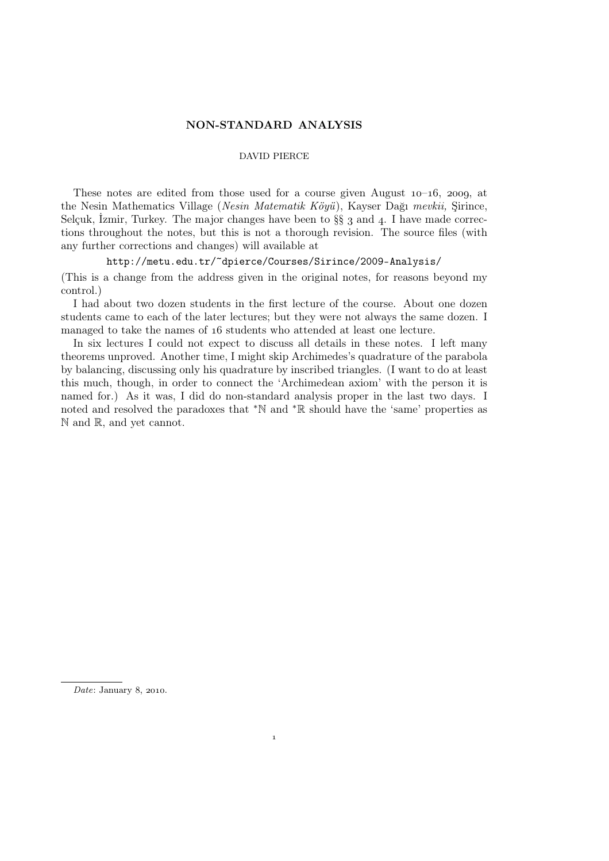## NON-STANDARD ANALYSIS

### DAVID PIERCE

These notes are edited from those used for a course given August  $10-16$ , 2009, at the Nesin Mathematics Village (*Nesin Matematik Köyü*), Kayser Dağı *mevkii,* Şirince, Selçuk, İzmir, Turkey. The major changes have been to  $\S\S$  3 and 4. I have made corrections throughout the notes, but this is not a thorough revision. The source files (with any further corrections and changes) will available at

http://metu.edu.tr/~dpierce/Courses/Sirince/2009-Analysis/

(This is a change from the address given in the original notes, for reasons beyond my control.)

I had about two dozen students in the first lecture of the course. About one dozen students came to each of the later lectures; but they were not always the same dozen. I managed to take the names of 16 students who attended at least one lecture.

In six lectures I could not expect to discuss all details in these notes. I left many theorems unproved. Another time, I might skip Archimedes's quadrature of the parabola by balancing, discussing only his quadrature by inscribed triangles. (I want to do at least this much, though, in order to connect the 'Archimedean axiom' with the person it is named for.) As it was, I did do non-standard analysis proper in the last two days. I noted and resolved the paradoxes that <sup>∗</sup>N and <sup>∗</sup>R should have the 'same' properties as N and R, and yet cannot.

 $\overline{1}$ 

*Date*: January 8, 2010.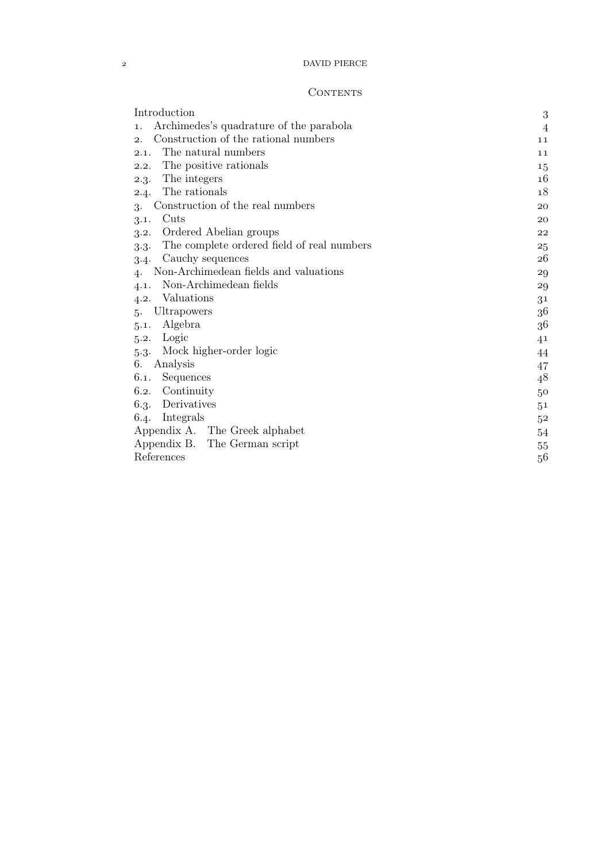DAVID PIERCE

| Introduction                                         | 3              |
|------------------------------------------------------|----------------|
| Archimedes's quadrature of the parabola<br>1.        | $\overline{4}$ |
| Construction of the rational numbers<br>2.           | 11             |
| The natural numbers<br>2.1.                          | 11             |
| The positive rationals<br>2.2.                       | 15             |
| The integers<br>2.3.                                 | 16             |
| The rationals<br>2.4.                                | 18             |
| Construction of the real numbers<br>3.               | 20             |
| Cuts<br>3.1.                                         | 20             |
| Ordered Abelian groups<br>3.2.                       | 22             |
| The complete ordered field of real numbers<br>$3-3-$ | 25             |
| Cauchy sequences<br>3.4.                             | 26             |
| Non-Archimedean fields and valuations<br>4.          | 29             |
| Non-Archimedean fields<br>4.1.                       | 29             |
| Valuations<br>4.2.                                   | 31             |
| Ultrapowers<br>.5.                                   | 36             |
| Algebra<br>5.1.                                      | 36             |
| Logic<br>5.2.                                        | 41             |
| Mock higher-order logic<br>$5-3-$                    | 44             |
| Analysis<br>6.                                       | 47             |
| Sequences<br>6.1.                                    | 48             |
| Continuity<br>6.2.                                   | 50             |
| Derivatives<br>6.3.                                  | 5 <sup>1</sup> |
| Integrals<br>6.4.                                    | 52             |
| Appendix A. The Greek alphabet                       | 54             |
| Appendix B.<br>The German script                     | 55             |
| References                                           | 56             |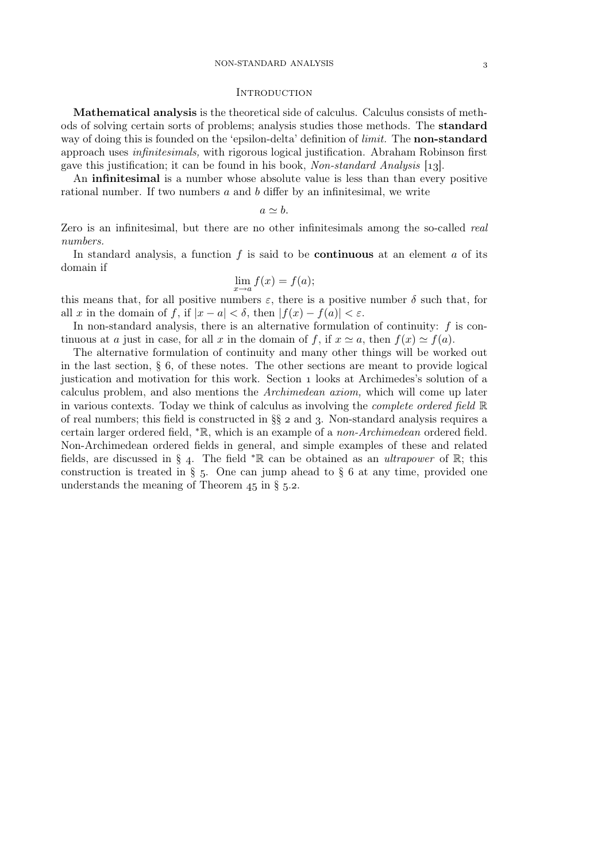#### **INTRODUCTION**

Mathematical analysis is the theoretical side of calculus. Calculus consists of methods of solving certain sorts of problems; analysis studies those methods. The standard way of doing this is founded on the 'epsilon-delta' definition of *limit.* The non-standard approach uses *infinitesimals,* with rigorous logical justification. Abraham Robinson first gave this justification; it can be found in his book, *Non-standard Analysis* [13].

An infinitesimal is a number whose absolute value is less than than every positive rational number. If two numbers a and b differ by an infinitesimal, we write

$$
a\simeq b.
$$

Zero is an infinitesimal, but there are no other infinitesimals among the so-called *real numbers.*

In standard analysis, a function  $f$  is said to be **continuous** at an element  $a$  of its domain if

$$
\lim_{x \to a} f(x) = f(a);
$$

this means that, for all positive numbers  $\varepsilon$ , there is a positive number  $\delta$  such that, for all x in the domain of f, if  $|x - a| < \delta$ , then  $|f(x) - f(a)| < \varepsilon$ .

In non-standard analysis, there is an alternative formulation of continuity:  $f$  is continuous at a just in case, for all x in the domain of f, if  $x \approx a$ , then  $f(x) \approx f(a)$ .

The alternative formulation of continuity and many other things will be worked out in the last section,  $\S$  6, of these notes. The other sections are meant to provide logical justication and motivation for this work. Section looks at Archimedes's solution of a calculus problem, and also mentions the *Archimedean axiom,* which will come up later in various contexts. Today we think of calculus as involving the *complete ordered field* R of real numbers; this field is constructed in  $\S$   $2$  and  $3$ . Non-standard analysis requires a certain larger ordered field, <sup>∗</sup>R, which is an example of a *non-Archimedean* ordered field. Non-Archimedean ordered fields in general, and simple examples of these and related fields, are discussed in § 4. The field <sup>\*</sup>R can be obtained as an *ultrapower* of R; this construction is treated in  $\S$  5. One can jump ahead to  $\S$  6 at any time, provided one understands the meaning of Theorem  $45$  in § 5.2.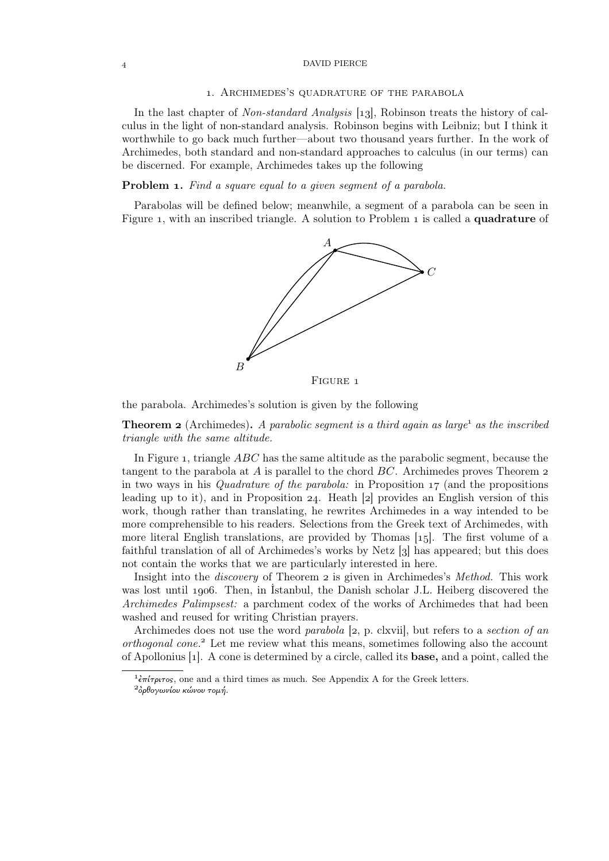### DAVID PIERCE

#### . Archimedes's quadrature of the parabola

In the last chapter of *Non-standard Analysis* [13], Robinson treats the history of calculus in the light of non-standard analysis. Robinson begins with Leibniz; but I think it worthwhile to go back much further—about two thousand years further. In the work of Archimedes, both standard and non-standard approaches to calculus (in our terms) can be discerned. For example, Archimedes takes up the following

### Problem . *Find a square equal to a given segment of a parabola.*

Parabolas will be defined below; meanwhile, a segment of a parabola can be seen in Figure 1, with an inscribed triangle. A solution to Problem 1 is called a **quadrature** of



the parabola. Archimedes's solution is given by the following

**Theorem 2** (Archimedes). A parabolic segment is a third again as large<sup>1</sup> as the inscribed *triangle with the same altitude.*

In Figure 1, triangle  $ABC$  has the same altitude as the parabolic segment, because the tangent to the parabola at  $A$  is parallel to the chord  $BC$ . Archimedes proves Theorem  $2$ in two ways in his *Quadrature of the parabola:* in Proposition 17 (and the propositions leading up to it), and in Proposition 24. Heath  $|z|$  provides an English version of this work, though rather than translating, he rewrites Archimedes in a way intended to be more comprehensible to his readers. Selections from the Greek text of Archimedes, with more literal English translations, are provided by Thomas  $[15]$ . The first volume of a faithful translation of all of Archimedes's works by Netz  $\left[\right]$  has appeared; but this does not contain the works that we are particularly interested in here.

Insight into the *discovery* of Theorem 2 is given in Archimedes's *Method*. This work was lost until 1906. Then, in Istanbul, the Danish scholar J.L. Heiberg discovered the *Archimedes Palimpsest:* a parchment codex of the works of Archimedes that had been washed and reused for writing Christian prayers.

Archimedes does not use the word *parabola* [2, p. clxvii], but refers to a *section of an orthogonal cone.*<sup>2</sup> Let me review what this means, sometimes following also the account of Apollonius  $[1]$ . A cone is determined by a circle, called its **base**, and a point, called the

<sup>&</sup>lt;sup>1</sup> επίτριτος, one and a third times as much. See Appendix A for the Greek letters.

 $^{2}$ όρθογωνίου κώνου τομή.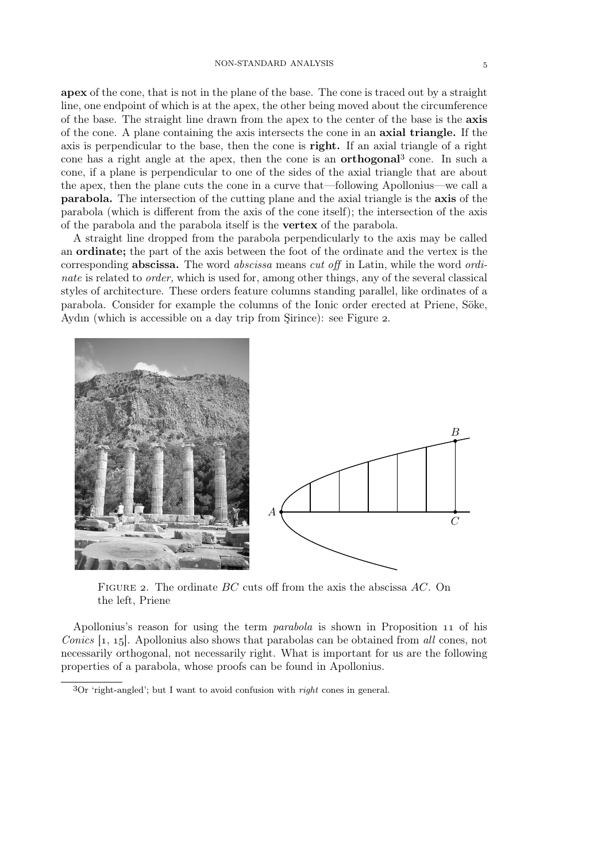apex of the cone, that is not in the plane of the base. The cone is traced out by a straight line, one endpoint of which is at the apex, the other being moved about the circumference of the base. The straight line drawn from the apex to the center of the base is the axis of the cone. A plane containing the axis intersects the cone in an axial triangle. If the axis is perpendicular to the base, then the cone is right. If an axial triangle of a right cone has a right angle at the apex, then the cone is an **orthogonal**<sup>3</sup> cone. In such a cone, if a plane is perpendicular to one of the sides of the axial triangle that are about the apex, then the plane cuts the cone in a curve that—following Apollonius—we call a parabola. The intersection of the cutting plane and the axial triangle is the axis of the parabola (which is different from the axis of the cone itself); the intersection of the axis of the parabola and the parabola itself is the vertex of the parabola.

A straight line dropped from the parabola perpendicularly to the axis may be called an ordinate; the part of the axis between the foot of the ordinate and the vertex is the corresponding abscissa. The word *abscissa* means *cut off* in Latin, while the word *ordinate* is related to *order*, which is used for, among other things, any of the several classical styles of architecture. These orders feature columns standing parallel, like ordinates of a parabola. Consider for example the columns of the Ionic order erected at Priene, Söke, Aydın (which is accessible on a day trip from Sirince): see Figure 2.



FIGURE 2. The ordinate  $BC$  cuts off from the axis the abscissa  $AC$ . On the left, Priene

Apollonius's reason for using the term *parabola* is shown in Proposition 11 of his *Conics* [1, 15]. Apollonius also shows that parabolas can be obtained from *all* cones, not necessarily orthogonal, not necessarily right. What is important for us are the following properties of a parabola, whose proofs can be found in Apollonius.

Or 'right-angled'; but I want to avoid confusion with *right* cones in general.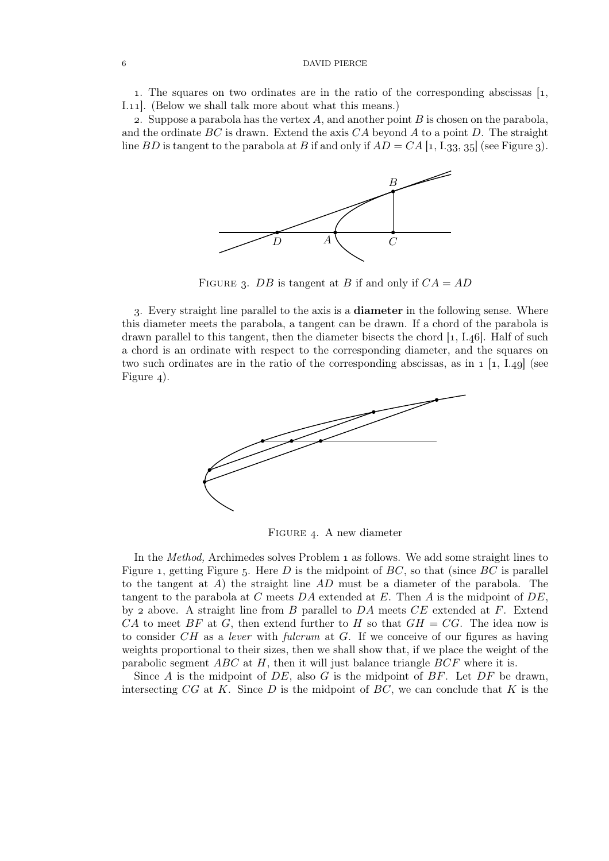### DAVID PIERCE

1. The squares on two ordinates are in the ratio of the corresponding abscissas  $\left[1, \right]$ I.11. (Below we shall talk more about what this means.)

2. Suppose a parabola has the vertex  $A$ , and another point  $B$  is chosen on the parabola, and the ordinate  $BC$  is drawn. Extend the axis  $CA$  beyond A to a point D. The straight line BD is tangent to the parabola at B if and only if  $AD = CA$  [1, I.33, 35] (see Figure 3).



FIGURE 3. DB is tangent at B if and only if  $CA = AD$ 

. Every straight line parallel to the axis is a diameter in the following sense. Where this diameter meets the parabola, a tangent can be drawn. If a chord of the parabola is drawn parallel to this tangent, then the diameter bisects the chord  $[1, 1.46]$ . Half of such a chord is an ordinate with respect to the corresponding diameter, and the squares on two such ordinates are in the ratio of the corresponding abscissas, as in  $1 \; [1, 1.49]$  (see Figure  $_4$ ).



FIGURE 4. A new diameter

In the *Method*, Archimedes solves Problem 1 as follows. We add some straight lines to Figure 1, getting Figure 5. Here D is the midpoint of  $BC$ , so that (since  $BC$  is parallel to the tangent at  $A$ ) the straight line  $AD$  must be a diameter of the parabola. The tangent to the parabola at C meets DA extended at E. Then A is the midpoint of  $DE$ , by 2 above. A straight line from B parallel to  $DA$  meets  $CE$  extended at F. Extend CA to meet BF at G, then extend further to H so that  $GH = CG$ . The idea now is to consider CH as a *lever* with *fulcrum* at G. If we conceive of our figures as having weights proportional to their sizes, then we shall show that, if we place the weight of the parabolic segment  $ABC$  at H, then it will just balance triangle  $BCF$  where it is.

Since A is the midpoint of  $DE$ , also G is the midpoint of  $BF$ . Let  $DF$  be drawn, intersecting  $CG$  at K. Since D is the midpoint of  $BC$ , we can conclude that K is the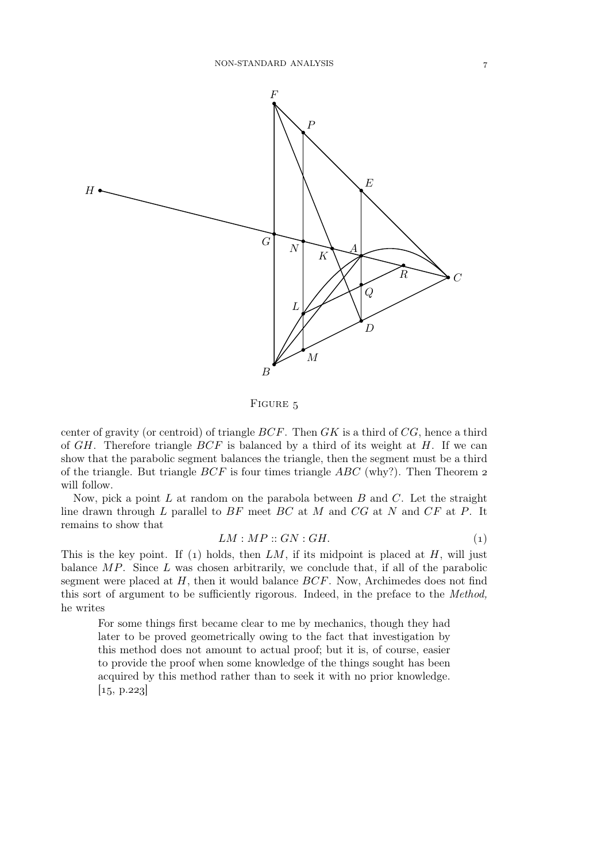

FIGURE 5

center of gravity (or centroid) of triangle  $BCF$ . Then  $GK$  is a third of  $CG$ , hence a third of  $GH$ . Therefore triangle  $BCF$  is balanced by a third of its weight at  $H$ . If we can show that the parabolic segment balances the triangle, then the segment must be a third of the triangle. But triangle  $BCF$  is four times triangle  $ABC$  (why?). Then Theorem 2 will follow.

Now, pick a point L at random on the parabola between  $B$  and  $C$ . Let the straight line drawn through  $L$  parallel to  $BF$  meet  $BC$  at  $M$  and  $CG$  at  $N$  and  $CF$  at  $P$ . It remains to show that

$$
LM : MP :: GN : GH.
$$
 (1)

This is the key point. If (1) holds, then  $LM$ , if its midpoint is placed at  $H$ , will just balance  $MP$ . Since L was chosen arbitrarily, we conclude that, if all of the parabolic segment were placed at  $H$ , then it would balance  $BCF$ . Now, Archimedes does not find this sort of argument to be sufficiently rigorous. Indeed, in the preface to the *Method,* he writes

For some things first became clear to me by mechanics, though they had later to be proved geometrically owing to the fact that investigation by this method does not amount to actual proof; but it is, of course, easier to provide the proof when some knowledge of the things sought has been acquired by this method rather than to seek it with no prior knowledge.  $[15, p.223]$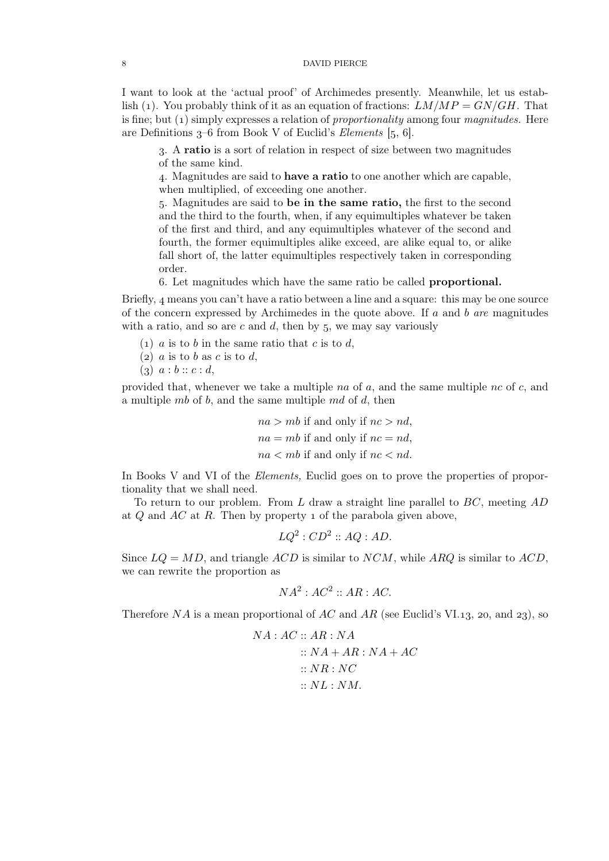I want to look at the 'actual proof' of Archimedes presently. Meanwhile, let us establish (1). You probably think of it as an equation of fractions:  $LM/MP = GN/GH$ . That is fine; but (1) simply expresses a relation of *proportionality* among four *magnitudes*. Here are Definitions  $3-6$  from Book V of Euclid's *Elements*  $[5, 6]$ .

. A ratio is a sort of relation in respect of size between two magnitudes of the same kind.

. Magnitudes are said to have a ratio to one another which are capable, when multiplied, of exceeding one another.

. Magnitudes are said to be in the same ratio, the first to the second and the third to the fourth, when, if any equimultiples whatever be taken of the first and third, and any equimultiples whatever of the second and fourth, the former equimultiples alike exceed, are alike equal to, or alike fall short of, the latter equimultiples respectively taken in corresponding order.

. Let magnitudes which have the same ratio be called proportional.

Briefly,  $\mu$  means you can't have a ratio between a line and a square: this may be one source of the concern expressed by Archimedes in the quote above. If a and b *are* magnitudes with a ratio, and so are  $c$  and  $d$ , then by 5, we may say variously

- (1) a is to b in the same ratio that c is to d,
- (2)  $a$  is to  $b$  as  $c$  is to  $d$ ,
- $(a) \ a : b :: c : d,$

provided that, whenever we take a multiple na of  $a$ , and the same multiple nc of  $c$ , and a multiple  $mb$  of b, and the same multiple  $md$  of d, then

$$
na > mb
$$
 if and only if  $nc > nd$ ,  
 $na = mb$  if and only if  $nc = nd$ ,  
 $na < mb$  if and only if  $nc < nd$ .

In Books V and VI of the *Elements,* Euclid goes on to prove the properties of proportionality that we shall need.

To return to our problem. From L draw a straight line parallel to  $BC$ , meeting  $AD$ at  $Q$  and  $AC$  at  $R$ . Then by property 1 of the parabola given above,

 $LQ^2$ :  $CD^2 :: AQ : AD$ .

Since  $LQ = MD$ , and triangle  $ACD$  is similar to  $NCM$ , while ARQ is similar to  $ACD$ , we can rewrite the proportion as

$$
NA^2: AC^2 :: AR : AC.
$$

Therefore NA is a mean proportional of AC and AR (see Euclid's VI.13, 20, and 23), so

$$
NA: AC :: AR : NA
$$
  

$$
:: NA + AR : NA + AC
$$
  

$$
:: NR : NC
$$
  

$$
:: NL : NM.
$$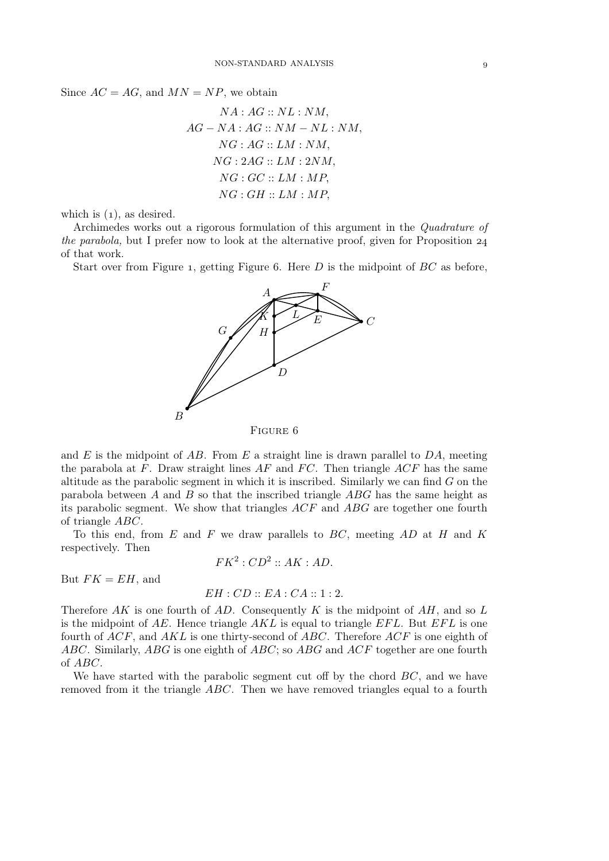Since  $AC = AG$ , and  $MN = NP$ , we obtain

$$
NA: AG:: NL: NM,
$$
  
AG-NA: AG:: NM-NL: NM,  
NG: AG:: LM: NM,  
NG: 2AG:: LM: 2NM,  
NG: GC:: LM: MP,  
NG: GH:: LM: MP,

which is  $(1)$ , as desired.

Archimedes works out a rigorous formulation of this argument in the *Quadrature of the parabola,* but I prefer now to look at the alternative proof, given for Proposition 24 of that work.

Start over from Figure 1, getting Figure 6. Here  $D$  is the midpoint of  $BC$  as before,



and E is the midpoint of AB. From E a straight line is drawn parallel to  $DA$ , meeting the parabola at  $F$ . Draw straight lines  $AF$  and  $FC$ . Then triangle  $ACF$  has the same altitude as the parabolic segment in which it is inscribed. Similarly we can find  $G$  on the parabola between  $A$  and  $B$  so that the inscribed triangle  $ABG$  has the same height as its parabolic segment. We show that triangles ACF and ABG are together one fourth of triangle ABC.

To this end, from  $E$  and  $F$  we draw parallels to  $BC$ , meeting  $AD$  at  $H$  and  $K$ respectively. Then

$$
FK^2:CD^2::AK:AD.
$$

But  $FK = EH$ , and

### $EH:CD::EA:CA::1:2.$

Therefore AK is one fourth of AD. Consequently K is the midpoint of  $AH$ , and so L is the midpoint of  $AE$ . Hence triangle  $AKL$  is equal to triangle  $EFL$ . But  $EFL$  is one fourth of  $ACF$ , and  $AKL$  is one thirty-second of  $ABC$ . Therefore  $ACF$  is one eighth of ABC. Similarly, ABG is one eighth of ABC; so ABG and ACF together are one fourth of ABC.

We have started with the parabolic segment cut off by the chord  $BC$ , and we have removed from it the triangle ABC. Then we have removed triangles equal to a fourth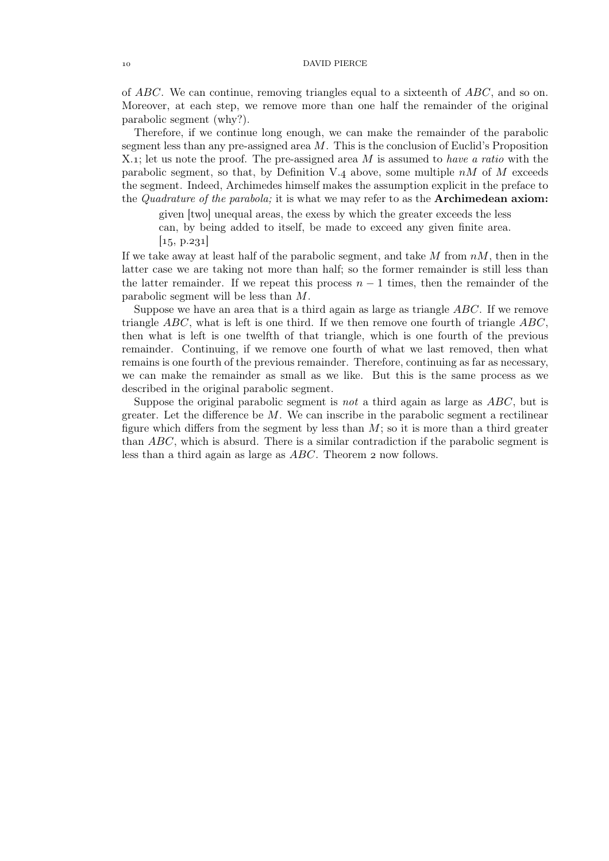of ABC. We can continue, removing triangles equal to a sixteenth of ABC, and so on. Moreover, at each step, we remove more than one half the remainder of the original parabolic segment (why?).

Therefore, if we continue long enough, we can make the remainder of the parabolic segment less than any pre-assigned area  $M$ . This is the conclusion of Euclid's Proposition X.; let us note the proof. The pre-assigned area M is assumed to *have a ratio* with the parabolic segment, so that, by Definition V.4 above, some multiple  $nM$  of M exceeds the segment. Indeed, Archimedes himself makes the assumption explicit in the preface to the *Quadrature of the parabola;* it is what we may refer to as the Archimedean axiom:

given [two] unequal areas, the exess by which the greater exceeds the less can, by being added to itself, be made to exceed any given finite area.  $\vert 15, p.231 \vert$ 

If we take away at least half of the parabolic segment, and take  $M$  from  $nM$ , then in the latter case we are taking not more than half; so the former remainder is still less than the latter remainder. If we repeat this process  $n-1$  times, then the remainder of the parabolic segment will be less than M.

Suppose we have an area that is a third again as large as triangle ABC. If we remove triangle  $ABC$ , what is left is one third. If we then remove one fourth of triangle  $ABC$ , then what is left is one twelfth of that triangle, which is one fourth of the previous remainder. Continuing, if we remove one fourth of what we last removed, then what remains is one fourth of the previous remainder. Therefore, continuing as far as necessary, we can make the remainder as small as we like. But this is the same process as we described in the original parabolic segment.

Suppose the original parabolic segment is *not* a third again as large as ABC, but is greater. Let the difference be  $M$ . We can inscribe in the parabolic segment a rectilinear figure which differs from the segment by less than  $M$ ; so it is more than a third greater than ABC, which is absurd. There is a similar contradiction if the parabolic segment is less than a third again as large as  $ABC$ . Theorem 2 now follows.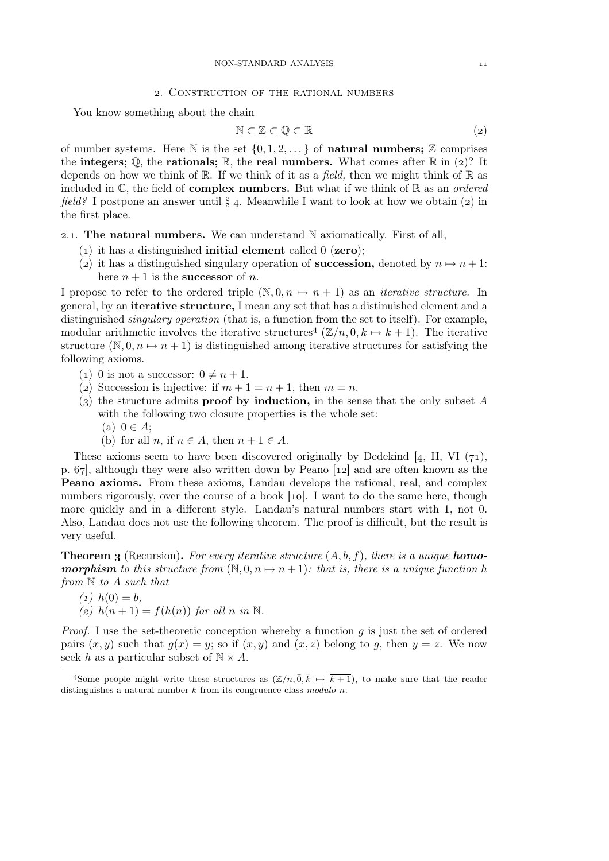#### NON-STANDARD ANALYSIS

## . Construction of the rational numbers

You know something about the chain

$$
\mathbb{N} \subset \mathbb{Z} \subset \mathbb{Q} \subset \mathbb{R} \tag{2}
$$

of number systems. Here  $\mathbb N$  is the set  $\{0, 1, 2, \ldots\}$  of **natural numbers;**  $\mathbb Z$  comprises the integers;  $\mathbb{Q}$ , the rationals;  $\mathbb{R}$ , the real numbers. What comes after  $\mathbb{R}$  in (2)? It depends on how we think of  $\mathbb R$ . If we think of it as a *field*, then we might think of  $\mathbb R$  as included in C, the field of complex numbers. But what if we think of R as an *ordered field?* I postpone an answer until  $\S$  4. Meanwhile I want to look at how we obtain (2) in the first place.

2.1. The natural numbers. We can understand  $N$  axiomatically. First of all,

- (1) it has a distinguished **initial element** called  $0$  (**zero**);
- (2) it has a distinguished singulary operation of **succession**, denoted by  $n \mapsto n + 1$ : here  $n + 1$  is the **successor** of *n*.

I propose to refer to the ordered triple  $(\mathbb{N}, 0, n \mapsto n + 1)$  as an *iterative structure*. In general, by an iterative structure, I mean any set that has a distinuished element and a distinguished *singulary operation* (that is, a function from the set to itself). For example, modular arithmetic involves the iterative structures<sup>4</sup>  $(\mathbb{Z}/n, 0, k \mapsto k+1)$ . The iterative structure  $(N, 0, n \mapsto n + 1)$  is distinguished among iterative structures for satisfying the following axioms.

- (1) 0 is not a successor:  $0 \neq n + 1$ .
- (2) Succession is injective: if  $m + 1 = n + 1$ , then  $m = n$ .
- (3) the structure admits **proof by induction**, in the sense that the only subset A with the following two closure properties is the whole set:  $(a)$   $0 \in A$ ;
	-
	- (b) for all  $n$ , if  $n \in A$ , then  $n + 1 \in A$ .

These axioms seem to have been discovered originally by Dedekind  $[4, II, VI (71),$ p.  $67$ , although they were also written down by Peano  $[12]$  and are often known as the Peano axioms. From these axioms, Landau develops the rational, real, and complex numbers rigorously, over the course of a book [10]. I want to do the same here, though more quickly and in a different style. Landau's natural numbers start with 1, not 0. Also, Landau does not use the following theorem. The proof is difficult, but the result is very useful.

**Theorem 3** (Recursion). For every iterative structure  $(A, b, f)$ , there is a unique **homomorphism** to this structure from  $(\mathbb{N}, 0, n \mapsto n+1)$ : that is, there is a unique function h *from* N *to* A *such that*

- $(1)$   $h(0) = b$ ,
- *(a)*  $h(n+1) = f(h(n))$  *for all n in* N.

*Proof.* I use the set-theoretic conception whereby a function g is just the set of ordered pairs  $(x, y)$  such that  $g(x) = y$ ; so if  $(x, y)$  and  $(x, z)$  belong to g, then  $y = z$ . We now seek h as a particular subset of  $N \times A$ .

<sup>&</sup>lt;sup>4</sup>Some people might write these structures as  $(\mathbb{Z}/n, \overline{0}, \overline{k} \mapsto \overline{k+1})$ , to make sure that the reader distinguishes a natural number k from its congruence class *modulo* n.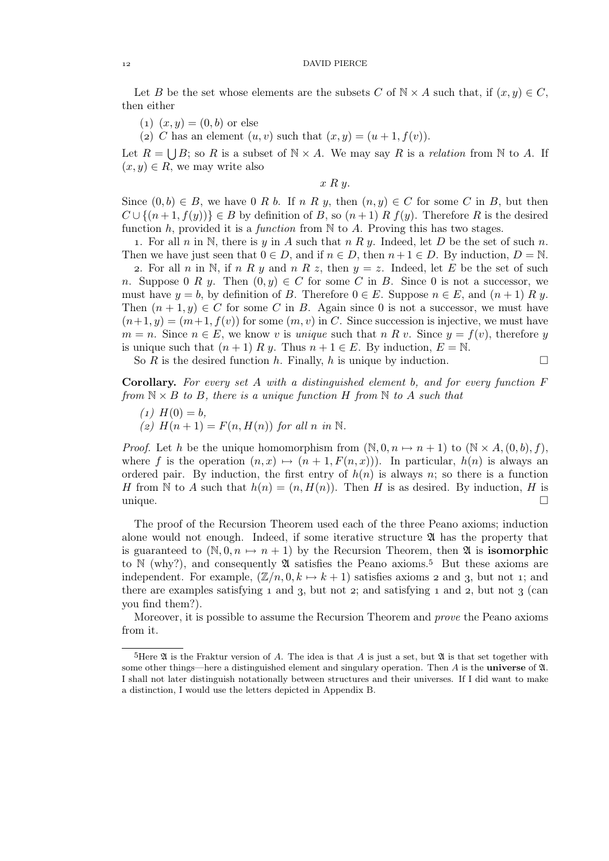### 12 DAVID PIERCE

Let B be the set whose elements are the subsets C of  $\mathbb{N} \times A$  such that, if  $(x, y) \in C$ , then either

 $(1)$   $(x, y) = (0, b)$  or else

(2) C has an element  $(u, v)$  such that  $(x, y) = (u + 1, f(v)).$ 

Let  $R = \bigcup B$ ; so R is a subset of  $N \times A$ . We may say R is a *relation* from N to A. If  $(x, y) \in R$ , we may write also

 $x R y$ .

Since  $(0, b) \in B$ , we have 0 R b. If n R y, then  $(n, y) \in C$  for some C in B, but then  $C \cup \{(n+1, f(y))\} \in B$  by definition of B, so  $(n+1)$  R  $f(y)$ . Therefore R is the desired function h, provided it is a *function* from N to A. Proving this has two stages.

1. For all n in N, there is y in A such that  $n R y$ . Indeed, let D be the set of such n. Then we have just seen that  $0 \in D$ , and if  $n \in D$ , then  $n+1 \in D$ . By induction,  $D = \mathbb{N}$ .

2. For all n in N, if n R y and n R z, then  $y = z$ . Indeed, let E be the set of such n. Suppose 0 R y. Then  $(0, y) \in C$  for some C in B. Since 0 is not a successor, we must have  $y = b$ , by definition of B. Therefore  $0 \in E$ . Suppose  $n \in E$ , and  $(n + 1) R y$ . Then  $(n+1, y) \in C$  for some C in B. Again since 0 is not a successor, we must have  $(n+1, y) = (m+1, f(v))$  for some  $(m, v)$  in C. Since succession is injective, we must have  $m = n$ . Since  $n \in E$ , we know v is *unique* such that n R v. Since  $y = f(v)$ , therefore y is unique such that  $(n+1) R y$ . Thus  $n+1 \in E$ . By induction,  $E = N$ .

So R is the desired function h. Finally, h is unique by induction.  $\Box$ 

Corollary. *For every set* A *with a distinguished element* b*, and for every function* F *from*  $N \times B$  *to* B, there is a unique function H from N to A such that

- $(1)$   $H(0) = b$ .
- (2)  $H(n+1) = F(n, H(n))$  *for all n in* N.

*Proof.* Let h be the unique homomorphism from  $(N, 0, n \mapsto n + 1)$  to  $(N \times A, (0, b), f)$ , where f is the operation  $(n, x) \mapsto (n + 1, F(n, x))$ . In particular,  $h(n)$  is always an ordered pair. By induction, the first entry of  $h(n)$  is always n; so there is a function H from N to A such that  $h(n) = (n, H(n))$ . Then H is as desired. By induction, H is  $\Box$ 

The proof of the Recursion Theorem used each of the three Peano axioms; induction alone would not enough. Indeed, if some iterative structure  $\mathfrak A$  has the property that is guaranteed to  $(N, 0, n \mapsto n + 1)$  by the Recursion Theorem, then  $\mathfrak A$  is **isomorphic** to  $\mathbb N$  (why?), and consequently  $\mathfrak A$  satisfies the Peano axioms.<sup>5</sup> But these axioms are independent. For example,  $(\mathbb{Z}/n, 0, k \mapsto k + 1)$  satisfies axioms 2 and 3, but not 1; and there are examples satisfying  $\bar{a}$  and  $\bar{a}$ , but not  $\bar{c}$ ; and satisfying  $\bar{a}$  and  $\bar{c}$ , but not  $\bar{c}$  (can you find them?).

Moreover, it is possible to assume the Recursion Theorem and *prove* the Peano axioms from it.

 ${}^{5}$ Here  $\mathfrak A$  is the Fraktur version of A. The idea is that A is just a set, but  $\mathfrak A$  is that set together with some other things—here a distinguished element and singulary operation. Then  $A$  is the universe of  $\mathfrak{A}$ . I shall not later distinguish notationally between structures and their universes. If I did want to make a distinction, I would use the letters depicted in Appendix B.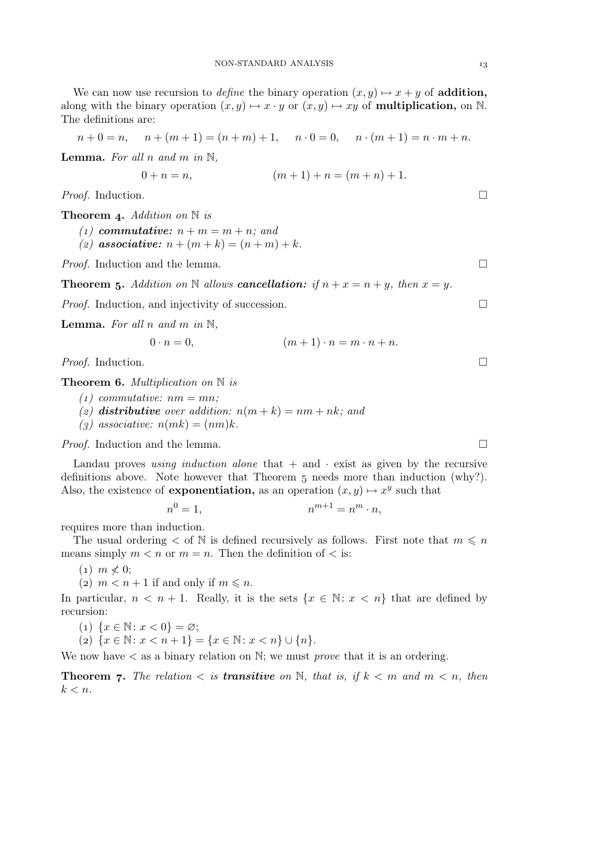We can now use recursion to *define* the binary operation  $(x, y) \mapsto x + y$  of **addition**, along with the binary operation  $(x, y) \mapsto x \cdot y$  or  $(x, y) \mapsto xy$  of **multiplication**, on N. The definitions are:

$$
n + 0 = n
$$
,  $n + (m + 1) = (n + m) + 1$ ,  $n \cdot 0 = 0$ ,  $n \cdot (m + 1) = n \cdot m + n$ .

Lemma. *For all* n *and* m *in* N*,*

$$
0 + n = n, \qquad (m+1) + n = (m+n) + 1.
$$

*Proof.* Induction. □

Theorem 4. *Addition on* N *is* 

- *(1)* commutative:  $n + m = m + n$ ; and
- *(2)* associative:  $n + (m + k) = (n + m) + k$ .

*Proof.* Induction and the lemma. □

**Theorem 5.** Addition on N allows **cancellation:** if  $n + x = n + y$ , then  $x = y$ .

*Proof.* Induction, and injectivity of succession. □

**Lemma.** For all n and m in  $\mathbb{N}$ ,

$$
0 \cdot n = 0, \qquad (m+1) \cdot n = m \cdot n + n.
$$

*Proof.* Induction. □

Theorem 6. *Multiplication on* N *is* 

- $(1)$  *commutative:*  $nm = mn$ ;
- (*z*) distributive over addition:  $n(m + k) = nm + nk$ ; and
- $(g)$  associative:  $n(mk) = (nm)k$ .

*Proof.* Induction and the lemma. □

Landau proves *using induction alone* that  $+$  and  $\cdot$  exist as given by the recursive definitions above. Note however that Theorem  $\overline{5}$  needs more than induction (why?). Also, the existence of **exponentiation**, as an operation  $(x, y) \mapsto x^y$  such that

$$
n^0 = 1, \qquad \qquad n^{m+1} = n^m \cdot n,
$$

requires more than induction.

The usual ordering  $\lt$  of N is defined recursively as follows. First note that  $m \leq n$ means simply  $m < n$  or  $m = n$ . Then the definition of  $\lt$  is:

 $(1)$   $m \nless 0$ ;

(2)  $m < n + 1$  if and only if  $m \le n$ .

In particular,  $n < n + 1$ . Really, it is the sets  $\{x \in \mathbb{N} : x < n\}$  that are defined by recursion:

(1)  $\{x \in \mathbb{N} : x < 0\} = \varnothing;$ 

(2)  $\{x \in \mathbb{N} : x < n+1\} = \{x \in \mathbb{N} : x < n\} \cup \{n\}.$ 

We now have < as a binary relation on N; we must *prove* that it is an ordering.

**Theorem 7.** The relation  $\lt$  is **transitive** on N, that is, if  $k \lt m$  and  $m \lt n$ , then  $k < n$ .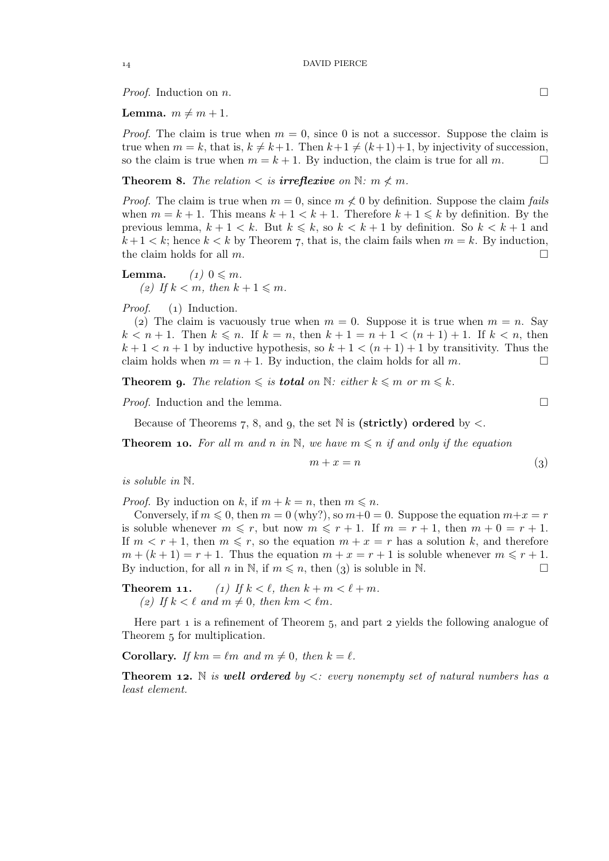*Proof.* Induction on *n*.

**Lemma.**  $m \neq m + 1$ .

*Proof.* The claim is true when  $m = 0$ , since 0 is not a successor. Suppose the claim is true when  $m = k$ , that is,  $k \neq k+1$ . Then  $k+1 \neq (k+1)+1$ , by injectivity of succession, so the claim is true when  $m = k+1$ . By induction, the claim is true for all m. so the claim is true when  $m = k + 1$ . By induction, the claim is true for all m.

**Theorem 8.** The relation  $\lt$  is **irreflexive** on  $\mathbb{N}$ :  $m \nless m$ .

*Proof.* The claim is true when  $m = 0$ , since  $m \nless 0$  by definition. Suppose the claim *fails* when  $m = k + 1$ . This means  $k + 1 < k + 1$ . Therefore  $k + 1 \leq k$  by definition. By the previous lemma,  $k + 1 < k$ . But  $k \leq k$ , so  $k < k + 1$  by definition. So  $k < k + 1$  and  $k+1 < k$ ; hence  $k < k$  by Theorem 7, that is, the claim fails when  $m = k$ . By induction, the claim holds for all  $m$ .

**Lemma.**  $(1)$   $0 \leq m$ . (*z*) If  $k < m$ , then  $k + 1 \leq m$ .

*Proof.* (1) Induction.

(2) The claim is vacuously true when  $m = 0$ . Suppose it is true when  $m = n$ . Say  $k < n+1$ . Then  $k \leq n$ . If  $k = n$ , then  $k + 1 = n + 1 < (n + 1) + 1$ . If  $k < n$ , then  $k+1 < n+1$  by inductive hypothesis, so  $k+1 < (n+1)+1$  by transitivity. Thus the claim holds when  $m = n + 1$ . By induction, the claim holds for all m.

**Theorem 9.** The relation  $\leqslant$  is **total** on  $\mathbb{N}$ : either  $k \leqslant m$  or  $m \leqslant k$ .

*Proof.* Induction and the lemma. □

Because of Theorems 7, 8, and 9, the set  $\mathbb N$  is (strictly) ordered by  $\lt$ .

**Theorem 10.** For all m and n in N, we have  $m \leq n$  if and only if the equation

$$
m + x = n \tag{3}
$$

*is soluble in* N*.*

*Proof.* By induction on k, if  $m + k = n$ , then  $m \leq n$ .

Conversely, if  $m \le 0$ , then  $m = 0$  (why?), so  $m+0 = 0$ . Suppose the equation  $m+x = r$ is soluble whenever  $m \leq r$ , but now  $m \leq r + 1$ . If  $m = r + 1$ , then  $m + 0 = r + 1$ . If  $m < r + 1$ , then  $m \leq r$ , so the equation  $m + x = r$  has a solution k, and therefore  $m + (k + 1) = r + 1$ . Thus the equation  $m + x = r + 1$  is soluble whenever  $m \leq r + 1$ . By induction, for all n in N, if  $m \leq n$ , then (3) is soluble in N.

**Theorem 11.** (1) If  $k < \ell$ , then  $k + m < \ell + m$ . (2) If  $k < \ell$  and  $m \neq 0$ , then  $km < \ell m$ .

Here part  $\bar{1}$  is a refinement of Theorem  $\bar{5}$ , and part  $\bar{2}$  yields the following analogue of Theorem 5 for multiplication.

**Corollary.** *If*  $km = \ell m$  *and*  $m \neq 0$ *, then*  $k = \ell$ *.* 

**Theorem 12.** N *is well ordered by*  $\lt$ *: every nonempty set of natural numbers has a least element.*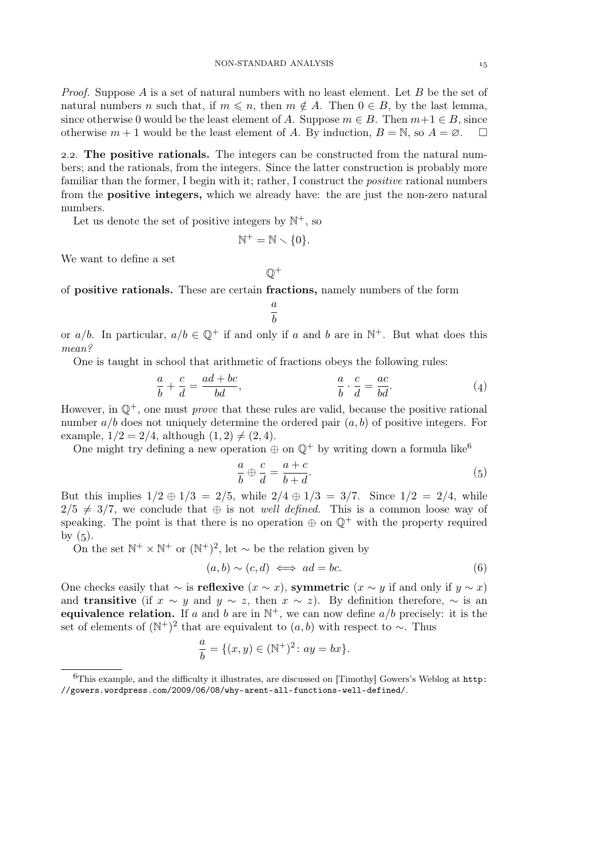*Proof.* Suppose A is a set of natural numbers with no least element. Let B be the set of natural numbers n such that, if  $m \leq n$ , then  $m \notin A$ . Then  $0 \in B$ , by the last lemma, since otherwise 0 would be the least element of A. Suppose  $m \in B$ . Then  $m+1 \in B$ , since otherwise  $m + 1$  would be the least element of A. By induction,  $B = \mathbb{N}$ , so  $A = \emptyset$ .  $\Box$ 

2.2. The positive rationals. The integers can be constructed from the natural numbers; and the rationals, from the integers. Since the latter construction is probably more familiar than the former, I begin with it; rather, I construct the *positive* rational numbers from the positive integers, which we already have: the are just the non-zero natural numbers.

Let us denote the set of positive integers by  $\mathbb{N}^+$ , so

$$
\mathbb{N}^+ = \mathbb{N} \smallsetminus \{0\}.
$$

We want to define a set

 $\mathbb{Q}^+$ 

of positive rationals. These are certain fractions, namely numbers of the form

$$
\frac{a}{b}
$$

or  $a/b$ . In particular,  $a/b \in \mathbb{Q}^+$  if and only if a and b are in  $\mathbb{N}^+$ . But what does this *mean?*

One is taught in school that arithmetic of fractions obeys the following rules:

$$
\frac{a}{b} + \frac{c}{d} = \frac{ad + bc}{bd}, \qquad \frac{a}{b} \cdot \frac{c}{d} = \frac{ac}{bd}.
$$
 (4)

However, in  $\mathbb{O}^+$ , one must *prove* that these rules are valid, because the positive rational number  $a/b$  does not uniquely determine the ordered pair  $(a, b)$  of positive integers. For example,  $1/2 = 2/4$ , although  $(1, 2) \neq (2, 4)$ .

One might try defining a new operation  $\oplus$  on  $\mathbb{Q}^+$  by writing down a formula like<sup>6</sup>

$$
\frac{a}{b} \oplus \frac{c}{d} = \frac{a+c}{b+d}.\tag{5}
$$

But this implies  $1/2 \oplus 1/3 = 2/5$ , while  $2/4 \oplus 1/3 = 3/7$ . Since  $1/2 = 2/4$ , while  $2/5 \neq 3/7$ , we conclude that  $\oplus$  is not *well defined*. This is a common loose way of speaking. The point is that there is no operation  $\oplus$  on  $\mathbb{O}^+$  with the property required by  $(5)$ .

On the set  $\mathbb{N}^+ \times \mathbb{N}^+$  or  $(\mathbb{N}^+)^2$ , let  $\sim$  be the relation given by

$$
(a,b) \sim (c,d) \iff ad = bc. \tag{6}
$$

One checks easily that  $\sim$  is **reflexive**  $(x \sim x)$ , **symmetric**  $(x \sim y)$  if and only if  $y \sim x$ ) and **transitive** (if  $x \sim y$  and  $y \sim z$ , then  $x \sim z$ ). By definition therefore,  $\sim$  is an equivalence relation. If a and b are in  $\mathbb{N}^+$ , we can now define  $a/b$  precisely: it is the set of elements of  $(N^+)^2$  that are equivalent to  $(a, b)$  with respect to  $\sim$ . Thus

$$
\frac{a}{b} = \{ (x, y) \in (\mathbb{N}^+)^2 \colon ay = bx \}.
$$

This example, and the difficulty it illustrates, are discussed on [Timothy] Gowers's Weblog at http: //gowers.wordpress.com/2009/06/08/why-arent-all-functions-well-defined/.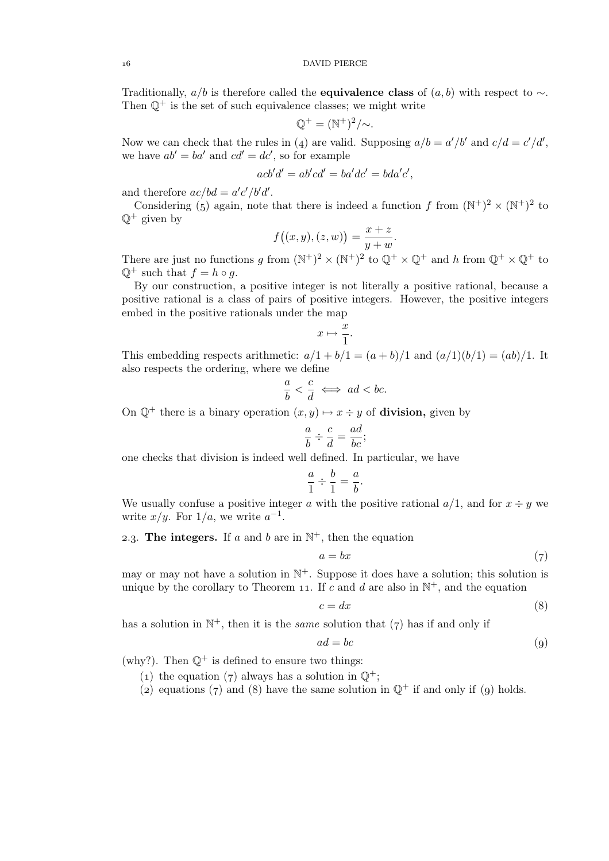Traditionally,  $a/b$  is therefore called the **equivalence class** of  $(a, b)$  with respect to  $\sim$ . Then  $\mathbb{Q}^+$  is the set of such equivalence classes; we might write

$$
\mathbb{Q}^+ = (\mathbb{N}^+)^2 / \sim.
$$

Now we can check that the rules in (4) are valid. Supposing  $a/b = a'/b'$  and  $c/d = c'/d'$ , we have  $ab' = ba'$  and  $cd' = dc'$ , so for example

$$
acb'd' = ab'cd' = ba'dc' = bda'c',
$$

and therefore  $ac/bd = a'c'/b'd'$ .

Considering (5) again, note that there is indeed a function f from  $(N^+)^2 \times (N^+)^2$  to  $\mathbb{O}^+$  given by

$$
f((x, y), (z, w)) = \frac{x + z}{y + w}.
$$

There are just no functions g from  $(N^+)^2 \times (N^+)^2$  to  $\mathbb{Q}^+ \times \mathbb{Q}^+$  and h from  $\mathbb{Q}^+ \times \mathbb{Q}^+$  to  $\mathbb{Q}^+$  such that  $f = h \circ g$ .

By our construction, a positive integer is not literally a positive rational, because a positive rational is a class of pairs of positive integers. However, the positive integers embed in the positive rationals under the map

$$
x \mapsto \frac{x}{1}.
$$

This embedding respects arithmetic:  $a/1 + b/1 = (a + b)/1$  and  $(a/1)(b/1) = (ab)/1$ . It also respects the ordering, where we define

$$
\frac{a}{b} < \frac{c}{d} \iff ad < bc.
$$

On  $\mathbb{Q}^+$  there is a binary operation  $(x, y) \mapsto x \div y$  of **division**, given by

$$
\frac{a}{b} \div \frac{c}{d} = \frac{ad}{bc};
$$

one checks that division is indeed well defined. In particular, we have

$$
\frac{a}{1} \div \frac{b}{1} = \frac{a}{b}.
$$

We usually confuse a positive integer a with the positive rational  $a/1$ , and for  $x \div y$  we write  $x/y$ . For  $1/a$ , we write  $a^{-1}$ .

2.3. The integers. If a and b are in  $\mathbb{N}^+$ , then the equation

$$
a = bx \tag{7}
$$

may or may not have a solution in  $\mathbb{N}^+$ . Suppose it does have a solution; this solution is unique by the corollary to Theorem 11. If c and d are also in  $\mathbb{N}^+$ , and the equation

$$
c = dx \tag{8}
$$

has a solution in  $\mathbb{N}^+$ , then it is the *same* solution that  $(7)$  has if and only if

$$
ad = bc \tag{9}
$$

(why?). Then  $\mathbb{Q}^+$  is defined to ensure two things:

- (1) the equation (7) always has a solution in  $\mathbb{Q}^+$ ;
- (2) equations (7) and (8) have the same solution in  $\mathbb{O}^+$  if and only if (9) holds.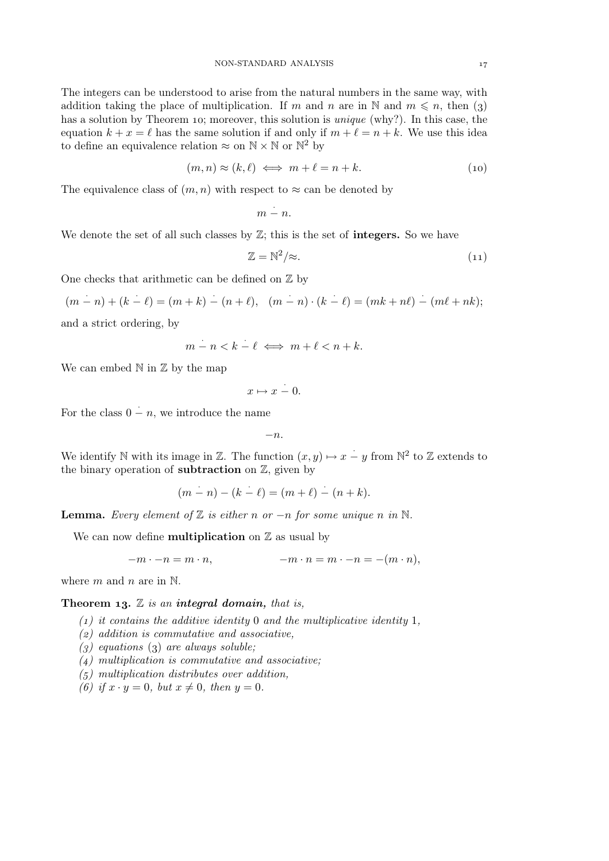The integers can be understood to arise from the natural numbers in the same way, with addition taking the place of multiplication. If m and n are in N and  $m \leq n$ , then (3) has a solution by Theorem 10; moreover, this solution is *unique* (why?). In this case, the equation  $k + x = \ell$  has the same solution if and only if  $m + \ell = n + k$ . We use this idea to define an equivalence relation  $\approx$  on  $\mathbb{N} \times \mathbb{N}$  or  $\mathbb{N}^2$  by

$$
(m,n) \approx (k,\ell) \iff m+\ell = n+k. \tag{10}
$$

The equivalence class of  $(m, n)$  with respect to  $\approx$  can be denoted by

$$
m \stackrel{\cdot}{-} n.
$$

We denote the set of all such classes by  $\mathbb{Z}$ ; this is the set of **integers.** So we have

$$
\mathbb{Z} = \mathbb{N}^2/\approx. \tag{11}
$$

One checks that arithmetic can be defined on  $\mathbb Z$  by

$$
(m - n) + (k - \ell) = (m + k) - (n + \ell), \quad (m - n) \cdot (k - \ell) = (mk + n\ell) - (m\ell + nk);
$$

and a strict ordering, by

$$
m - n < k - \ell \iff m + \ell < n + k.
$$

We can embed  $\mathbb N$  in  $\mathbb Z$  by the map

$$
x \mapsto x \stackrel{\cdot}{-} 0.
$$

For the class  $0 - n$ , we introduce the name

 $-n.$ 

We identify N with its image in Z. The function  $(x, y) \mapsto x - y$  from  $\mathbb{N}^2$  to Z extends to the binary operation of **subtraction** on  $\mathbb{Z}$ , given by

$$
(m - n) - (k - \ell) = (m + \ell) - (n + k).
$$

**Lemma.** *Every element of*  $\mathbb Z$  *is either n or* −*n for some unique n in*  $\mathbb N$ *.* 

We can now define **multiplication** on  $\mathbb{Z}$  as usual by

$$
-m \cdot -n = m \cdot n, \qquad \qquad -m \cdot n = m \cdot -n = -(m \cdot n),
$$

where  $m$  and  $n$  are in  $\mathbb{N}$ .

### **Theorem 13.**  $\mathbb{Z}$  is an **integral domain**, that is,

- *() it contains the additive identity* 0 *and the multiplicative identity* 1*,*
- *() addition is commutative and associative,*
- $(g)$  equations  $(g)$  are always soluble;
- *() multiplication is commutative and associative;*
- *() multiplication distributes over addition,*
- *(6)* if  $x \cdot y = 0$ *, but*  $x \neq 0$ *, then*  $y = 0$ *.*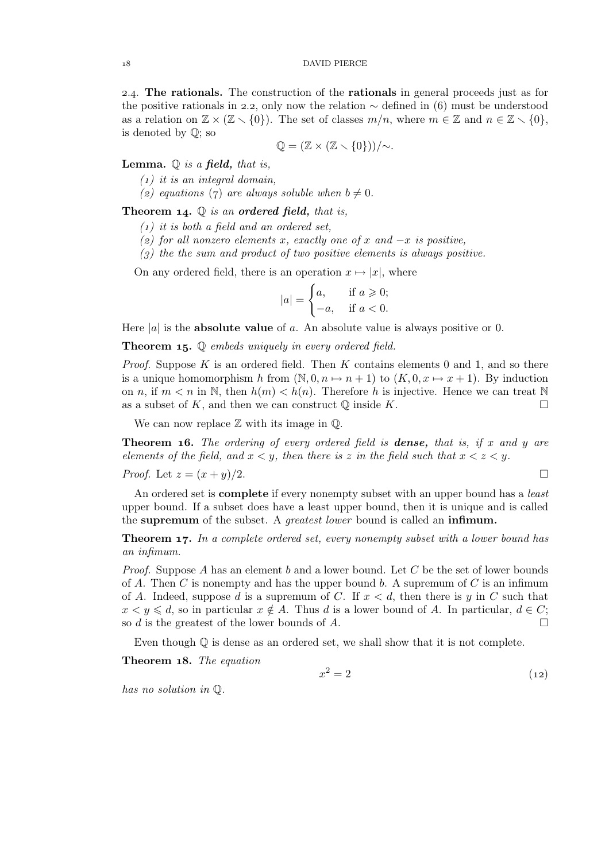2.4. The rationals. The construction of the rationals in general proceeds just as for the positive rationals in 2.2, only now the relation  $\sim$  defined in (6) must be understood as a relation on  $\mathbb{Z} \times (\mathbb{Z} \setminus \{0\})$ . The set of classes  $m/n$ , where  $m \in \mathbb{Z}$  and  $n \in \mathbb{Z} \setminus \{0\}$ , is denoted by Q; so

$$
\mathbb{Q}=(\mathbb{Z}\times(\mathbb{Z}\times\{0\}))/{\sim}.
$$

Lemma. Q *is a* field, *that is,*

*() it is an integral domain,*

(2) equations (7) are always soluble when  $b \neq 0$ .

Theorem 14.  $\mathbb Q$  *is an ordered field, that is,* 

- *() it is both a field and an ordered set,*
- *() for all nonzero elements* x*, exactly one of* x *and* −x *is positive,*

*() the the sum and product of two positive elements is always positive.*

On any ordered field, there is an operation  $x \mapsto |x|$ , where

$$
|a| = \begin{cases} a, & \text{if } a \geqslant 0; \\ -a, & \text{if } a < 0. \end{cases}
$$

Here  $|a|$  is the **absolute value** of a. An absolute value is always positive or 0.

Theorem 15. Q *embeds uniquely in every ordered field.* 

*Proof.* Suppose  $K$  is an ordered field. Then  $K$  contains elements 0 and 1, and so there is a unique homomorphism h from  $(N, 0, n \mapsto n + 1)$  to  $(K, 0, x \mapsto x + 1)$ . By induction on n, if  $m < n$  in N, then  $h(m) < h(n)$ . Therefore h is injective. Hence we can treat N as a subset of K, and then we can construct  $\mathbb Q$  inside K.  $\Box$ 

We can now replace  $\mathbb Z$  with its image in  $\mathbb Q$ .

Theorem . *The ordering of every ordered field is* dense, *that is, if* x *and* y *are elements of the field, and*  $x < y$ *, then there is* z *in the field such that*  $x < z < y$ *.* 

*Proof.* Let 
$$
z = (x + y)/2
$$
.

An ordered set is complete if every nonempty subset with an upper bound has a *least* upper bound. If a subset does have a least upper bound, then it is unique and is called the supremum of the subset. A *greatest lower* bound is called an infimum.

**Theorem 17.** In a complete ordered set, every nonempty subset with a lower bound has *an infimum.*

*Proof.* Suppose A has an element b and a lower bound. Let C be the set of lower bounds of A. Then C is nonempty and has the upper bound b. A supremum of C is an infimum of A. Indeed, suppose d is a supremum of C. If  $x < d$ , then there is y in C such that  $x < y \leq d$ , so in particular  $x \notin A$ . Thus d is a lower bound of A. In particular,  $d \in C$ ;<br>so d is the greatest of the lower bounds of A so d is the greatest of the lower bounds of  $A$ .

Even though  $\mathbb Q$  is dense as an ordered set, we shall show that it is not complete.

Theorem 18. The equation

$$
x^2 = 2\tag{12}
$$

*has no solution in* Q*.*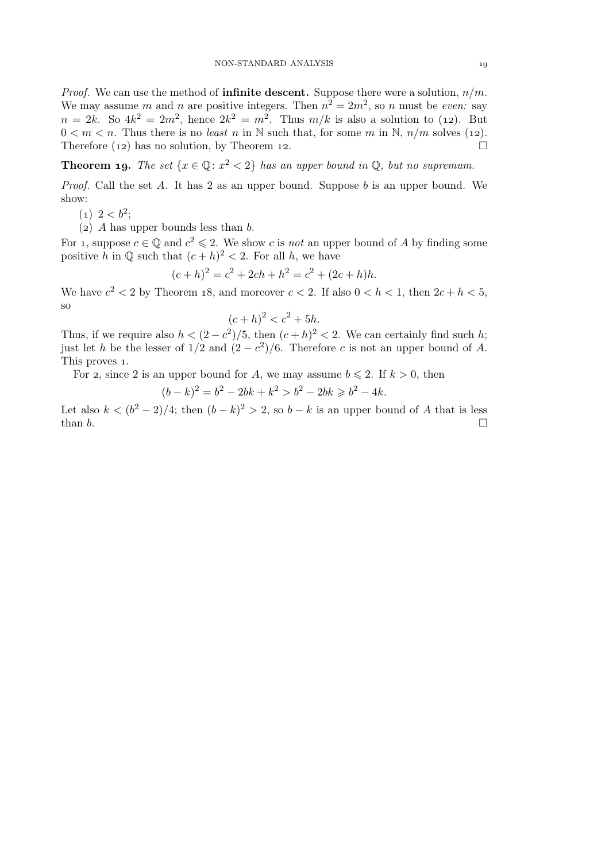*Proof.* We can use the method of **infinite descent.** Suppose there were a solution,  $n/m$ . We may assume m and n are positive integers. Then  $n^2 = 2m^2$ , so n must be *even:* say  $n = 2k$ . So  $4k^2 = 2m^2$ , hence  $2k^2 = m^2$ . Thus  $m/k$  is also a solution to (12). But  $0 < m < n$ . Thus there is no *least* n in N such that, for some m in N,  $n/m$  solves (12). Therefore (12) has no solution, by Theorem 12.  $\Box$ 

**Theorem 19.** *The set*  $\{x \in \mathbb{Q} : x^2 < 2\}$  *has an upper bound in*  $\mathbb{Q}$ *, but no supremum.* 

*Proof.* Call the set A. It has 2 as an upper bound. Suppose b is an upper bound. We show:

- $(1)$   $2 < b^2$ ;
- (2) A has upper bounds less than  $b$ .

For 1, suppose  $c \in \mathbb{Q}$  and  $c^2 \leq 2$ . We show c is *not* an upper bound of A by finding some positive h in  $\mathbb Q$  such that  $(c+h)^2 < 2$ . For all h, we have

$$
(c+h)^2 = c^2 + 2ch + h^2 = c^2 + (2c+h)h.
$$

We have  $c^2 < 2$  by Theorem 18, and moreover  $c < 2$ . If also  $0 < h < 1$ , then  $2c + h < 5$ , so

$$
(c+h)^2 < c^2 + 5h.
$$

Thus, if we require also  $h < (2 - c^2)/5$ , then  $(c + h)^2 < 2$ . We can certainly find such h; just let h be the lesser of  $1/2$  and  $(2 - c^2)/6$ . Therefore c is not an upper bound of A. This proves 1.

For 2, since 2 is an upper bound for A, we may assume  $b \le 2$ . If  $k > 0$ , then

$$
(b-k)^2 = b^2 - 2bk + k^2 > b^2 - 2bk \ge b^2 - 4k.
$$

Let also  $k < (b<sup>2</sup> - 2)/4$ ; then  $(b - k)<sup>2</sup> > 2$ , so  $b - k$  is an upper bound of A that is less than  $b$ .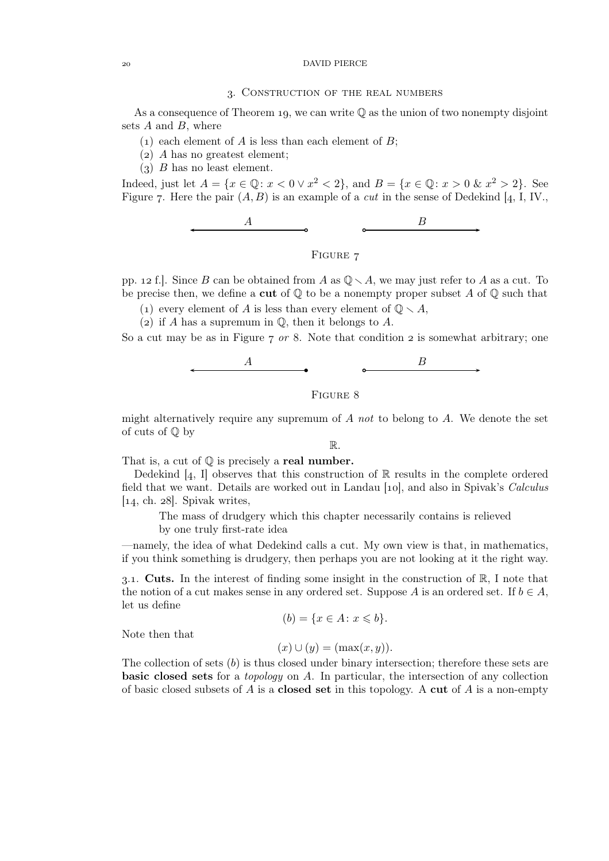### DAVID PIERCE

### . Construction of the real numbers

As a consequence of Theorem 19, we can write  $\mathbb Q$  as the union of two nonempty disjoint sets  $A$  and  $B$ , where

- $(1)$  each element of A is less than each element of B;
- $(a)$  A has no greatest element;
- $(3)$  B has no least element.

Indeed, just let  $A = \{x \in \mathbb{Q} : x < 0 \vee x^2 < 2\}$ , and  $B = \{x \in \mathbb{Q} : x > 0 \& x^2 > 2\}$ . See Figure 7. Here the pair  $(A, B)$  is an example of a *cut* in the sense of Dedekind [4, I, IV.,



# FIGURE 7

pp. 12 f.]. Since B can be obtained from A as  $\mathbb{Q} \setminus A$ , we may just refer to A as a cut. To be precise then, we define a **cut** of  $\mathbb{Q}$  to be a nonempty proper subset A of  $\mathbb{Q}$  such that

(1) every element of A is less than every element of  $\mathbb{Q} \setminus A$ ,

(2) if A has a supremum in  $\mathbb Q$ , then it belongs to A.

So a cut may be as in Figure  $\tau$  or 8. Note that condition  $\sigma$  is somewhat arbitrary; one



FIGURE 8

might alternatively require any supremum of A *not* to belong to A. We denote the set of cuts of Q by

R.

That is, a cut of  $\mathbb Q$  is precisely a **real number.** 

Dedekind  $[4, 1]$  observes that this construction of  $\mathbb R$  results in the complete ordered field that we want. Details are worked out in Landau [10], and also in Spivak's *Calculus*  $[14, ch. 28]$ . Spivak writes,

The mass of drudgery which this chapter necessarily contains is relieved by one truly first-rate idea

—namely, the idea of what Dedekind calls a cut. My own view is that, in mathematics, if you think something is drudgery, then perhaps you are not looking at it the right way.

3.1. Cuts. In the interest of finding some insight in the construction of  $\mathbb{R}$ , I note that the notion of a cut makes sense in any ordered set. Suppose A is an ordered set. If  $b \in A$ , let us define

$$
(b) = \{x \in A \colon x \leqslant b\}.
$$

Note then that

$$
(x) \cup (y) = (\max(x, y)).
$$

The collection of sets  $(b)$  is thus closed under binary intersection; therefore these sets are basic closed sets for a *topology* on A. In particular, the intersection of any collection of basic closed subsets of A is a **closed set** in this topology. A **cut** of A is a non-empty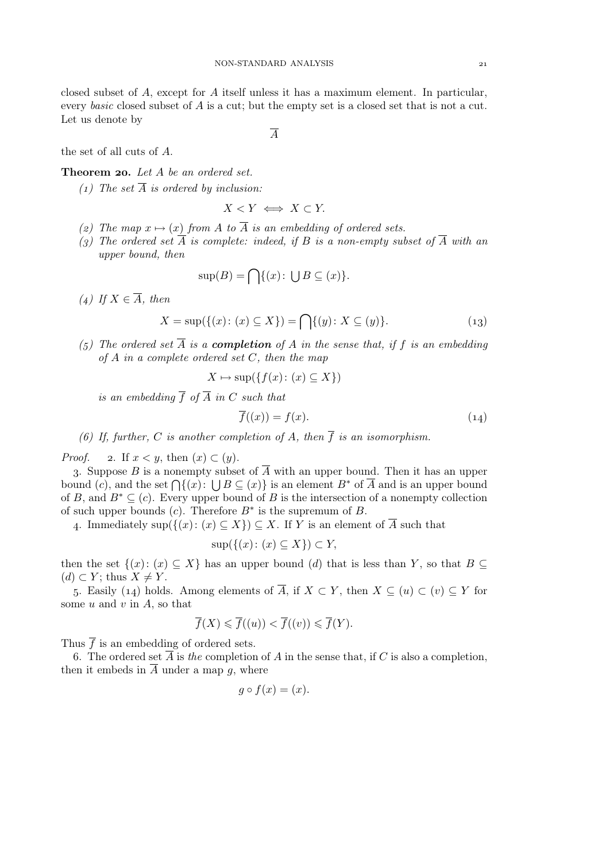closed subset of A, except for A itself unless it has a maximum element. In particular, every *basic* closed subset of A is a cut; but the empty set is a closed set that is not a cut. Let us denote by

A

the set of all cuts of A.

Theorem 20. Let A be an ordered set.

 $(1)$  The set  $\overline{A}$  *is ordered by inclusion:* 

$$
X < Y \iff X \subset Y.
$$

- (2) The map  $x \mapsto (x)$  from A to  $\overline{A}$  *is an embedding of ordered sets.*
- (3) The ordered set  $\overline{A}$  *is complete: indeed, if*  $B$  *is a non-empty subset of*  $\overline{A}$  *with an upper bound, then*

$$
\sup(B) = \bigcap \{(x) \colon \bigcup B \subseteq (x)\}.
$$

 $(4)$  *If*  $X \in \overline{A}$ *, then* 

$$
X = \sup(\{(x) : (x) \subseteq X\}) = \bigcap \{(y) : X \subseteq (y)\}.
$$
 (13)

 $(5)$  The ordered set  $\overline{A}$  *is a* **completion** of A *in the sense that, if* f *is an embedding of* A *in a complete ordered set* C*, then the map*

$$
X \mapsto \sup(\{f(x) \colon (x) \subseteq X\})
$$

*is an embedding*  $\overline{f}$  *of*  $\overline{A}$  *in*  $C$  *such that* 

$$
\overline{f}((x)) = f(x). \tag{14}
$$

*(6)* If, further, C is another completion of A, then  $\overline{f}$  is an isomorphism.

*Proof.* 2. If  $x < y$ , then  $(x) \subset (y)$ .

3. Suppose B is a nonempty subset of  $\overline{A}$  with an upper bound. Then it has an upper bound (c), and the set  $\bigcap \{(x) : \bigcup B \subseteq (x)\}$  is an element  $B^*$  of  $\overline{A}$  and is an upper bound of B, and  $B^* \subseteq (c)$ . Every upper bound of B is the intersection of a nonempty collection of such upper bounds  $(c)$ . Therefore  $B^*$  is the supremum of  $B$ .

4. Immediately sup $({(x): (x) \subseteq X}) \subseteq X$ . If Y is an element of  $\overline{A}$  such that

$$
\sup(\{(x)\colon(x)\subseteq X\})\subset Y,
$$

then the set  $\{(x): (x) \subseteq X\}$  has an upper bound (d) that is less than Y, so that  $B \subseteq$  $(d) \subset Y$ ; thus  $X \neq Y$ .

5. Easily (14) holds. Among elements of  $\overline{A}$ , if  $X \subset Y$ , then  $X \subset (u) \subset (v) \subset Y$  for some  $u$  and  $v$  in  $A$ , so that

$$
\overline{f}(X) \leqslant \overline{f}((u)) < \overline{f}((v)) \leqslant \overline{f}(Y).
$$

Thus  $\overline{f}$  is an embedding of ordered sets.

6. The ordered set  $\overline{A}$  is *the* completion of A in the sense that, if C is also a completion, then it embeds in  $\overline{A}$  under a map g, where

$$
g \circ f(x) = (x).
$$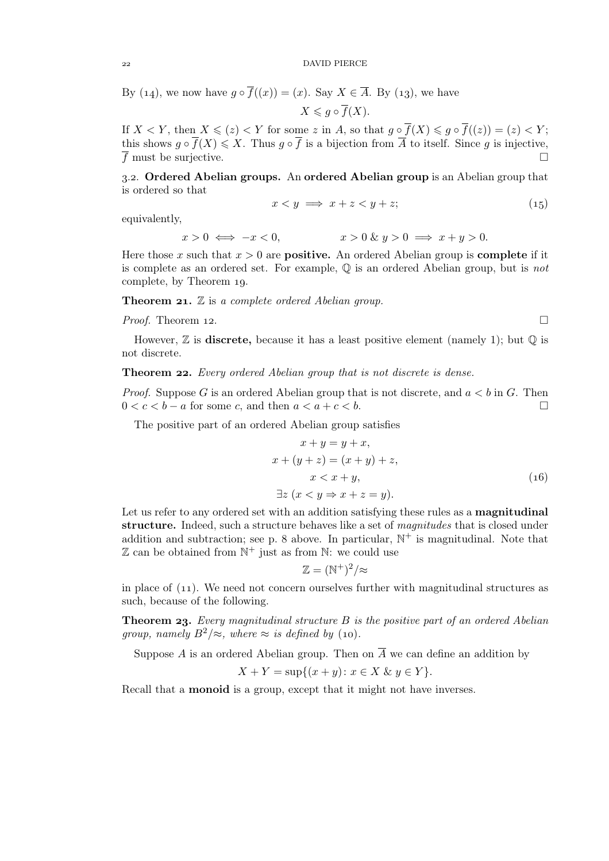By (14), we now have  $g \circ \overline{f}((x)) = (x)$ . Say  $X \in \overline{A}$ . By (13), we have

$$
X \leq g \circ \overline{f}(X).
$$

If  $X \leq Y$ , then  $X \leq (z) \leq Y$  for some z in A, so that  $g \circ \overline{f}(X) \leq g \circ \overline{f}((z)) = (z) \leq Y$ ; this shows  $g \circ \overline{f}(X) \leqslant X$ . Thus  $g \circ \overline{f}$  is a bijection from  $\overline{A}$  to itself. Since g is injective,  $\overline{f}$  must be surjective.

3.2. Ordered Abelian groups. An ordered Abelian group is an Abelian group that is ordered so that

$$
x < y \implies x + z < y + z;
$$
 (15)

equivalently,

$$
x > 0 \iff -x < 0,
$$
  

$$
x > 0 \& y > 0 \implies x + y > 0.
$$

Here those x such that  $x > 0$  are **positive.** An ordered Abelian group is **complete** if it is complete as an ordered set. For example, Q is an ordered Abelian group, but is *not* complete, by Theorem 19.

**Theorem 21.**  $\mathbb Z$  is a complete ordered Abelian group.

*Proof.* Theorem 12.

$$
\Box
$$

However,  $\mathbb Z$  is **discrete**, because it has a least positive element (namely 1); but  $\mathbb Q$  is not discrete.

### **Theorem 22.** *Every ordered Abelian group that is not discrete is dense.*

*Proof.* Suppose G is an ordered Abelian group that is not discrete, and  $a < b$  in G. Then  $0 < c < b - a$  for some c, and then  $a < a + c < b$ .

The positive part of an ordered Abelian group satisfies

$$
x + y = y + x,
$$
  
\n
$$
x + (y + z) = (x + y) + z,
$$
  
\n
$$
x < x + y,
$$
  
\n
$$
\exists z \ (x < y \Rightarrow x + z = y).
$$
\n(16)

Let us refer to any ordered set with an addition satisfying these rules as a **magnitudinal** structure. Indeed, such a structure behaves like a set of *magnitudes* that is closed under addition and subtraction; see p. 8 above. In particular,  $\mathbb{N}^+$  is magnitudinal. Note that  $\mathbb Z$  can be obtained from  $\mathbb N^+$  just as from  $\mathbb N$ : we could use

$$
\mathbb{Z}=(\mathbb{N}^+)^2/\approx
$$

in place of  $(1)$ . We need not concern ourselves further with magnitudinal structures as such, because of the following.

**Theorem 23.** *Every magnitudinal structure B is the positive part of an ordered Abelian group, namely*  $B^2 \approx$ *, where*  $\approx$  *is defined by* (10).

Suppose A is an ordered Abelian group. Then on  $\overline{A}$  we can define an addition by

$$
X + Y = \sup\{(x + y) \colon x \in X \& y \in Y\}.
$$

Recall that a monoid is a group, except that it might not have inverses.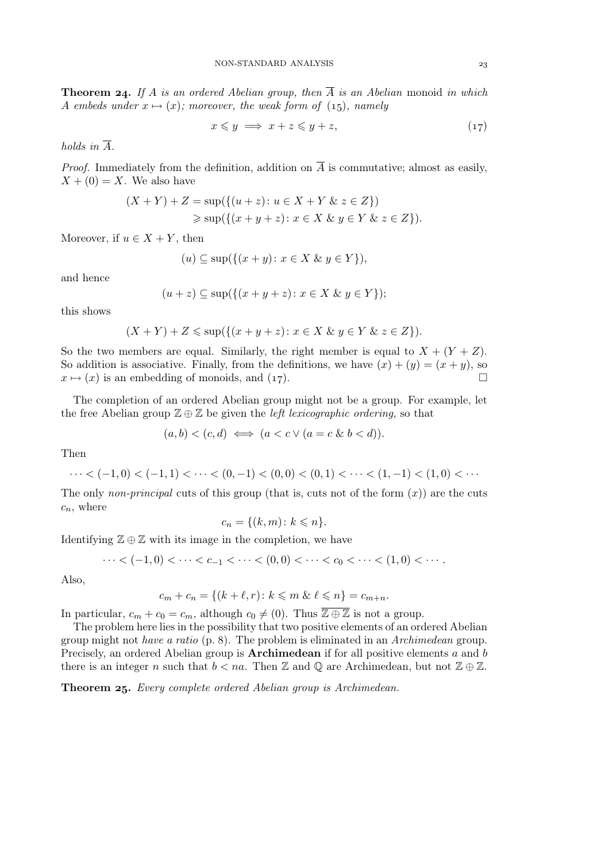**Theorem 24.** If A is an ordered Abelian group, then  $\overline{A}$  is an Abelian monoid in which A embeds under  $x \mapsto (x)$ ; moreover, the weak form of (15), namely

$$
x \leqslant y \implies x + z \leqslant y + z,\tag{17}
$$

*holds in*  $\overline{A}$ *.* 

*Proof.* Immediately from the definition, addition on  $\overline{A}$  is commutative; almost as easily,  $X + (0) = X$ . We also have

$$
(X + Y) + Z = \sup(\{(u + z) : u \in X + Y \& z \in Z\})
$$
  
\n
$$
\geq \sup(\{(x + y + z) : x \in X \& y \in Y \& z \in Z\}).
$$

Moreover, if  $u \in X + Y$ , then

$$
(u) \subseteq \sup(\{(x+y): x \in X \& y \in Y\}),
$$

and hence

$$
(u+z) \subseteq \sup(\{(x+y+z): x \in X \& y \in Y\});
$$

this shows

$$
(X+Y)+Z \leqslant \sup\left(\{(x+y+z): x \in X \& y \in Y \& z \in Z\}\right).
$$

So the two members are equal. Similarly, the right member is equal to  $X + (Y + Z)$ . So addition is associative. Finally, from the definitions, we have  $(x) + (y) = (x + y)$ , so  $x \mapsto (x)$  is an embedding of monoids, and (17).

The completion of an ordered Abelian group might not be a group. For example, let the free Abelian group Z ⊕ Z be given the *left lexicographic ordering,* so that

$$
(a,b) < (c,d) \iff (a < c \lor (a = c \& b < d)).
$$

Then

$$
\cdots < (-1,0) < (-1,1) < \cdots < (0,-1) < (0,0) < (0,1) < \cdots < (1,-1) < (1,0) < \cdots
$$

The only *non-principal* cuts of this group (that is, cuts not of the form  $(x)$ ) are the cuts  $c_n$ , where

$$
c_n = \{(k, m) \colon k \leqslant n\}.
$$

Identifying  $\mathbb{Z} \oplus \mathbb{Z}$  with its image in the completion, we have

$$
\cdots < (-1,0) < \cdots < c_{-1} < \cdots < (0,0) < \cdots < c_0 < \cdots < (1,0) < \cdots.
$$

Also,

$$
c_m + c_n = \{(k + \ell, r) \colon k \leqslant m \& \ell \leqslant n\} = c_{m+n}.
$$

In particular,  $c_m + c_0 = c_m$ , although  $c_0 \neq (0)$ . Thus  $\overline{\mathbb{Z} \oplus \mathbb{Z}}$  is not a group.

The problem here lies in the possibility that two positive elements of an ordered Abelian group might not *have a ratio* (p. ). The problem is eliminated in an *Archimedean* group. Precisely, an ordered Abelian group is **Archimedean** if for all positive elements  $a$  and  $b$ there is an integer n such that  $b < na$ . Then Z and Q are Archimedean, but not  $\mathbb{Z} \oplus \mathbb{Z}$ .

Theorem 25. *Every complete ordered Abelian group is Archimedean.*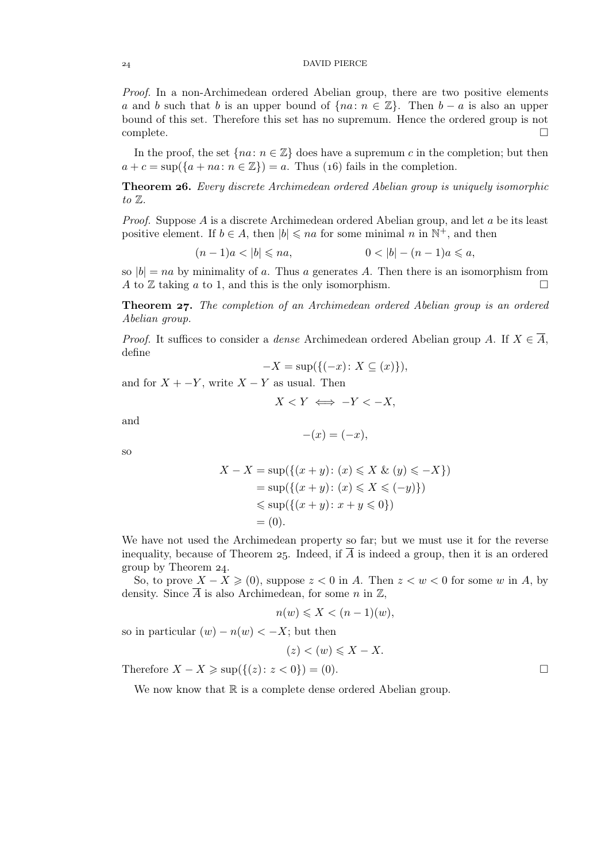*Proof.* In a non-Archimedean ordered Abelian group, there are two positive elements a and b such that b is an upper bound of  ${na : n \in \mathbb{Z}}$ . Then  $b - a$  is also an upper bound of this set. Therefore this set has no supremum. Hence the ordered group is not  $\Box$  complete.  $\Box$ 

In the proof, the set  $\{na: n \in \mathbb{Z}\}\)$  does have a supremum c in the completion; but then  $a + c = \sup(\{a + na : n \in \mathbb{Z}\}) = a$ . Thus (16) fails in the completion.

Theorem . *Every discrete Archimedean ordered Abelian group is uniquely isomorphic to* Z*.*

*Proof.* Suppose A is a discrete Archimedean ordered Abelian group, and let a be its least positive element. If  $b \in A$ , then  $|b| \leqslant na$  for some minimal n in  $\mathbb{N}^+$ , and then

$$
(n-1)a < |b| \le na,
$$
  
 
$$
0 < |b| - (n-1)a \le a,
$$

so  $|b| = na$  by minimality of a. Thus a generates A. Then there is an isomorphism from A to Z taking a to 1, and this is the only isomorphism. A to  $\mathbb Z$  taking a to 1, and this is the only isomorphism.

**Theorem 27.** The completion of an Archimedean ordered Abelian group is an ordered *Abelian group.*

*Proof.* It suffices to consider a *dense* Archimedean ordered Abelian group A. If  $X \in \overline{A}$ , define

$$
-X = \sup\{\{(-x) \colon X \subseteq (x)\}\},\
$$

and for  $X + -Y$ , write  $X - Y$  as usual. Then

 $X \leq Y \iff -Y \leq -X$ 

and

$$
-(x) = (-x),
$$

so

$$
X - X = \sup(\{(x + y) : (x) \le X \& (y) \le -X\})
$$
  
=  $\sup(\{(x + y) : (x) \le X \le (-y)\})$   
 $\le \sup(\{(x + y) : x + y \le 0\})$   
= (0).

We have not used the Archimedean property so far; but we must use it for the reverse inequality, because of Theorem 25. Indeed, if  $\overline{A}$  is indeed a group, then it is an ordered group by Theorem  $24$ .

So, to prove  $X - X \geqslant (0)$ , suppose  $z < 0$  in A. Then  $z < w < 0$  for some w in A, by density. Since  $\overline{A}$  is also Archimedean, for some n in  $\mathbb{Z}$ ,

$$
n(w) \leqslant X < (n-1)(w),
$$

so in particular  $(w) - n(w) < -X$ ; but then

 $(z) < (w) \leqslant X - X.$ 

Therefore  $X - X \geq \sup(\{(z): z < 0\}) = (0).$ 

We now know that  $\mathbb R$  is a complete dense ordered Abelian group.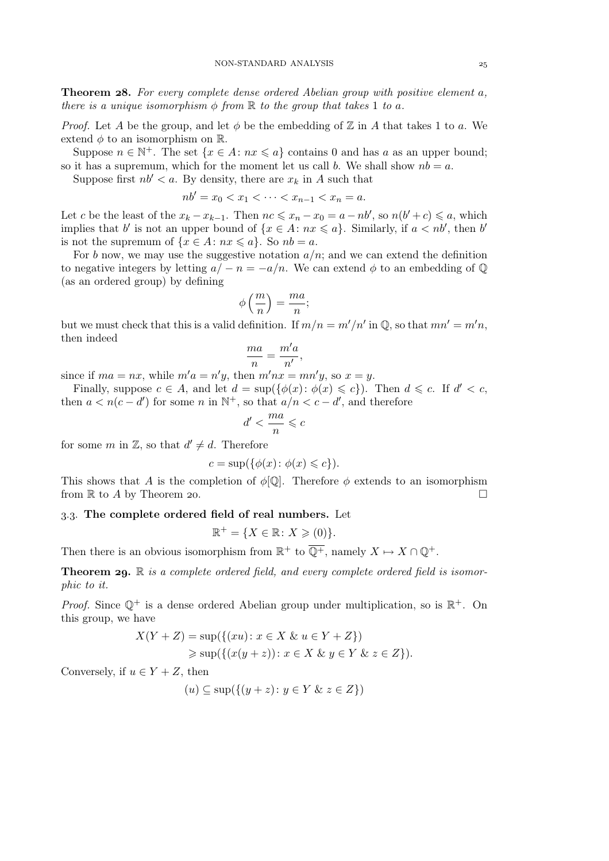**Theorem 28.** For every complete dense ordered Abelian group with positive element a, *there is a unique isomorphism*  $\phi$  *from*  $\mathbb R$  *to the group that takes* 1 *to* a.

*Proof.* Let A be the group, and let  $\phi$  be the embedding of  $\mathbb{Z}$  in A that takes 1 to a. We extend  $\phi$  to an isomorphism on  $\mathbb{R}$ .

Suppose  $n \in \mathbb{N}^+$ . The set  $\{x \in A : nx \leq a\}$  contains 0 and has a as an upper bound; so it has a supremum, which for the moment let us call b. We shall show  $nb = a$ .

Suppose first  $nb' < a$ . By density, there are  $x_k$  in A such that

$$
nb' = x_0 < x_1 < \cdots < x_{n-1} < x_n = a.
$$

Let c be the least of the  $x_k - x_{k-1}$ . Then  $nc \leq x_n - x_0 = a - nb'$ , so  $n(b' + c) \leq a$ , which implies that b' is not an upper bound of  $\{x \in A : nx \leq a\}$ . Similarly, if  $a < nb'$ , then b' is not the supremum of  $\{x \in A : nx \leq a\}$ . So  $nb = a$ .

For b now, we may use the suggestive notation  $a/n$ ; and we can extend the definition to negative integers by letting  $a/-n = -a/n$ . We can extend  $\phi$  to an embedding of  $\mathbb{Q}$ (as an ordered group) by defining

$$
\phi\left(\frac{m}{n}\right) = \frac{ma}{n};
$$

but we must check that this is a valid definition. If  $m/n = m'/n'$  in  $\mathbb{Q}$ , so that  $mn' = m'n$ , then indeed

$$
\frac{ma}{n} = \frac{m'a}{n'},
$$

since if  $ma = nx$ , while  $m'a = n'y$ , then  $m'nx = mn'y$ , so  $x = y$ .

Finally, suppose  $c \in A$ , and let  $d = \sup(\{\phi(x) : \phi(x) \leq c\})$ . Then  $d \leq c$ . If  $d' < c$ , then  $a < n(c - d')$  for some n in  $\mathbb{N}^+$ , so that  $a/n < c - d'$ , and therefore

$$
d'<\frac{ma}{n}\leqslant c
$$

for some  $m$  in  $\mathbb{Z}$ , so that  $d' \neq d$ . Therefore

$$
c = \sup(\{\phi(x) \colon \phi(x) \leqslant c\}).
$$

This shows that A is the completion of  $\phi[\mathbb{Q}]$ . Therefore  $\phi$  extends to an isomorphism from  $\mathbb R$  to A by Theorem 20.

# 3.3. The complete ordered field of real numbers. Let

$$
\mathbb{R}^+ = \{ X \in \mathbb{R} \colon X \geqslant (0) \}.
$$

Then there is an obvious isomorphism from  $\mathbb{R}^+$  to  $\overline{\mathbb{Q}^+}$ , namely  $X \mapsto X \cap \mathbb{Q}^+$ .

**Theorem 29.** R *is a complete ordered field, and every complete ordered field is isomorphic to it.*

*Proof.* Since  $\mathbb{Q}^+$  is a dense ordered Abelian group under multiplication, so is  $\mathbb{R}^+$ . On this group, we have

$$
X(Y + Z) = \sup(\{(xu) : x \in X \& u \in Y + Z\})
$$
  
\n
$$
\geq \sup(\{(x(y + z)) : x \in X \& y \in Y \& z \in Z\}).
$$

Conversely, if  $u \in Y + Z$ , then

$$
(u) \subseteq \sup(\{(y+z): y \in Y \& z \in Z\})
$$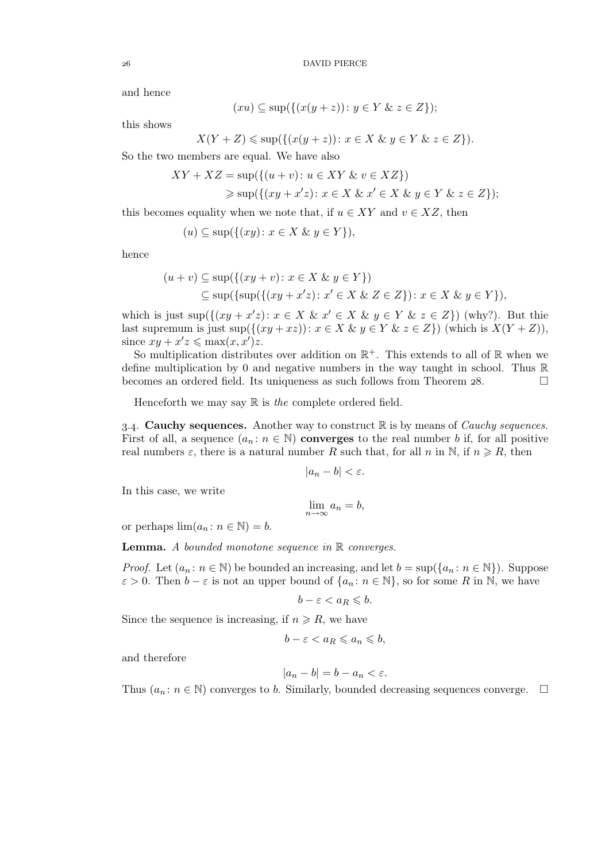and hence

$$
(xu) \subseteq \sup(\{(x(y+z)) : y \in Y \& z \in Z\});
$$

this shows

$$
X(Y+Z) \leq \sup(\{(x(y+z)) : x \in X \& y \in Y \& z \in Z\}).
$$

So the two members are equal. We have also

$$
XY + XZ = \sup(\{(u+v): u \in XY \& v \in XZ\})
$$
  
\n
$$
\geq \sup(\{(xy + x'z): x \in X \& x' \in X \& y \in Y \& z \in Z\});
$$

this becomes equality when we note that, if  $u \in XY$  and  $v \in XZ$ , then

$$
(u) \subseteq \sup(\{(xy) : x \in X \& y \in Y\}),
$$

hence

$$
(u+v) \subseteq \sup(\{(xy+v): x \in X \& y \in Y\})
$$
  

$$
\subseteq \sup(\{\sup(\{(xy+x'z): x' \in X \& Z \in Z\}): x \in X \& y \in Y\}),
$$

which is just  $\sup(\{(xy + x'z): x \in X \& x' \in X \& y \in Y \& z \in Z\})$  (why?). But this last supremum is just sup $(\{(xy+xz)): x \in X \& y \in Y \& z \in Z\})$  (which is  $X(Y+Z)$ ), since  $xy + x'z \le \max(x, x')z$ .

So multiplication distributes over addition on  $\mathbb{R}^+$ . This extends to all of  $\mathbb R$  when we define multiplication by 0 and negative numbers in the way taught in school. Thus  $\mathbb R$ becomes an ordered field. Its uniqueness as such follows from Theorem 28.  $\Box$ 

Henceforth we may say R is *the* complete ordered field.

3.4. **Cauchy sequences.** Another way to construct  $\mathbb{R}$  is by means of *Cauchy sequences*. First of all, a sequence  $(a_n : n \in \mathbb{N})$  converges to the real number b if, for all positive real numbers  $\varepsilon$ , there is a natural number R such that, for all n in N, if  $n \ge R$ , then

$$
|a_n-b|<\varepsilon.
$$

In this case, we write

$$
\lim_{n \to \infty} a_n = b,
$$

or perhaps  $\lim_{n \to \infty} (a_n : n \in \mathbb{N}) = b$ .

Lemma. *A bounded monotone sequence in* R *converges.*

*Proof.* Let  $(a_n : n \in \mathbb{N})$  be bounded an increasing, and let  $b = \sup(\{a_n : n \in \mathbb{N}\})$ . Suppose  $\varepsilon > 0$ . Then  $b - \varepsilon$  is not an upper bound of  $\{a_n : n \in \mathbb{N}\}\)$ , so for some R in N, we have

$$
b-\varepsilon
$$

Since the sequence is increasing, if  $n \ge R$ , we have

$$
b - \varepsilon < a_R \leqslant a_n \leqslant b,
$$

and therefore

$$
|a_n - b| = b - a_n < \varepsilon.
$$

Thus  $(a_n : n \in \mathbb{N})$  converges to b. Similarly, bounded decreasing sequences converge.  $\Box$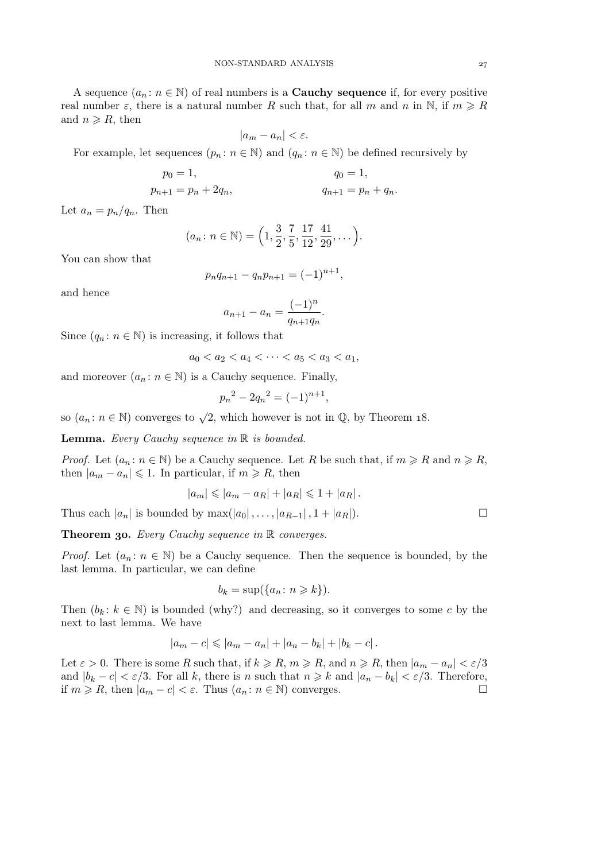A sequence  $(a_n : n \in \mathbb{N})$  of real numbers is a **Cauchy sequence** if, for every positive real number  $\varepsilon$ , there is a natural number R such that, for all m and n in N, if  $m \geq R$ and  $n \ge R$ , then

$$
|a_m - a_n| < \varepsilon.
$$

For example, let sequences  $(p_n : n \in \mathbb{N})$  and  $(q_n : n \in \mathbb{N})$  be defined recursively by

$$
p_0 = 1,
$$
  
\n $q_0 = 1,$   
\n $q_{n+1} = p_n + 2q_n,$   
\n $q_{n+1} = p_n + q_n.$ 

Let  $a_n = p_n/q_n$ . Then

$$
(a_n \colon n \in \mathbb{N}) = \left(1, \frac{3}{2}, \frac{7}{5}, \frac{17}{12}, \frac{41}{29}, \dots\right).
$$

You can show that

$$
p_n q_{n+1} - q_n p_{n+1} = (-1)^{n+1},
$$

and hence

$$
a_{n+1} - a_n = \frac{(-1)^n}{q_{n+1}q_n}.
$$

Since  $(q_n : n \in \mathbb{N})$  is increasing, it follows that

$$
a_0 < a_2 < a_4 < \cdots < a_5 < a_3 < a_1
$$

and moreover  $(a_n : n \in \mathbb{N})$  is a Cauchy sequence. Finally,

$$
p_n^2 - 2q_n^2 = (-1)^{n+1},
$$

so  $(a_n: n \in \mathbb{N})$  converges to  $\sqrt{2}$ , which however is not in  $\mathbb{Q}$ , by Theorem 18.

Lemma. *Every Cauchy sequence in* R *is bounded.*

*Proof.* Let  $(a_n : n \in \mathbb{N})$  be a Cauchy sequence. Let R be such that, if  $m \ge R$  and  $n \ge R$ , then  $|a_m - a_n| \leq 1$ . In particular, if  $m \geq R$ , then

$$
|a_m| \leq |a_m - a_R| + |a_R| \leq 1 + |a_R|.
$$

Thus each  $|a_n|$  is bounded by  $\max(|a_0|, \ldots, |a_{R-1}|, 1 + |a_R|)$ .

Theorem 30. *Every Cauchy sequence in* R *converges.* 

*Proof.* Let  $(a_n : n \in \mathbb{N})$  be a Cauchy sequence. Then the sequence is bounded, by the last lemma. In particular, we can define

$$
b_k = \sup(\{a_n : n \ge k\}).
$$

Then  $(b_k : k \in \mathbb{N})$  is bounded (why?) and decreasing, so it converges to some c by the next to last lemma. We have

$$
|a_m - c| \leq |a_m - a_n| + |a_n - b_k| + |b_k - c|.
$$

Let  $\varepsilon > 0$ . There is some R such that, if  $k \ge R$ ,  $m \ge R$ , and  $n \ge R$ , then  $|a_m - a_n| < \varepsilon/3$ and  $|b_k - c| < \varepsilon/3$ . For all k, there is n such that  $n \ge k$  and  $|a_n - b_k| < \varepsilon/3$ . Therefore, if  $m \ge R$ , then  $|a_m - c| < \varepsilon$ . Thus  $(a_m : n \in \mathbb{N})$  converges. if  $m \ge R$ , then  $|a_m - c| < \varepsilon$ . Thus  $(a_n : n \in \mathbb{N})$  converges.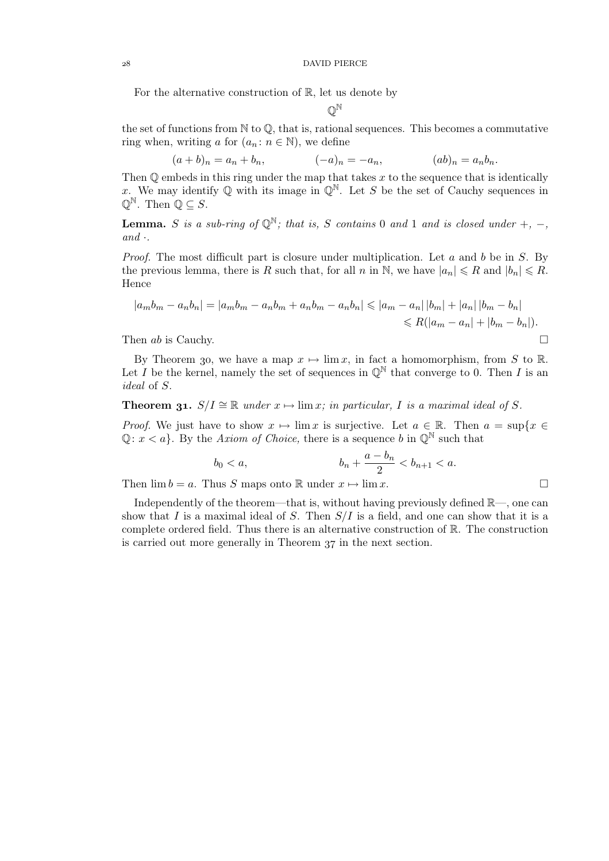For the alternative construction of  $\mathbb{R}$ , let us denote by

$$
\mathbb{Q}^\mathbb{N}
$$

the set of functions from  $\mathbb N$  to  $\mathbb Q$ , that is, rational sequences. This becomes a commutative ring when, writing a for  $(a_n : n \in \mathbb{N})$ , we define

$$
(a+b)_n = a_n + b_n,
$$
  $(-a)_n = -a_n,$   $(ab)_n = a_n b_n.$ 

Then  $\mathbb O$  embeds in this ring under the map that takes  $x$  to the sequence that is identically x. We may identify Q with its image in  $\mathbb{Q}^{\mathbb{N}}$ . Let S be the set of Cauchy sequences in  $\mathbb{Q}^{\mathbb{N}}$ . Then  $\mathbb{Q} \subseteq S$ .

**Lemma.** S is a sub-ring of  $\mathbb{Q}^{\mathbb{N}}$ ; that is, S contains 0 and 1 and is closed under +, -,  $and \cdot$ .

*Proof.* The most difficult part is closure under multiplication. Let a and b be in S. By the previous lemma, there is R such that, for all n in N, we have  $|a_n| \le R$  and  $|b_n| \le R$ . Hence

$$
|a_m b_m - a_n b_n| = |a_m b_m - a_n b_m + a_n b_m - a_n b_n| \le |a_m - a_n| |b_m| + |a_n| |b_m - b_n|
$$
  
 
$$
\le R(|a_m - a_n| + |b_m - b_n|).
$$
  
 Then *ab* is Cauchy.

By Theorem 30, we have a map  $x \mapsto \lim x$ , in fact a homomorphism, from S to R. Let I be the kernel, namely the set of sequences in  $\mathbb{Q}^{\mathbb{N}}$  that converge to 0. Then I is an *ideal* of S.

# **Theorem 31.**  $S/I \cong \mathbb{R}$  *under*  $x \mapsto \lim x$ *; in particular,* I *is a maximal ideal of* S.

*Proof.* We just have to show  $x \mapsto \lim x$  is surjective. Let  $a \in \mathbb{R}$ . Then  $a = \sup\{x \in \mathbb{R}\}$  $\mathbb{Q}: x \leq a$ . By the *Axiom of Choice*, there is a sequence b in  $\mathbb{Q}^{\mathbb{N}}$  such that

$$
b_0 < a, \qquad \qquad b_n + \frac{a - b_n}{2} < b_{n+1} < a.
$$

Then  $\lim b = a$ . Thus S maps onto R under  $x \mapsto \lim x$ .

Independently of the theorem—that is, without having previously defined  $\mathbb{R}$ —, one can show that I is a maximal ideal of S. Then  $S/I$  is a field, and one can show that it is a complete ordered field. Thus there is an alternative construction of R. The construction is carried out more generally in Theorem 37 in the next section.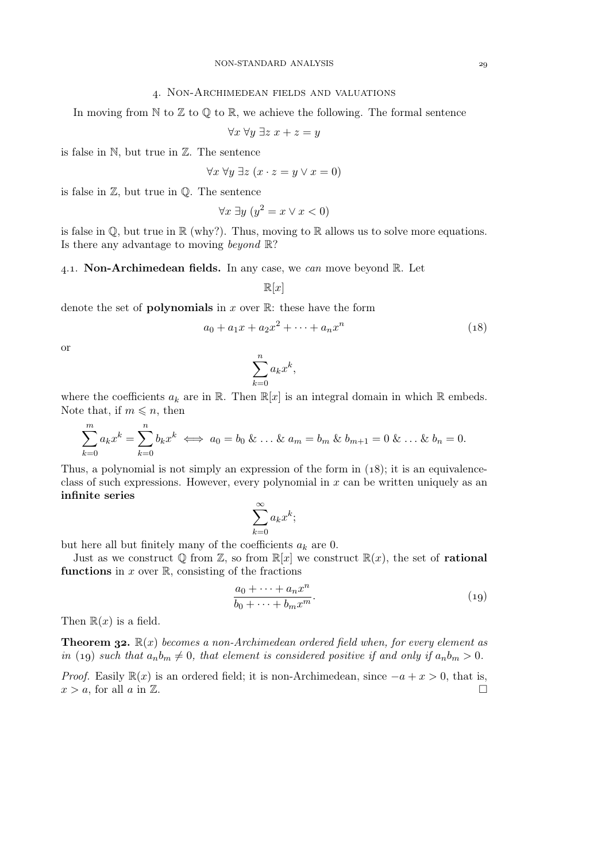## . Non-Archimedean fields and valuations

In moving from  $\mathbb N$  to  $\mathbb Z$  to  $\mathbb Q$  to  $\mathbb R$ , we achieve the following. The formal sentence

$$
\forall x \; \forall y \; \exists z \; x + z = y
$$

is false in N, but true in Z. The sentence

$$
\forall x \,\forall y \,\exists z \,(x \cdot z = y \vee x = 0)
$$

is false in  $\mathbb{Z}$ , but true in  $\mathbb{Q}$ . The sentence

$$
\forall x \; \exists y \; (y^2 = x \lor x < 0)
$$

is false in  $\mathbb{Q}$ , but true in  $\mathbb{R}$  (why?). Thus, moving to  $\mathbb{R}$  allows us to solve more equations. Is there any advantage to moving *beyond* R?

#### .. Non-Archimedean fields. In any case, we *can* move beyond R. Let

$$
\mathbb{R}[x]
$$

denote the set of **polynomials** in x over  $\mathbb{R}$ : these have the form

$$
a_0 + a_1 x + a_2 x^2 + \dots + a_n x^n \tag{18}
$$

or

$$
\sum_{k=0}^{n} a_k x^k,
$$

where the coefficients  $a_k$  are in R. Then  $\mathbb{R}[x]$  is an integral domain in which R embeds. Note that, if  $m \leq n$ , then

$$
\sum_{k=0}^{m} a_k x^k = \sum_{k=0}^{n} b_k x^k \iff a_0 = b_0 \& \dots \& a_m = b_m \& b_{m+1} = 0 \& \dots \& b_n = 0.
$$

Thus, a polynomial is not simply an expression of the form in  $(18)$ ; it is an equivalenceclass of such expressions. However, every polynomial in  $x$  can be written uniquely as an infinite series

$$
\sum_{k=0}^{\infty} a_k x^k;
$$

but here all but finitely many of the coefficients  $a_k$  are 0.

Just as we construct  $\mathbb{Q}$  from  $\mathbb{Z}$ , so from  $\mathbb{R}[x]$  we construct  $\mathbb{R}(x)$ , the set of **rational** functions in  $x$  over  $\mathbb{R}$ , consisting of the fractions

$$
\frac{a_0 + \dots + a_n x^n}{b_0 + \dots + b_m x^m}.
$$
\n(19)

Then  $\mathbb{R}(x)$  is a field.

**Theorem 32.**  $\mathbb{R}(x)$  *becomes a non-Archimedean ordered field when, for every element as in* (19) *such that*  $a_n b_m \neq 0$ *, that element is considered positive if and only if*  $a_n b_m > 0$ *.* 

*Proof.* Easily  $\mathbb{R}(x)$  is an ordered field; it is non-Archimedean, since  $-a + x > 0$ , that is,  $x > a$  for all  $a$  in  $\mathbb{Z}$  $x > a$ , for all a in  $\mathbb{Z}$ .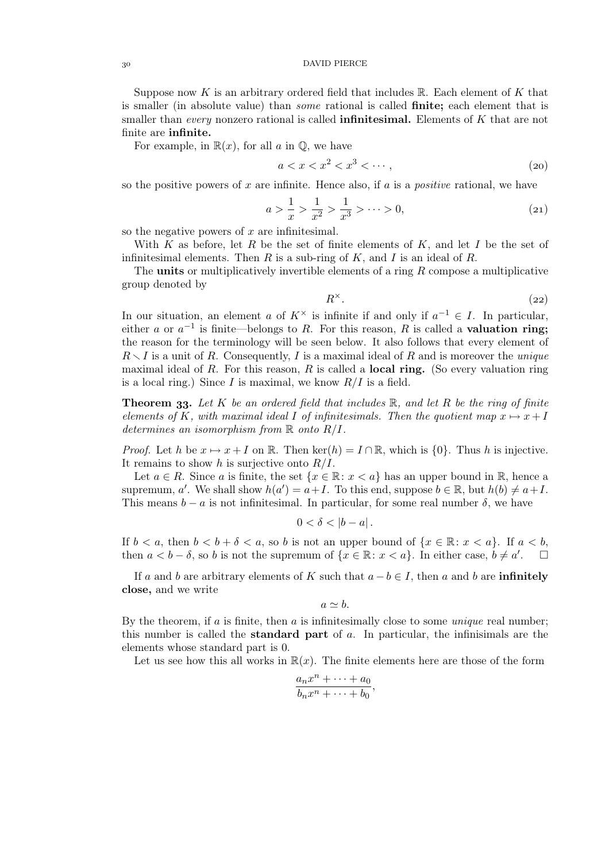### DAVID PIERCE

Suppose now K is an arbitrary ordered field that includes  $\mathbb{R}$ . Each element of K that is smaller (in absolute value) than *some* rational is called finite; each element that is smaller than *every* nonzero rational is called infinitesimal. Elements of K that are not finite are infinite.

For example, in  $\mathbb{R}(x)$ , for all a in  $\mathbb{Q}$ , we have

$$
a < x < x^2 < x^3 < \cdots,\tag{20}
$$

so the positive powers of x are infinite. Hence also, if a is a *positive* rational, we have

$$
a > \frac{1}{x} > \frac{1}{x^2} > \frac{1}{x^3} > \dots > 0,
$$
\n(21)

so the negative powers of  $x$  are infinitesimal.

With K as before, let R be the set of finite elements of  $K$ , and let I be the set of infinitesimal elements. Then R is a sub-ring of K, and I is an ideal of R.

The **units** or multiplicatively invertible elements of a ring  $R$  compose a multiplicative group denoted by

$$
R^{\times}.
$$
 (22)

In our situation, an element a of  $K^{\times}$  is infinite if and only if  $a^{-1} \in I$ . In particular, either a or  $a^{-1}$  is finite—belongs to R. For this reason, R is called a **valuation ring**; the reason for the terminology will be seen below. It also follows that every element of  $R \setminus I$  is a unit of R. Consequently, I is a maximal ideal of R and is moreover the *unique* maximal ideal of R. For this reason, R is called a **local ring.** (So every valuation ring is a local ring.) Since I is maximal, we know  $R/I$  is a field.

**Theorem 33.** Let K be an ordered field that includes  $\mathbb{R}$ , and let R be the ring of finite *elements of* K, with maximal ideal I of infinitesimals. Then the quotient map  $x \mapsto x + I$ *determines an isomorphism from* R *onto* R/I*.*

*Proof.* Let h be  $x \mapsto x + I$  on R. Then ker(h) =  $I \cap \mathbb{R}$ , which is {0}. Thus h is injective. It remains to show h is surjective onto  $R/I$ .

Let  $a \in R$ . Since a is finite, the set  $\{x \in \mathbb{R} : x < a\}$  has an upper bound in  $\mathbb{R}$ , hence a supremum, a'. We shall show  $h(a') = a + I$ . To this end, suppose  $b \in \mathbb{R}$ , but  $h(b) \neq a + I$ . This means  $b - a$  is not infinitesimal. In particular, for some real number  $\delta$ , we have

$$
0<\delta<|b-a|.
$$

If  $b < a$ , then  $b < b + \delta < a$ , so b is not an upper bound of  $\{x \in \mathbb{R} : x < a\}$ . If  $a < b$ , then  $a < b - \delta$ , so b is not the supremum of  $\{x \in \mathbb{R} : x < a\}$ . In either case,  $b \neq a'$  $\Box$ 

If a and b are arbitrary elements of K such that  $a - b \in I$ , then a and b are **infinitely** close, and we write

$$
a\simeq b.
$$

By the theorem, if a is finite, then a is infinitesimally close to some *unique* real number; this number is called the **standard part** of  $a$ . In particular, the infinisimals are the elements whose standard part is 0.

Let us see how this all works in  $\mathbb{R}(x)$ . The finite elements here are those of the form

$$
\frac{a_n x^n + \dots + a_0}{b_n x^n + \dots + b_0},
$$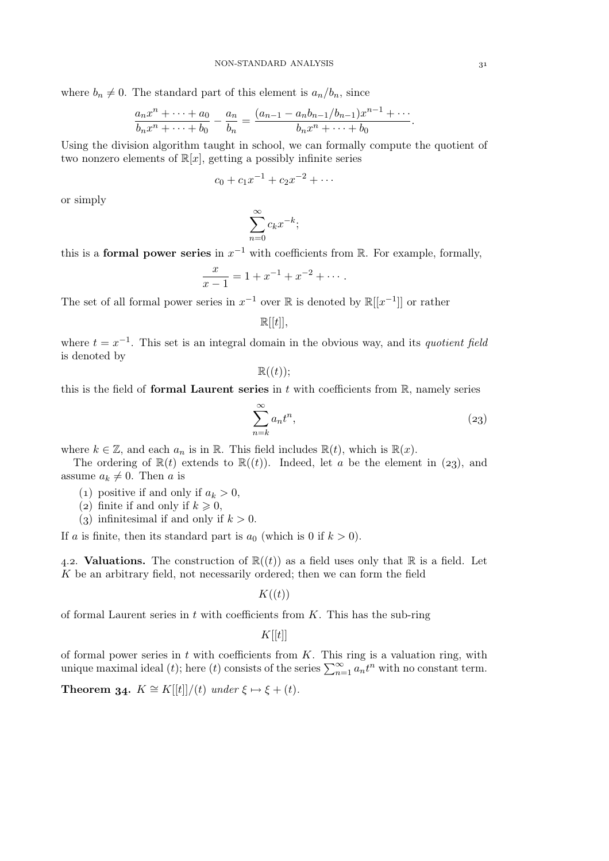where  $b_n \neq 0$ . The standard part of this element is  $a_n/b_n$ , since

$$
\frac{a_n x^n + \dots + a_0}{b_n x^n + \dots + b_0} - \frac{a_n}{b_n} = \frac{(a_{n-1} - a_n b_{n-1}/b_{n-1})x^{n-1} + \dots}{b_n x^n + \dots + b_0}.
$$

Using the division algorithm taught in school, we can formally compute the quotient of two nonzero elements of  $\mathbb{R}[x]$ , getting a possibly infinite series

$$
c_0 + c_1 x^{-1} + c_2 x^{-2} + \cdots
$$

or simply

$$
\sum_{n=0}^{\infty} c_k x^{-k};
$$

this is a **formal power series** in  $x^{-1}$  with coefficients from R. For example, formally,

$$
\frac{x}{x-1} = 1 + x^{-1} + x^{-2} + \cdots
$$

The set of all formal power series in  $x^{-1}$  over R is denoted by  $\mathbb{R}[[x^{-1}]]$  or rather

$$
\mathbb{R}[[t]],
$$

where  $t = x^{-1}$ . This set is an integral domain in the obvious way, and its *quotient field* is denoted by

 $\mathbb{R}((t))$ ;

this is the field of formal Laurent series in  $t$  with coefficients from  $\mathbb R$ , namely series

$$
\sum_{n=k}^{\infty} a_n t^n,
$$
\n(23)

where  $k \in \mathbb{Z}$ , and each  $a_n$  is in  $\mathbb{R}$ . This field includes  $\mathbb{R}(t)$ , which is  $\mathbb{R}(x)$ .

The ordering of  $\mathbb{R}(t)$  extends to  $\mathbb{R}((t))$ . Indeed, let a be the element in (23), and assume  $a_k \neq 0$ . Then a is

- (1) positive if and only if  $a_k > 0$ ,
- (2) finite if and only if  $k \geq 0$ ,
- (3) infinitesimal if and only if  $k > 0$ .

If a is finite, then its standard part is  $a_0$  (which is 0 if  $k > 0$ ).

4.2. Valuations. The construction of  $\mathbb{R}((t))$  as a field uses only that  $\mathbb R$  is a field. Let K be an arbitrary field, not necessarily ordered; then we can form the field

 $K((t))$ 

of formal Laurent series in  $t$  with coefficients from  $K$ . This has the sub-ring

 $K[[t]]$ 

of formal power series in  $t$  with coefficients from  $K$ . This ring is a valuation ring, with unique maximal ideal (t); here (t) consists of the series  $\sum_{n=1}^{\infty} a_n t^n$  with no constant term.

**Theorem 34.**  $K \cong K[[t]]/(t)$  *under*  $\xi \mapsto \xi + (t)$ *.*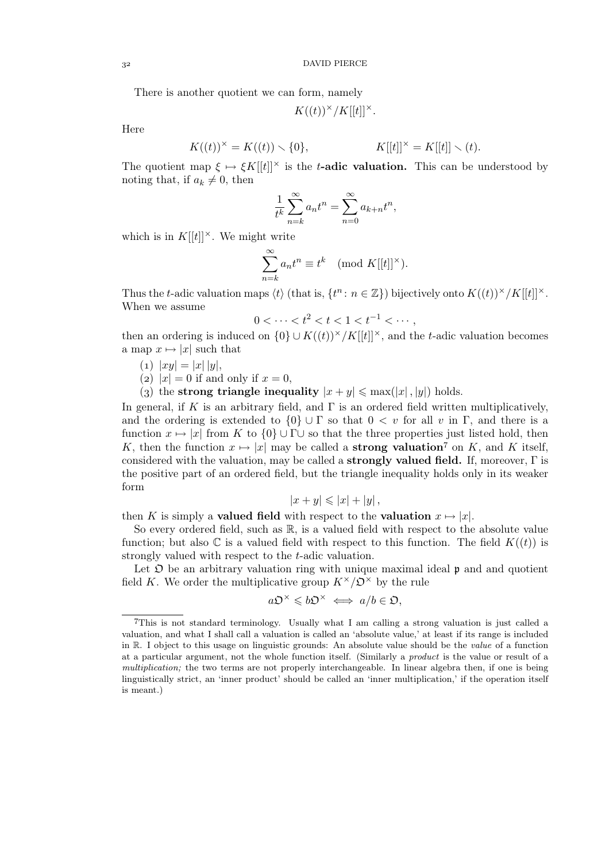There is another quotient we can form, namely

$$
K((t))^\times/K[[t]]^\times.
$$

Here

$$
K((t))^{x} = K((t)) \setminus \{0\}, \qquad K[[t]]^{x} = K[[t]] \setminus (t).
$$

The quotient map  $\xi \mapsto \xi K[[t]]^{\times}$  is the t-adic valuation. This can be understood by noting that, if  $a_k \neq 0$ , then

$$
\frac{1}{t^k} \sum_{n=k}^{\infty} a_n t^n = \sum_{n=0}^{\infty} a_{k+n} t^n,
$$

which is in  $K[[t]]^{\times}$ . We might write

$$
\sum_{n=k}^{\infty} a_n t^n \equiv t^k \pmod{K[[t]]^{\times}}.
$$

Thus the t-adic valuation maps  $\langle t \rangle$  (that is,  $\{t^n : n \in \mathbb{Z}\}\$ ) bijectively onto  $K((t))^{\times}/K[[t]]^{\times}$ . When we assume

$$
0 < \dots < t^2 < t < 1 < t^{-1} < \dotsb,
$$

then an ordering is induced on  $\{0\} \cup K((t))^\times/K[[t]]^\times$ , and the t-adic valuation becomes a map  $x \mapsto |x|$  such that

- (1)  $|xy| = |x| |y|$ ,
- (2)  $|x| = 0$  if and only if  $x = 0$ ,
- (3) the strong triangle inequality  $|x + y| \leq \max(|x|, |y|)$  holds.

In general, if K is an arbitrary field, and  $\Gamma$  is an ordered field written multiplicatively, and the ordering is extended to  $\{0\} \cup \Gamma$  so that  $0 < v$  for all v in  $\Gamma$ , and there is a function  $x \mapsto |x|$  from K to  $\{0\} \cup \Gamma \cup$  so that the three properties just listed hold, then K, then the function  $x \mapsto |x|$  may be called a **strong valuation**<sup>7</sup> on K, and K itself, considered with the valuation, may be called a **strongly valued field.** If, moreover,  $\Gamma$  is the positive part of an ordered field, but the triangle inequality holds only in its weaker form

$$
|x+y| \leqslant |x|+|y|,
$$

then K is simply a **valued field** with respect to the **valuation**  $x \mapsto |x|$ .

So every ordered field, such as R, is a valued field with respect to the absolute value function; but also  $\mathbb C$  is a valued field with respect to this function. The field  $K((t))$  is strongly valued with respect to the t-adic valuation.

Let  $\mathfrak D$  be an arbitrary valuation ring with unique maximal ideal  $\mathfrak p$  and and quotient field K. We order the multiplicative group  $K^{\times}/\mathcal{D}^{\times}$  by the rule

$$
a\mathfrak{O}^\times\leqslant b\mathfrak{O}^\times\iff a/b\in\mathfrak{O},
$$

This is not standard terminology. Usually what I am calling a strong valuation is just called a valuation, and what I shall call a valuation is called an 'absolute value,' at least if its range is included in R. I object to this usage on linguistic grounds: An absolute value should be the *value* of a function at a particular argument, not the whole function itself. (Similarly a *product* is the value or result of a *multiplication;* the two terms are not properly interchangeable. In linear algebra then, if one is being linguistically strict, an 'inner product' should be called an 'inner multiplication,' if the operation itself is meant.)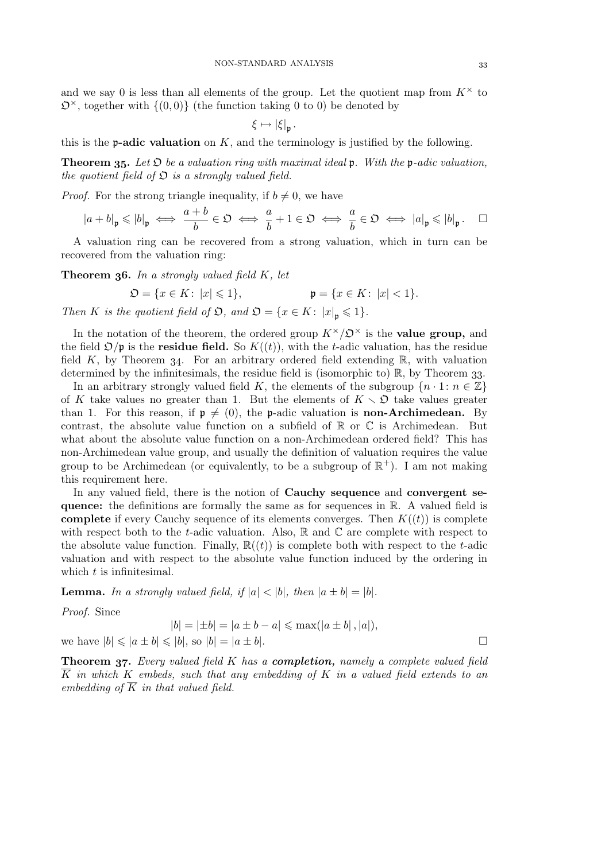and we say 0 is less than all elements of the group. Let the quotient map from  $K^{\times}$  to  $\mathfrak{O}^{\times}$ , together with  $\{(0,0)\}$  (the function taking 0 to 0) be denoted by

$$
\xi \mapsto |\xi|_{\mathfrak{p}}.
$$

this is the **p-adic valuation** on  $K$ , and the terminology is justified by the following.

**Theorem 35.** Let  $\mathfrak{D}$  be a valuation ring with maximal ideal  $\mathfrak{p}$ . With the  $\mathfrak{p}\text{-}adic$  valuation, *the quotient field of*  $\mathfrak{O}$  *is a strongly valued field.* 

*Proof.* For the strong triangle inequality, if  $b \neq 0$ , we have

$$
|a+b|_{\mathfrak{p}} \leqslant |b|_{\mathfrak{p}} \iff \frac{a+b}{b} \in \mathfrak{O} \iff \frac{a}{b}+1 \in \mathfrak{O} \iff \frac{a}{b} \in \mathfrak{O} \iff |a|_{\mathfrak{p}} \leqslant |b|_{\mathfrak{p}}.\quad \Box
$$

A valuation ring can be recovered from a strong valuation, which in turn can be recovered from the valuation ring:

Theorem 36. In a strongly valued field K, let

$$
\mathfrak{O} = \{ x \in K \colon |x| \leq 1 \}, \qquad \qquad \mathfrak{p} = \{ x \in K \colon |x| < 1 \}.
$$

*Then K is the quotient field of*  $\mathfrak{O}$ *, and*  $\mathfrak{O} = \{x \in K : |x|_p \leq 1\}.$ 

In the notation of the theorem, the ordered group  $K^{\times}/\mathcal{D}^{\times}$  is the **value group**, and the field  $\mathcal{D}/p$  is the **residue field.** So  $K((t))$ , with the t-adic valuation, has the residue field K, by Theorem 34. For an arbitrary ordered field extending  $\mathbb{R}$ , with valuation determined by the infinitesimals, the residue field is (isomorphic to)  $\mathbb{R}$ , by Theorem 33.

In an arbitrary strongly valued field K, the elements of the subgroup  $\{n \cdot 1: n \in \mathbb{Z}\}\$ of K take values no greater than 1. But the elements of  $K \setminus \mathfrak{O}$  take values greater than 1. For this reason, if  $p \neq (0)$ , the p-adic valuation is **non-Archimedean.** By contrast, the absolute value function on a subfield of  $\mathbb R$  or  $\mathbb C$  is Archimedean. But what about the absolute value function on a non-Archimedean ordered field? This has non-Archimedean value group, and usually the definition of valuation requires the value group to be Archimedean (or equivalently, to be a subgroup of  $\mathbb{R}^+$ ). I am not making this requirement here.

In any valued field, there is the notion of Cauchy sequence and convergent sequence: the definitions are formally the same as for sequences in R. A valued field is **complete** if every Cauchy sequence of its elements converges. Then  $K((t))$  is complete with respect both to the t-adic valuation. Also,  $\mathbb R$  and  $\mathbb C$  are complete with respect to the absolute value function. Finally,  $\mathbb{R}((t))$  is complete both with respect to the t-adic valuation and with respect to the absolute value function induced by the ordering in which t is infinitesimal.

**Lemma.** In a strongly valued field, if  $|a| < |b|$ , then  $|a \pm b| = |b|$ .

*Proof.* Since

$$
|b| = |\pm b| = |a \pm b - a| \le \max(|a \pm b|, |a|),
$$
  
we have  $|b| \le |a \pm b| \le |b|$ , so  $|b| = |a \pm b|$ .

**Theorem 37.** Every valued field K has a **completion**, *namely* a complete valued field K *in which* K *embeds, such that any embedding of* K *in a valued field extends to an embedding of*  $\overline{K}$  *in that valued field.*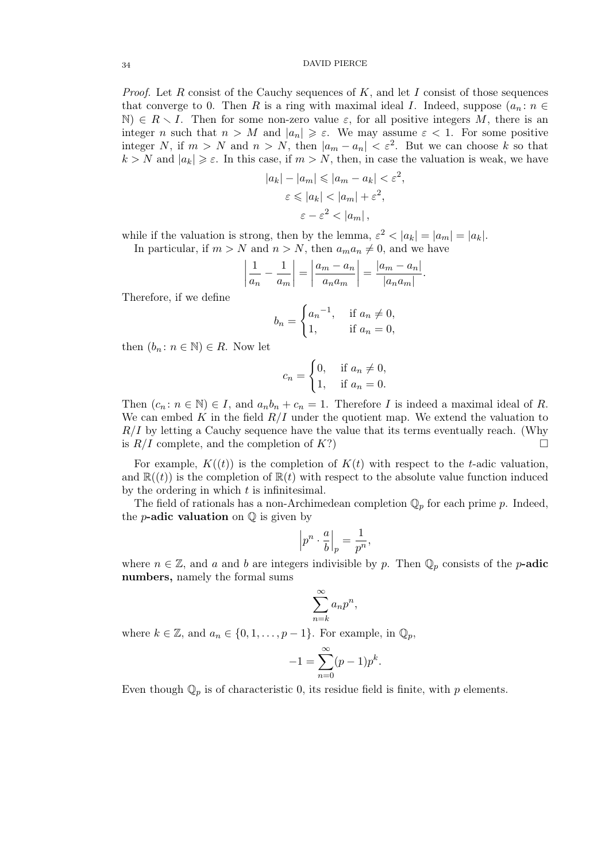*Proof.* Let R consist of the Cauchy sequences of K, and let I consist of those sequences that converge to 0. Then R is a ring with maximal ideal I. Indeed, suppose  $(a_n : n \in$  $\mathbb{N} \in \mathbb{R} \setminus I$ . Then for some non-zero value  $\varepsilon$ , for all positive integers M, there is an integer n such that  $n > M$  and  $|a_n| \geq \varepsilon$ . We may assume  $\varepsilon < 1$ . For some positive integer N, if  $m > N$  and  $n > N$ , then  $|a_m - a_n| < \varepsilon^2$ . But we can choose k so that  $k > N$  and  $|a_k| \geq \varepsilon$ . In this case, if  $m > N$ , then, in case the valuation is weak, we have

$$
|a_k| - |a_m| \le |a_m - a_k| < \varepsilon^2,
$$
\n
$$
\varepsilon \le |a_k| < |a_m| + \varepsilon^2,
$$
\n
$$
\varepsilon - \varepsilon^2 < |a_m|,
$$

while if the valuation is strong, then by the lemma,  $\varepsilon^2 < |a_k| = |a_m| = |a_k|$ . In particular, if  $m > N$  and  $n > N$ , then  $a_m a_n \neq 0$ , and we have

$$
\left|\frac{1}{a_n} - \frac{1}{a_m}\right| = \left|\frac{a_m - a_n}{a_n a_m}\right| = \frac{|a_m - a_n|}{|a_n a_m|}.
$$

Therefore, if we define

$$
b_n = \begin{cases} a_n^{-1}, & \text{if } a_n \neq 0, \\ 1, & \text{if } a_n = 0, \end{cases}
$$

then  $(b_n : n \in \mathbb{N}) \in R$ . Now let

$$
c_n = \begin{cases} 0, & \text{if } a_n \neq 0, \\ 1, & \text{if } a_n = 0. \end{cases}
$$

Then  $(c_n : n \in \mathbb{N}) \in I$ , and  $a_n b_n + c_n = 1$ . Therefore I is indeed a maximal ideal of R. We can embed K in the field  $R/I$  under the quotient map. We extend the valuation to  $R/I$  by letting a Cauchy sequence have the value that its terms eventually reach. (Why is  $R/I$  complete, and the completion of  $K$ ?)

For example,  $K((t))$  is the completion of  $K(t)$  with respect to the t-adic valuation, and  $\mathbb{R}(t)$  is the completion of  $\mathbb{R}(t)$  with respect to the absolute value function induced by the ordering in which  $t$  is infinitesimal.

The field of rationals has a non-Archimedean completion  $\mathbb{Q}_p$  for each prime p. Indeed, the *p***-adic valuation** on  $\mathbb Q$  is given by

$$
\left| p^n \cdot \frac{a}{b} \right|_p = \frac{1}{p^n},
$$

where  $n \in \mathbb{Z}$ , and a and b are integers indivisible by p. Then  $\mathbb{Q}_p$  consists of the p-adic numbers, namely the formal sums

$$
\sum_{n=k}^{\infty} a_n p^n,
$$

where  $k \in \mathbb{Z}$ , and  $a_n \in \{0, 1, \ldots, p-1\}$ . For example, in  $\mathbb{Q}_p$ ,

$$
-1 = \sum_{n=0}^{\infty} (p-1)p^k.
$$

Even though  $\mathbb{Q}_p$  is of characteristic 0, its residue field is finite, with p elements.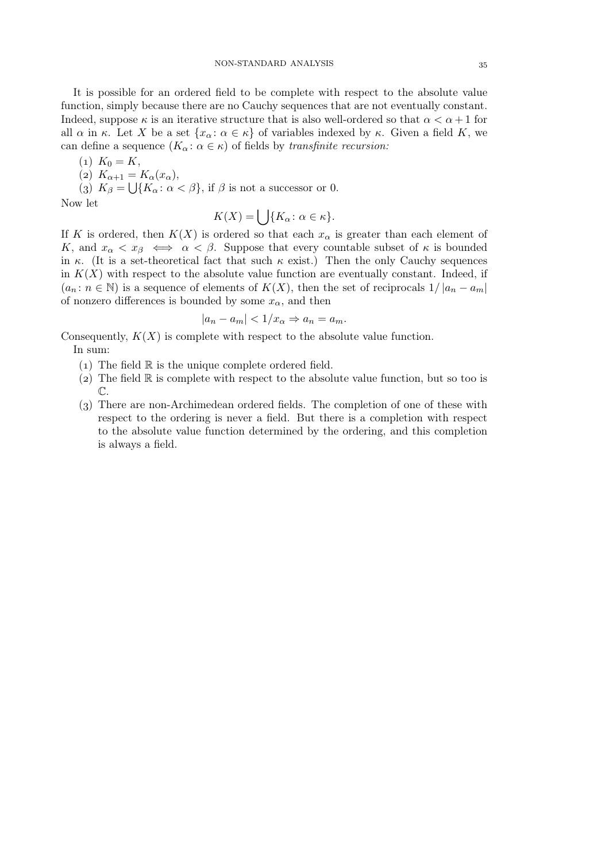It is possible for an ordered field to be complete with respect to the absolute value function, simply because there are no Cauchy sequences that are not eventually constant. Indeed, suppose  $\kappa$  is an iterative structure that is also well-ordered so that  $\alpha < \alpha + 1$  for all  $\alpha$  in  $\kappa$ . Let X be a set  $\{x_\alpha : \alpha \in \kappa\}$  of variables indexed by  $\kappa$ . Given a field K, we can define a sequence  $(K_\alpha: \alpha \in \kappa)$  of fields by *transfinite recursion:* 

(1)  $K_0 = K$ ,

$$
(2) K_{\alpha+1} = K_{\alpha}(x_{\alpha}),
$$

(3)  $K_{\beta} = \bigcup \{ K_{\alpha} : \alpha < \beta \}, \text{ if } \beta \text{ is not a successor or } 0.$ 

Now let

$$
K(X) = \bigcup \{ K_{\alpha} \colon \alpha \in \kappa \}.
$$

If K is ordered, then  $K(X)$  is ordered so that each  $x_{\alpha}$  is greater than each element of K, and  $x_{\alpha} < x_{\beta} \iff \alpha < \beta$ . Suppose that every countable subset of  $\kappa$  is bounded in  $\kappa$ . (It is a set-theoretical fact that such  $\kappa$  exist.) Then the only Cauchy sequences in  $K(X)$  with respect to the absolute value function are eventually constant. Indeed, if  $(a_n : n \in \mathbb{N})$  is a sequence of elements of  $K(X)$ , then the set of reciprocals  $1/|a_n - a_m|$ of nonzero differences is bounded by some  $x_{\alpha}$ , and then

$$
|a_n - a_m| < 1/x_\alpha \Rightarrow a_n = a_m.
$$

Consequently,  $K(X)$  is complete with respect to the absolute value function. In sum:

- 
- (1) The field  $\mathbb R$  is the unique complete ordered field.
- (2) The field  $\mathbb R$  is complete with respect to the absolute value function, but so too is  $\mathbb{C}.$
- () There are non-Archimedean ordered fields. The completion of one of these with respect to the ordering is never a field. But there is a completion with respect to the absolute value function determined by the ordering, and this completion is always a field.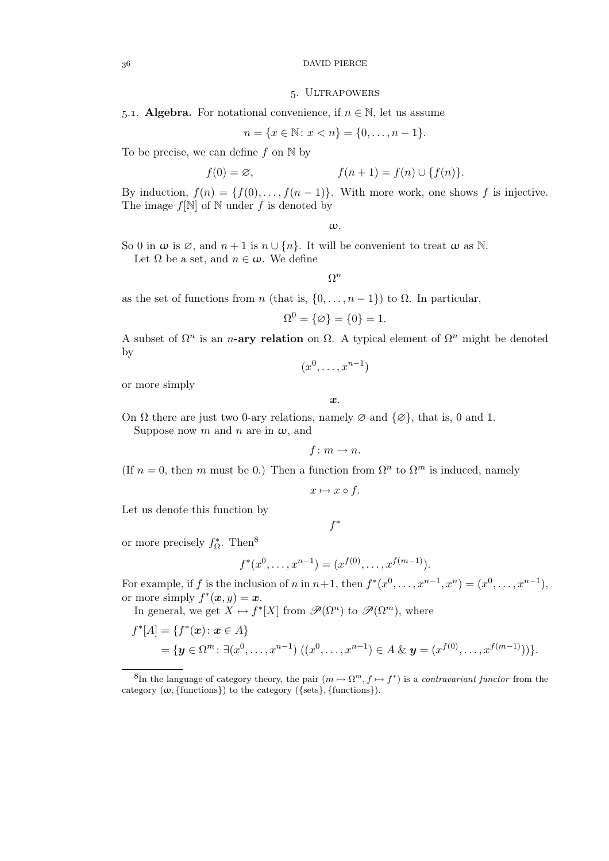### $36$   $\hfill$  DAVID PIERCE

#### . Ultrapowers

5.1. Algebra. For notational convenience, if  $n \in \mathbb{N}$ , let us assume

$$
n = \{x \in \mathbb{N} \colon x < n\} = \{0, \dots, n-1\}.
$$

To be precise, we can define f on  $\mathbb N$  by

$$
f(0) = \varnothing, \qquad f(n+1) = f(n) \cup \{f(n)\}.
$$

By induction,  $f(n) = \{f(0), \ldots, f(n-1)\}\$ . With more work, one shows f is injective. The image  $f[\mathbb{N}]$  of  $\mathbb N$  under f is denoted by

ω.

So 0 in  $\omega$  is  $\emptyset$ , and  $n+1$  is  $n \cup \{n\}$ . It will be convenient to treat  $\omega$  as N.

Let  $\Omega$  be a set, and  $n \in \omega$ . We define

 $\Omega^n$ 

as the set of functions from n (that is,  $\{0, \ldots, n-1\}$ ) to  $\Omega$ . In particular,

$$
\Omega^0 = \{\varnothing\} = \{0\} = 1.
$$

A subset of  $\Omega^n$  is an *n*-ary relation on  $\Omega$ . A typical element of  $\Omega^n$  might be denoted by

 $(x^0, \ldots, x^{n-1})$ 

or more simply

x.

On  $\Omega$  there are just two 0-ary relations, namely  $\varnothing$  and  $\{\varnothing\}$ , that is, 0 and 1. Suppose now m and n are in  $\omega$ , and

 $f: m \rightarrow n$ .

(If  $n = 0$ , then m must be 0.) Then a function from  $\Omega^n$  to  $\Omega^m$  is induced, namely

 $x \mapsto x \circ f$ .

Let us denote this function by

f ∗

or more precisely  $f_{\Omega}^*$ . Then<sup>8</sup>

f

$$
f^*(x^0, \dots, x^{n-1}) = (x^{f(0)}, \dots, x^{f(m-1)}).
$$

For example, if f is the inclusion of n in  $n+1$ , then  $f^*(x^0, \ldots, x^{n-1}, x^n) = (x^0, \ldots, x^{n-1}),$ or more simply  $f^*(\boldsymbol{x}, y) = \boldsymbol{x}$ .

In general, we get  $X \mapsto f^*[X]$  from  $\mathscr{P}(\Omega^n)$  to  $\mathscr{P}(\Omega^m)$ , where

$$
f^*[A] = \{ f^*(x) \colon x \in A \}
$$
  
=  $\{ y \in \Omega^m \colon \exists (x^0, \dots, x^{n-1}) \ ((x^0, \dots, x^{n-1}) \in A \& y = (x^{f(0)}, \dots, x^{f(m-1)})) \}.$ 

<sup>&</sup>lt;sup>8</sup>In the language of category theory, the pair  $(m \mapsto \Omega^m, f \mapsto f^*)$  is a *contravariant functor* from the category  $(\omega, \{\text{functions}\})$  to the category  $(\{\text{sets}\}, \{\text{functions}\}).$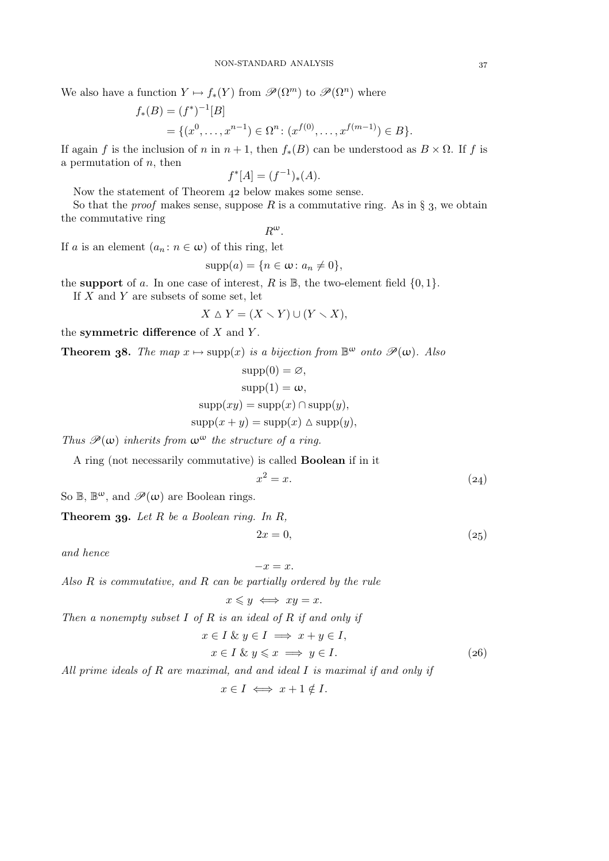We also have a function  $Y \mapsto f_*(Y)$  from  $\mathscr{P}(\Omega^m)$  to  $\mathscr{P}(\Omega^n)$  where

$$
f_*(B) = (f^*)^{-1}[B]
$$
  
= { $(x^0, ..., x^{n-1}) \in \Omega^n : (x^{f(0)}, ..., x^{f(m-1)}) \in B$  }.

If again f is the inclusion of n in  $n + 1$ , then  $f_*(B)$  can be understood as  $B \times \Omega$ . If f is a permutation of  $n$ , then

$$
f^*[A] = (f^{-1})_*(A).
$$

Now the statement of Theorem 42 below makes some sense.

So that the *proof* makes sense, suppose  $R$  is a commutative ring. As in  $\S$  3, we obtain the commutative ring

$$
R^{\omega}.
$$

If a is an element  $(a_n : n \in \omega)$  of this ring, let

$$
supp(a) = \{n \in \omega \colon a_n \neq 0\},\
$$

the support of a. In one case of interest, R is  $\mathbb{B}$ , the two-element field  $\{0, 1\}$ .

If  $X$  and  $Y$  are subsets of some set, let

$$
X \triangle Y = (X \setminus Y) \cup (Y \setminus X),
$$

the symmetric difference of  $X$  and  $Y$ .

**Theorem 38.** The map  $x \mapsto \text{supp}(x)$  is a bijection from  $\mathbb{B}^{\omega}$  onto  $\mathscr{P}(\omega)$ . Also

$$
supp(0) = \varnothing,
$$
  
\n
$$
supp(1) = \omega,
$$
  
\n
$$
supp(xy) = supp(x) \cap supp(y),
$$
  
\n
$$
supp(x + y) = supp(x) \triangle supp(y),
$$

*Thus*  $\mathscr{P}(\omega)$  *inherits from*  $\omega^{\omega}$  *the structure of a ring.* 

A ring (not necessarily commutative) is called Boolean if in it

$$
x^2 = x.\t\t(24)
$$

So  $\mathbb{B}, \mathbb{B}^{\omega}$ , and  $\mathscr{P}(\omega)$  are Boolean rings.

Theorem 39. Let R be a Boolean ring. In R,

$$
2x = 0,\t\t(25)
$$

*and hence*

$$
-x=x.
$$

*Also* R *is commutative, and* R *can be partially ordered by the rule*

$$
x \leqslant y \iff xy = x.
$$

*Then a nonempty subset* I *of* R *is an ideal of* R *if and only if*

$$
x \in I \& y \in I \implies x + y \in I,
$$
  
\n
$$
x \in I \& y \leq x \implies y \in I.
$$
\n(26)

*All prime ideals of* R *are maximal, and and ideal* I *is maximal if and only if*

 $x \in I \iff x + 1 \notin I$ .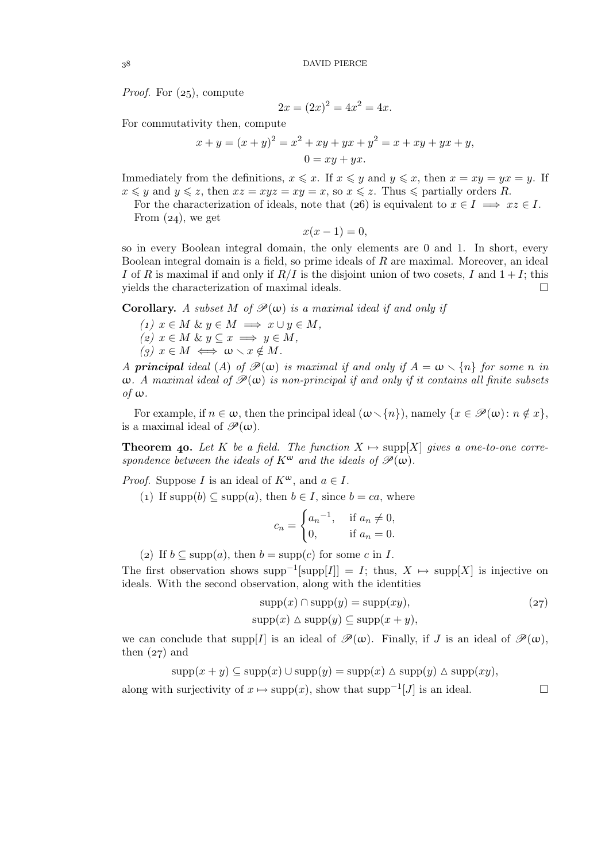*Proof.* For  $(z_5)$ , compute

$$
2x = (2x)^2 = 4x^2 = 4x.
$$

For commutativity then, compute

$$
x + y = (x + y)^2 = x^2 + xy + yx + y^2 = x + xy + yx + y,
$$
  

$$
0 = xy + yx.
$$

Immediately from the definitions,  $x \leq x$ . If  $x \leq y$  and  $y \leq x$ , then  $x = xy = yx = y$ . If  $x \leq y$  and  $y \leq z$ , then  $xz = xyz = xy = x$ , so  $x \leq z$ . Thus  $\leq$  partially orders R.

For the characterization of ideals, note that (26) is equivalent to  $x \in I \implies xz \in I$ . From  $(24)$ , we get

$$
x(x-1)=0,
$$

so in every Boolean integral domain, the only elements are 0 and 1. In short, every Boolean integral domain is a field, so prime ideals of  $R$  are maximal. Moreover, an ideal I of R is maximal if and only if  $R/I$  is the disjoint union of two cosets, I and  $1+I$ ; this yields the characterization of maximal ideals.  $\Box$ 

**Corollary.** *A subset*  $M$  *of*  $\mathcal{P}(\omega)$  *is a maximal ideal if and only if* 

- $(1)$   $x \in M$  &  $y \in M \implies x \cup y \in M$ ,
- $(z)$   $x \in M$  &  $y \subseteq x \implies y \in M$ ,
- $(g)$   $x \in M \iff \omega \setminus x \notin M$ .

*A* principal ideal (A) of  $\mathcal{P}(\omega)$  is maximal if and only if  $A = \omega \setminus \{n\}$  for some n in  $\omega$ . A maximal ideal of  $\mathcal{P}(\omega)$  is non-principal if and only if it contains all finite subsets *of* ω*.*

For example, if  $n \in \omega$ , then the principal ideal  $(\omega \setminus \{n\})$ , namely  $\{x \in \mathcal{P}(\omega) : n \notin x\}$ , is a maximal ideal of  $\mathscr{P}(\omega)$ .

**Theorem 40.** Let K be a field. The function  $X \mapsto \text{supp}[X]$  gives a one-to-one corre*spondence between the ideals of*  $K^{\omega}$  *and the ideals of*  $\mathscr{P}(\omega)$ *.* 

*Proof.* Suppose *I* is an ideal of  $K^{\omega}$ , and  $a \in I$ .

(1) If  $\text{supp}(b) \subseteq \text{supp}(a)$ , then  $b \in I$ , since  $b = ca$ , where

$$
c_n = \begin{cases} a_n^{-1}, & \text{if } a_n \neq 0, \\ 0, & \text{if } a_n = 0. \end{cases}
$$

(2) If  $b \subseteq \text{supp}(a)$ , then  $b = \text{supp}(c)$  for some c in I.

The first observation shows supp<sup>-1</sup>[supp[I]] = I; thus,  $X \mapsto \text{supp}[X]$  is injective on ideals. With the second observation, along with the identities

$$
supp(x) \cap supp(y) = supp(xy),
$$
  
\n
$$
supp(x) \triangle supp(y) \subseteq supp(x+y),
$$
\n(27)

we can conclude that supp [I] is an ideal of  $\mathcal{P}(\omega)$ . Finally, if J is an ideal of  $\mathcal{P}(\omega)$ , then  $(27)$  and

$$
supp(x + y) \subseteq supp(x) \cup supp(y) = supp(x) \triangle supp(y) \triangle supp(xy),
$$

along with surjectivity of  $x \mapsto \text{supp}(x)$ , show that  $\text{supp}^{-1}[J]$  is an ideal.  $\Box$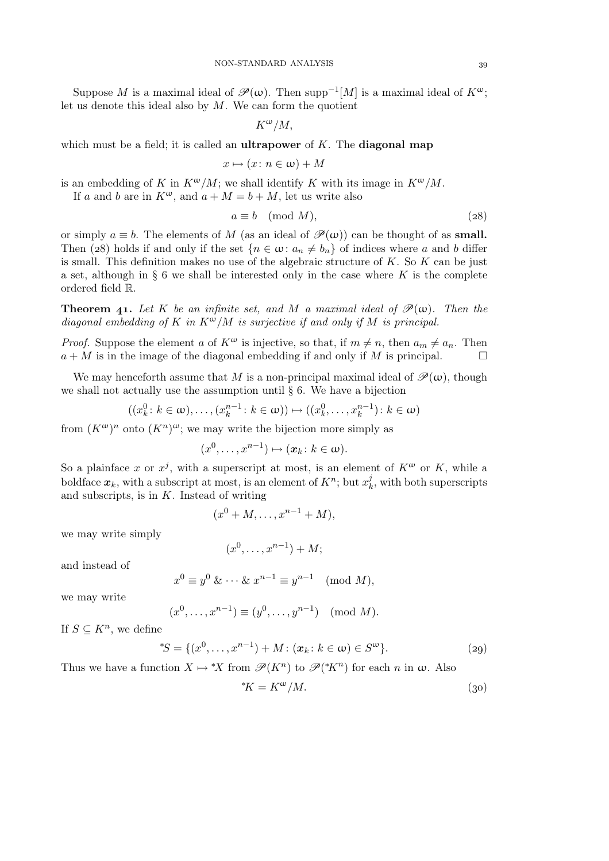Suppose M is a maximal ideal of  $\mathscr{P}(\omega)$ . Then supp<sup>-1</sup>[M] is a maximal ideal of  $K^{\omega}$ ; let us denote this ideal also by  $M$ . We can form the quotient

 $K^{\omega}/M$ ,

which must be a field; it is called an **ultrapower** of  $K$ . The **diagonal map** 

$$
x \mapsto (x \colon n \in \omega) + M
$$

is an embedding of K in  $K^{\omega}/M$ ; we shall identify K with its image in  $K^{\omega}/M$ .

If a and b are in  $K^{\omega}$ , and  $a + M = b + M$ , let us write also

$$
a \equiv b \pmod{M},\tag{28}
$$

or simply  $a \equiv b$ . The elements of M (as an ideal of  $\mathscr{P}(\omega)$ ) can be thought of as **small.** Then (28) holds if and only if the set  $\{n \in \omega: a_n \neq b_n\}$  of indices where a and b differ is small. This definition makes no use of the algebraic structure of  $K$ . So  $K$  can be just a set, although in  $\S 6$  we shall be interested only in the case where K is the complete ordered field R.

**Theorem 41.** Let K be an infinite set, and M a maximal ideal of  $\mathcal{P}(\omega)$ . Then the *diagonal embedding of* K *in* Kω/M *is surjective if and only if* M *is principal.*

*Proof.* Suppose the element a of  $K^{\omega}$  is injective, so that, if  $m \neq n$ , then  $a_m \neq a_n$ . Then  $a + M$  is in the image of the diagonal embedding if and only if M is principal.

We may henceforth assume that M is a non-principal maximal ideal of  $\mathcal{P}(\omega)$ , though we shall not actually use the assumption until  $\S 6$ . We have a bijection

$$
((x_k^0: k \in \omega), \ldots, (x_k^{n-1}: k \in \omega)) \mapsto ((x_k^0, \ldots, x_k^{n-1}): k \in \omega)
$$

from  $(K^{\omega})^n$  onto  $(K^n)^{\omega}$ ; we may write the bijection more simply as

$$
(x^0, \ldots, x^{n-1}) \mapsto (\boldsymbol{x}_k \colon k \in \boldsymbol{\omega}).
$$

So a plainface x or  $x^j$ , with a superscript at most, is an element of  $K^{\omega}$  or K, while a boldface  $x_k$ , with a subscript at most, is an element of  $K^n$ ; but  $x_k^j$  $\kappa_k^j$ , with both superscripts and subscripts, is in  $K$ . Instead of writing

$$
(x0 + M, \ldots, xn-1 + M),
$$

we may write simply

$$
(x^0, \ldots, x^{n-1}) + M;
$$

and instead of

$$
x^0 \equiv y^0 \& \dots \& x^{n-1} \equiv y^{n-1} \pmod{M},
$$

we may write

$$
(x^0, ..., x^{n-1}) \equiv (y^0, ..., y^{n-1}) \pmod{M}.
$$

If  $S \subseteq K^n$ , we define

$$
^{\ast}S = \{ (x^0, \dots, x^{n-1}) + M \colon (\mathbf{x}_k \colon k \in \omega) \in S^{\omega} \}. \tag{29}
$$

Thus we have a function  $X \mapsto {}^*X$  from  $\mathscr{P}(K^n)$  to  $\mathscr{P}({}^*K^n)$  for each n in  $\omega$ . Also

$$
^{\ast}K = K^{\omega}/M. \tag{30}
$$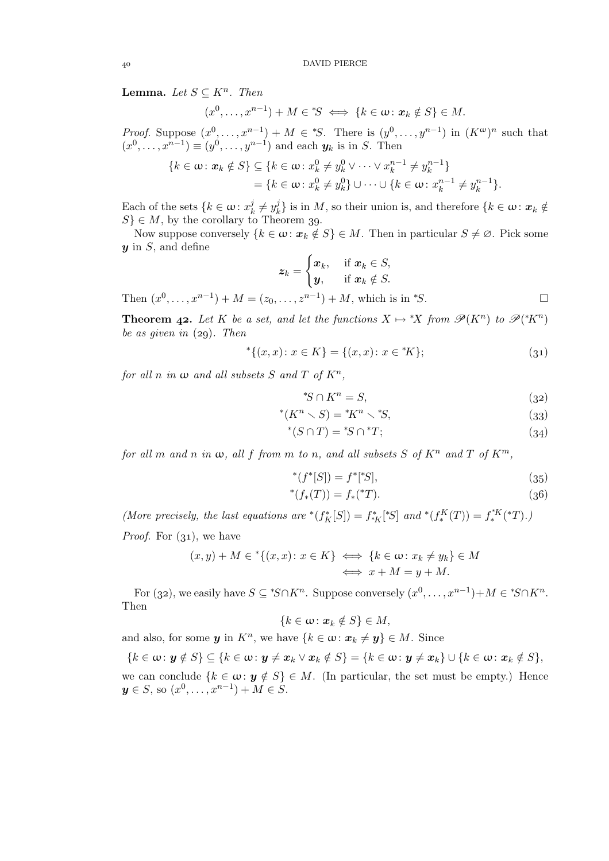**Lemma.** Let  $S \subseteq K^n$ . Then

$$
(x^0, \ldots, x^{n-1}) + M \in {^*S} \iff \{k \in \omega \colon x_k \notin S\} \in M.
$$

*Proof.* Suppose  $(x^0, \ldots, x^{n-1}) + M \in {^*S}$ . There is  $(y^0, \ldots, y^{n-1})$  in  $(K^{\omega})^n$  such that  $(x^0, ..., x^{n-1}) \equiv (y^0, ..., y^{n-1})$  and each  $y_k$  is in S. Then

$$
\{k \in \omega : \mathbf{x}_k \notin S\} \subseteq \{k \in \omega : x_k^0 \neq y_k^0 \vee \cdots \vee x_k^{n-1} \neq y_k^{n-1}\} \\
= \{k \in \omega : x_k^0 \neq y_k^0\} \cup \cdots \cup \{k \in \omega : x_k^{n-1} \neq y_k^{n-1}\}.
$$

Each of the sets  $\{k \in \omega : x_k^j\}$  $\boldsymbol{y}_k^j \neq y_k^j$  $\mathbf{k}_k^j$  is in  $M$ , so their union is, and therefore  $\{k \in \omega : \mathbf{x}_k \notin \mathbb{R}^N\}$  $S \in M$ , by the corollary to Theorem 39.

Now suppose conversely  $\{k \in \omega : x_k \notin S\} \in M$ . Then in particular  $S \neq \emptyset$ . Pick some  $y$  in  $S$ , and define

$$
\mathbf{z}_k = \begin{cases} \mathbf{x}_k, & \text{if } \mathbf{x}_k \in S, \\ \mathbf{y}, & \text{if } \mathbf{x}_k \notin S. \end{cases}
$$

Then  $(x^0, ..., x^{n-1}) + M = (z_0, ..., z^{n-1}) + M$ , which is in \*S.

**Theorem 42.** Let K be a set, and let the functions  $X \mapsto {}^*X$  from  $\mathscr{P}(K^n)$  to  $\mathscr{P}({}^*K^n)$ *be as given in* (29). Then

$$
{}^{*}\{(x,x)\colon x\in K\} = \{(x,x)\colon x\in {}^{*}K\};\tag{31}
$$

*for all*  $n$  *in*  $\omega$  *and all subsets*  $S$  *and*  $T$  *of*  $K^n$ ,

$$
^{\ast}S \cap K^{n} = S,\tag{32}
$$

$$
^*(K^n \smallsetminus S) = ^*K^n \smallsetminus {}^*S,\tag{33}
$$

$$
^*(S \cap T) = ^*S \cap ^*T; \tag{34}
$$

*for all* m *and* n *in*  $\omega$ *, all* f *from* m *to* n*,* and all subsets S of  $K^n$  and T of  $K^m$ *,* 

$$
^*(f^*[S]) = f^*[^*S],\tag{35}
$$

$$
^*(f_*(T)) = f_*(^*T). \tag{36}
$$

*(More precisely, the last equations are*  $*(f^*_K[S]) = f^*_{*K}[^*S]$  *and*  $*(f^K_*(T)) = f^*_*(T)$ .) *Proof.* For  $(31)$ , we have

$$
(x, y) + M \in \{ (x, x) \colon x \in K \} \iff \{ k \in \omega \colon x_k \neq y_k \} \in M
$$
  

$$
\iff x + M = y + M.
$$

For (32), we easily have  $S \subseteq {}^*S \cap K^n$ . Suppose conversely  $(x^0, \ldots, x^{n-1}) + M \in {}^*S \cap K^n$ . Then

$$
\{k\in\omega\colon \boldsymbol{x}_k\notin S\}\in M,
$$

and also, for some  $y$  in  $K<sup>n</sup>$ , we have  $\{k \in \omega : x_k \neq y\} \in M$ . Since

 ${k \in \omega : y \notin S}$   $\subseteq$   ${k \in \omega : y \neq x_k \vee x_k \notin S}$  =  ${k \in \omega : y \neq x_k}$   $\cup$   ${k \in \omega : x_k \notin S}$ ,

we can conclude  $\{k \in \omega : y \notin S\} \in M$ . (In particular, the set must be empty.) Hence  $y \in S$ , so  $(x^0, \ldots, x^{n-1}) + M \in S$ .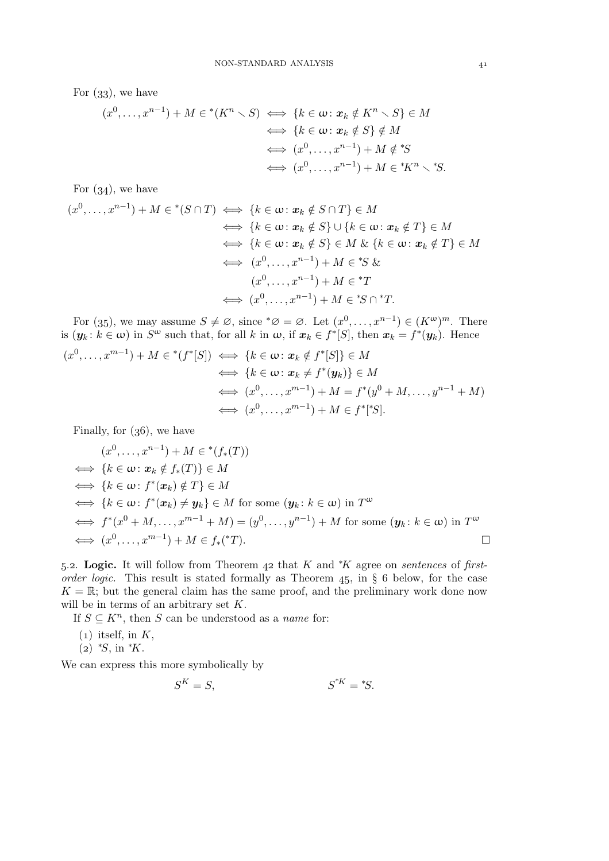For  $(33)$ , we have

$$
(x^{0},...,x^{n-1}) + M \in {}^{*}(K^{n} \setminus S) \iff \{k \in \omega : x_{k} \notin K^{n} \setminus S\} \in M
$$
  

$$
\iff \{k \in \omega : x_{k} \notin S\} \notin M
$$
  

$$
\iff (x^{0},...,x^{n-1}) + M \notin {}^{*}S
$$
  

$$
\iff (x^{0},...,x^{n-1}) + M \in {}^{*}K^{n} \setminus {}^{*}S.
$$

For  $(34)$ , we have

$$
(x^{0},...,x^{n-1}) + M \in {}^{*}(S \cap T) \iff \{k \in \omega : \mathbf{x}_{k} \notin S \cap T\} \in M
$$
  

$$
\iff \{k \in \omega : \mathbf{x}_{k} \notin S\} \cup \{k \in \omega : \mathbf{x}_{k} \notin T\} \in M
$$
  

$$
\iff \{k \in \omega : \mathbf{x}_{k} \notin S\} \in M \& \{k \in \omega : \mathbf{x}_{k} \notin T\} \in M
$$
  

$$
\iff (x^{0},...,x^{n-1}) + M \in {}^{*}S \&
$$
  

$$
(x^{0},...,x^{n-1}) + M \in {}^{*}T
$$
  

$$
\iff (x^{0},...,x^{n-1}) + M \in {}^{*}S \cap {}^{*}T.
$$

For (35), we may assume  $S \neq \emptyset$ , since  $^*\emptyset = \emptyset$ . Let  $(x^0, \ldots, x^{n-1}) \in (K^{\omega})^m$ . There is  $(y_k: k \in \omega)$  in  $S^{\omega}$  such that, for all k in  $\omega$ , if  $x_k \in f^*[S]$ , then  $x_k = f^*(y_k)$ . Hence

$$
(x^{0},...,x^{m-1}) + M \in {}^{*}(f^{*}[S]) \iff \{k \in \omega : x_{k} \notin f^{*}[S]\} \in M
$$
  

$$
\iff \{k \in \omega : x_{k} \neq f^{*}(y_{k})\} \in M
$$
  

$$
\iff (x^{0},...,x^{m-1}) + M = f^{*}(y^{0} + M,...,y^{n-1} + M)
$$
  

$$
\iff (x^{0},...,x^{m-1}) + M \in f^{*}[^{*}S].
$$

Finally, for  $(36)$ , we have

$$
(x^{0},...,x^{n-1}) + M \in {}^{*}(f_{*}(T))
$$
  
\n
$$
\iff \{k \in \omega : x_{k} \notin f_{*}(T)\} \in M
$$
  
\n
$$
\iff \{k \in \omega : f^{*}(x_{k}) \notin T\} \in M
$$
  
\n
$$
\iff \{k \in \omega : f^{*}(x_{k}) \neq y_{k}\} \in M \text{ for some } (y_{k}:k \in \omega) \text{ in } T^{\omega}
$$
  
\n
$$
\iff f^{*}(x^{0} + M,...,x^{m-1} + M) = (y^{0},...,y^{n-1}) + M \text{ for some } (y_{k}:k \in \omega) \text{ in } T^{\omega}
$$
  
\n
$$
\iff (x^{0},...,x^{m-1}) + M \in f_{*}({}^{*}T).
$$

5.2. Logic. It will follow from Theorem 42 that K and <sup>\*</sup>K agree on *sentences* of *firstorder logic.* This result is stated formally as Theorem  $45$ , in § 6 below, for the case  $K = \mathbb{R}$ ; but the general claim has the same proof, and the preliminary work done now will be in terms of an arbitrary set K.

If  $S \subseteq K^n$ , then S can be understood as a *name* for:

- $(1)$  itself, in K,
- $(z)$  \*S, in \*K.

We can express this more symbolically by

$$
S^K = S, \qquad S^{*K} = {}^*S.
$$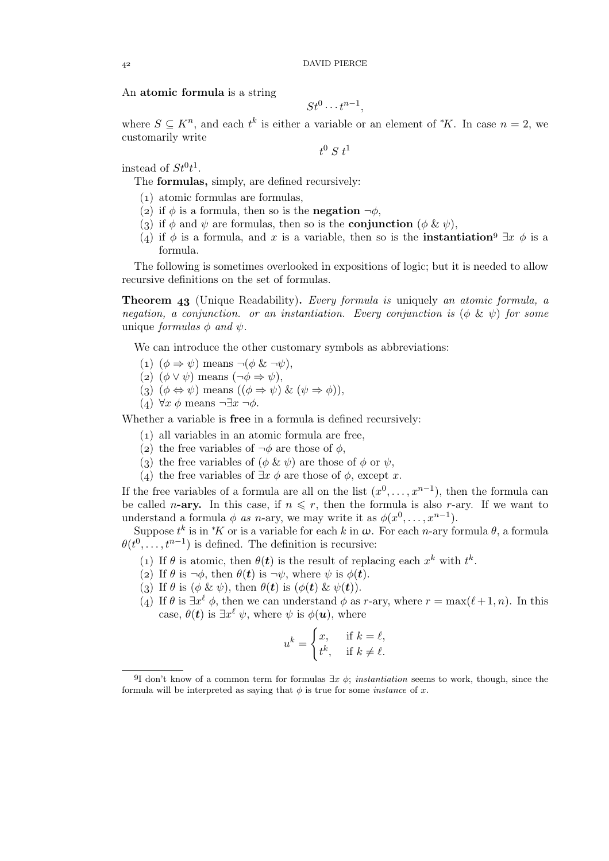An atomic formula is a string

$$
St^0\cdots t^{n-1},
$$

where  $S \subseteq K^n$ , and each  $t^k$  is either a variable or an element of  $*K$ . In case  $n = 2$ , we customarily write

 $t^0\;S\;t^1$ 

instead of  $St^0t^1$ .

The formulas, simply, are defined recursively:

- () atomic formulas are formulas,
- (2) if  $\phi$  is a formula, then so is the **negation**  $\neg \phi$ ,
- (3) if  $\phi$  and  $\psi$  are formulas, then so is the **conjunction** ( $\phi \& \psi$ ),
- (4) if  $\phi$  is a formula, and x is a variable, then so is the **instantiation**  $\exists x \phi$  is a formula.

The following is sometimes overlooked in expositions of logic; but it is needed to allow recursive definitions on the set of formulas.

Theorem (Unique Readability). *Every formula is* uniquely *an atomic formula, a negation, a conjunction. or an instantiation. Every conjunction is*  $(\phi \& \psi)$  *for some* unique *formulas*  $\phi$  *and*  $\psi$ .

We can introduce the other customary symbols as abbreviations:

- (1)  $(\phi \Rightarrow \psi)$  means  $\neg(\phi \& \neg \psi)$ ,
- (2)  $(\phi \lor \psi)$  means  $(\neg \phi \Rightarrow \psi)$ ,
- (3)  $(\phi \Leftrightarrow \psi)$  means  $((\phi \Rightarrow \psi) \& (\psi \Rightarrow \phi))$ ,
- (4)  $\forall x \phi$  means  $\neg \exists x \neg \phi$ .

Whether a variable is free in a formula is defined recursively:

- () all variables in an atomic formula are free,
- (2) the free variables of  $\neg \phi$  are those of  $\phi$ ,
- (3) the free variables of  $(\phi \& \psi)$  are those of  $\phi$  or  $\psi$ ,
- (4) the free variables of  $\exists x \phi$  are those of  $\phi$ , except x.

If the free variables of a formula are all on the list  $(x^0, \ldots, x^{n-1})$ , then the formula can be called *n*-ary. In this case, if  $n \leq r$ , then the formula is also *r*-ary. If we want to understand a formula  $\phi$  *as n*-ary, we may write it as  $\phi(x^0, \ldots, x^{n-1})$ .

Suppose  $t^k$  is in \*K or is a variable for each k in  $\omega$ . For each n-ary formula  $\theta$ , a formula  $\theta(t^0, \ldots, t^{n-1})$  is defined. The definition is recursive:

- (1) If  $\theta$  is atomic, then  $\theta(t)$  is the result of replacing each  $x^k$  with  $t^k$ .
- (2) If  $\theta$  is  $\neg \phi$ , then  $\theta(t)$  is  $\neg \psi$ , where  $\psi$  is  $\phi(t)$ .
- (3) If  $\theta$  is  $(\phi \& \psi)$ , then  $\theta(t)$  is  $(\phi(t) \& \psi(t))$ .
- (4) If  $\theta$  is  $\exists x^{\ell} \phi$ , then we can understand  $\phi$  as r-ary, where  $r = \max(\ell+1, n)$ . In this case,  $\theta(t)$  is  $\exists x^{\ell} \psi$ , where  $\psi$  is  $\phi(u)$ , where

$$
u^k = \begin{cases} x, & \text{if } k = \ell, \\ t^k, & \text{if } k \neq \ell. \end{cases}
$$

<sup>&</sup>lt;sup>9</sup>I don't know of a common term for formulas  $\exists x \phi$ ; *instantiation* seems to work, though, since the formula will be interpreted as saying that  $\phi$  is true for some *instance* of x.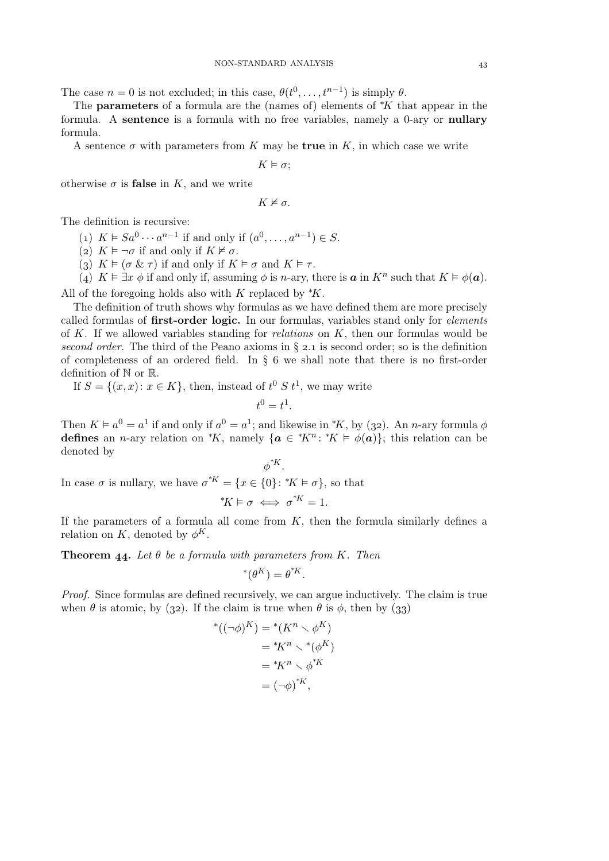The case  $n = 0$  is not excluded; in this case,  $\theta(t^0, \ldots, t^{n-1})$  is simply  $\theta$ .

The **parameters** of a formula are the (names of) elements of  $*K$  that appear in the formula. A sentence is a formula with no free variables, namely a 0-ary or nullary formula.

A sentence  $\sigma$  with parameters from K may be **true** in K, in which case we write

$$
K \vDash \sigma;
$$

otherwise  $\sigma$  is **false** in K, and we write

$$
K\nvDash \sigma.
$$

The definition is recursive:

(1)  $K \models Sa^0 \cdots a^{n-1}$  if and only if  $(a^0, \ldots, a^{n-1}) \in S$ .

(2)  $K \models \neg \sigma$  if and only if  $K \not\models \sigma$ .

(3)  $K \models (\sigma \& \tau)$  if and only if  $K \models \sigma$  and  $K \models \tau$ .

(4)  $K \vDash \exists x \phi$  if and only if, assuming  $\phi$  is *n*-ary, there is **a** in  $K^n$  such that  $K \vDash \phi(\mathbf{a})$ . All of the foregoing holds also with K replaced by  $*K$ .

The definition of truth shows why formulas as we have defined them are more precisely called formulas of first-order logic. In our formulas, variables stand only for *elements* of K. If we allowed variables standing for *relations* on K, then our formulas would be *second order.* The third of the Peano axioms in  $\S$  2.1 is second order; so is the definition of completeness of an ordered field. In  $\S$  6 we shall note that there is no first-order definition of N or R.

If  $S = \{(x, x): x \in K\}$ , then, instead of  $t^0 S t^1$ , we may write

$$
0=t^1.
$$

t

Then  $K \models a^0 = a^1$  if and only if  $a^0 = a^1$ ; and likewise in  $*K$ , by (32). An *n*-ary formula  $\phi$ defines an *n*-ary relation on \*K, namely  $\{a \in {}^*K^n : {}^*K \models \phi(a)\}$ ; this relation can be denoted by

 $\phi^{*K}$ . In case  $\sigma$  is nullary, we have  $\sigma^{*K} = \{x \in \{0\} : {}^*K \vDash \sigma\}$ , so that

$$
^*K \vDash \sigma \iff \sigma^{^*K} = 1.
$$

If the parameters of a formula all come from  $K$ , then the formula similarly defines a relation on K, denoted by  $\phi^K$ .

**Theorem 44.** Let  $\theta$  be a formula with parameters from K. Then

∗

∗

$$
(\theta^K) = \theta^{*K}.
$$

*Proof.* Since formulas are defined recursively, we can argue inductively. The claim is true when  $\theta$  is atomic, by (32). If the claim is true when  $\theta$  is  $\phi$ , then by (33)

$$
((\neg \phi)^K) = {}^*(K^n \setminus \phi^K)
$$
  
=  ${}^*K^n \setminus {}^*(\phi^K)$   
=  ${}^*K^n \setminus \phi^*K$   
=  $(\neg \phi)^*K$ ,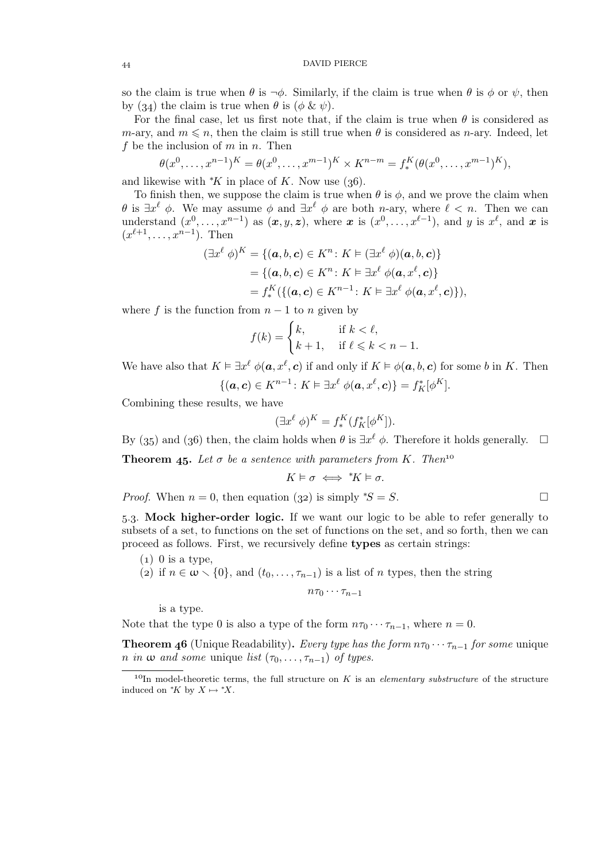### DAVID PIERCE

so the claim is true when  $\theta$  is  $\neg \phi$ . Similarly, if the claim is true when  $\theta$  is  $\phi$  or  $\psi$ , then by (34) the claim is true when  $\theta$  is ( $\phi \& \psi$ ).

For the final case, let us first note that, if the claim is true when  $\theta$  is considered as m-ary, and  $m \leq n$ , then the claim is still true when  $\theta$  is considered as n-ary. Indeed, let f be the inclusion of  $m$  in  $n$ . Then

$$
\theta(x^0, \ldots, x^{n-1})^K = \theta(x^0, \ldots, x^{m-1})^K \times K^{n-m} = f_*^K(\theta(x^0, \ldots, x^{m-1})^K),
$$

and likewise with  $K$  in place of K. Now use (36).

To finish then, we suppose the claim is true when  $\theta$  is  $\phi$ , and we prove the claim when  $\theta$  is  $\exists x^{\ell} \phi$ . We may assume  $\phi$  and  $\exists x^{\ell} \phi$  are both *n*-ary, where  $\ell < n$ . Then we can understand  $(x^0, \ldots, x^{n-1})$  as  $(x, y, z)$ , where x is  $(x^0, \ldots, x^{\ell-1})$ , and y is  $x^{\ell}$ , and x is  $(x^{\ell+1},...,x^{n-1})$ . Then

$$
(\exists x^{\ell} \phi)^{K} = \{(\mathbf{a}, b, \mathbf{c}) \in K^{n} : K \vDash (\exists x^{\ell} \phi)(\mathbf{a}, b, \mathbf{c})\}
$$
  
=  $\{(\mathbf{a}, b, \mathbf{c}) \in K^{n} : K \vDash \exists x^{\ell} \phi(\mathbf{a}, x^{\ell}, \mathbf{c})\}$   
=  $f_{*}^{K}(\{(\mathbf{a}, \mathbf{c}) \in K^{n-1} : K \vDash \exists x^{\ell} \phi(\mathbf{a}, x^{\ell}, \mathbf{c})\}),$ 

where f is the function from  $n - 1$  to n given by

$$
f(k) = \begin{cases} k, & \text{if } k < \ell, \\ k+1, & \text{if } \ell \leqslant k < n-1. \end{cases}
$$

We have also that  $K \vDash \exists x^{\ell} \phi(a, x^{\ell}, c)$  if and only if  $K \vDash \phi(a, b, c)$  for some b in K. Then

$$
\{(\boldsymbol{a},\boldsymbol{c})\in K^{n-1}\colon K\models \exists x^{\ell}\ \phi(\boldsymbol{a},x^{\ell},\boldsymbol{c})\}=f_K^*[\phi^K].
$$

Combining these results, we have

$$
(\exists x^{\ell} \phi)^{K} = f_{*}^{K}(f_{K}^{*}[\phi^{K}]).
$$

By (35) and (36) then, the claim holds when  $\theta$  is  $\exists x^{\ell} \phi$ . Therefore it holds generally.  $\Box$ 

**Theorem 45.** Let  $\sigma$  be a sentence with parameters from K. Then<sup>10</sup>

$$
K\vDash \sigma \iff \text{``}K\vDash \sigma.
$$

*Proof.* When  $n = 0$ , then equation (32) is simply <sup>\*</sup>S = S.  $\Box$ 

.. Mock higher-order logic. If we want our logic to be able to refer generally to subsets of a set, to functions on the set of functions on the set, and so forth, then we can proceed as follows. First, we recursively define types as certain strings:

- $(1)$  0 is a type.
- (2) if  $n \in \omega \setminus \{0\}$ , and  $(t_0, \ldots, \tau_{n-1})$  is a list of n types, then the string

$$
n\tau_0\cdots\tau_{n-1}
$$

is a type.

Note that the type 0 is also a type of the form  $n\tau_0 \cdots \tau_{n-1}$ , where  $n = 0$ .

**Theorem 46** (Unique Readability). *Every type has the form*  $n\tau_0 \cdots \tau_{n-1}$  *for some* unique *n in*  $\omega$  *and some* unique *list* ( $\tau_0, \ldots, \tau_{n-1}$ ) *of types.* 

<sup>&</sup>lt;sup>10</sup>In model-theoretic terms, the full structure on K is an *elementary substructure* of the structure induced on  $K$  by  $X \mapsto X$ .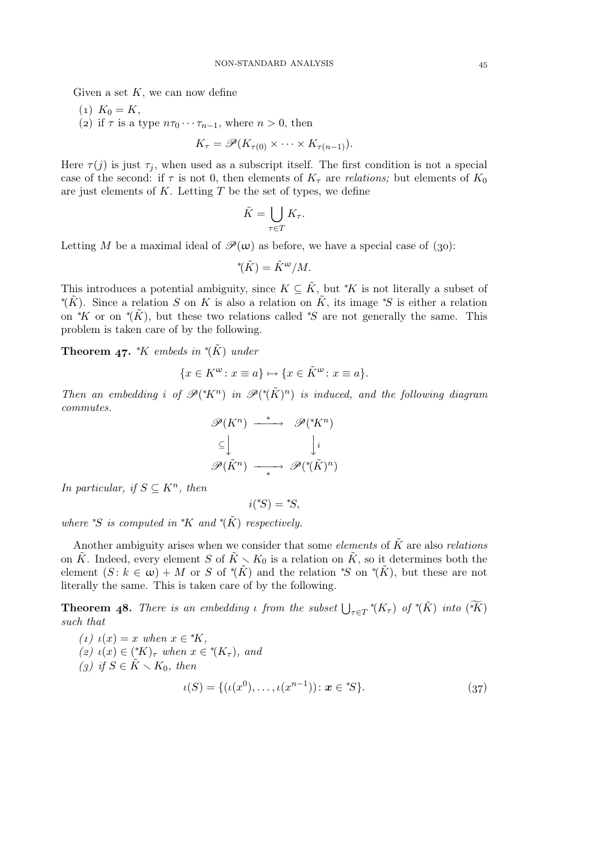Given a set  $K$ , we can now define

- $(1) K_0 = K$ ,
- (2) if  $\tau$  is a type  $n\tau_0 \cdots \tau_{n-1}$ , where  $n > 0$ , then

$$
K_{\tau} = \mathscr{P}(K_{\tau(0)} \times \cdots \times K_{\tau(n-1)}).
$$

Here  $\tau(j)$  is just  $\tau_j$ , when used as a subscript itself. The first condition is not a special case of the second: if  $\tau$  is not 0, then elements of  $K_{\tau}$  are *relations*; but elements of  $K_0$ are just elements of  $K$ . Letting  $T$  be the set of types, we define

$$
\tilde{K} = \bigcup_{\tau \in T} K_{\tau}.
$$

Letting M be a maximal ideal of  $\mathcal{P}(\omega)$  as before, we have a special case of (30):

$$
^{\ast}(\tilde{K}) = \tilde{K}^{\omega}/M.
$$

This introduces a potential ambiguity, since  $K \subseteq \tilde{K}$ , but \*K is not literally a subset of \* $(\tilde{K})$ . Since a relation S on K is also a relation on  $\tilde{K}$ , its image \*S is either a relation on <sup>\*</sup>K or on <sup>\*</sup>( $\tilde{K}$ ), but these two relations called <sup>\*S</sup> are not generally the same. This problem is taken care of by the following.

**Theorem 47.**  $*K$  embeds in  $*({\tilde{K}})$  under

$$
\{x\in K^\omega\colon x\equiv a\}\mapsto \{x\in \tilde{K}^\omega\colon x\equiv a\}.
$$

*Then an embedding i* of  $\mathscr{P}({^*\tilde{K}})^n$  *in*  $\mathscr{P}({^*\tilde{K}})^n$  *is induced, and the following diagram commutes.*

$$
\mathscr{P}(K^n) \xrightarrow{\ast} \mathscr{P}({^*\!K}^n)
$$
  
\n
$$
\subseteq \bigcup_{\ast} \qquad \qquad \bigcup_{i} i
$$
  
\n
$$
\mathscr{P}(\tilde{K}^n) \longrightarrow \mathscr{P}({^*\!}(\tilde{K})^n)
$$

*In particular, if*  $S \subseteq K^n$ *, then* 

$$
i(^*S) = {}^*S,
$$

*where*  $*S$  *is computed in*  $*K$  *and*  $*(\tilde{K})$  *respectively.* 

Another ambiguity arises when we consider that some *elements* of  $\tilde{K}$  are also *relations* on  $\tilde{K}$ . Indeed, every element S of  $\tilde{K} \setminus K_0$  is a relation on  $\tilde{K}$ , so it determines both the element  $(S: k \in \omega) + M$  or S of \*( $\tilde{K}$ ) and the relation \*S on \*( $\tilde{K}$ ), but these are not literally the same. This is taken care of by the following.

**Theorem 48.** There is an embedding *ι* from the subset  $\bigcup_{\tau \in T} * (K_{\tau})$  of  $*(\tilde{K})$  into  $(\widetilde{*K})$ *such that*

(1) 
$$
\iota(x) = x
$$
 when  $x \in {}^*K$ ,  
\n(2)  $\iota(x) \in ({}^*K)_{\tau}$  when  $x \in {}^*K_{\tau}$ ), and  
\n(3) if  $S \in K \setminus K_0$ , then  
\n
$$
\iota(S) = \{ (\iota(x^0), \dots, \iota(x^{n-1})) : x \in {}^*S \}.
$$
\n(37)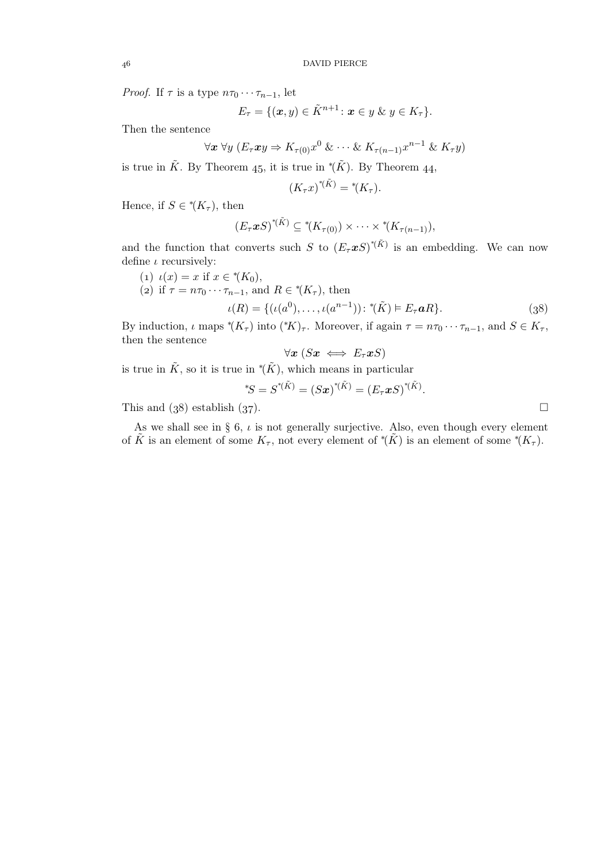*Proof.* If  $\tau$  is a type  $n\tau_0 \cdots \tau_{n-1}$ , let

$$
E_{\tau} = \{(\boldsymbol{x},y) \in \tilde{K}^{n+1} \colon \boldsymbol{x} \in y \ \& \ y \in K_{\tau}\}.
$$

Then the sentence

$$
\forall x \ \forall y \ (E_{\tau}xy \Rightarrow K_{\tau(0)}x^0 \ \& \ \cdots \ \& \ K_{\tau(n-1)}x^{n-1} \ \& \ K_{\tau}y)
$$

is true in  $\tilde{K}$ . By Theorem 45, it is true in  $^*(\tilde{K})$ . By Theorem 44,

$$
(K_{\tau}x)^{*(\tilde{K})} = ^{*}(K_{\tau}).
$$

Hence, if  $S \in {}^*\!(K_\tau)$ , then

$$
(E_{\tau} \mathbf{x} S)^{*(\tilde{K})} \subseteq {}^{*}(K_{\tau(0)}) \times \cdots \times {}^{*}(K_{\tau(n-1)}),
$$

and the function that converts such S to  $(E_{\tau} \mathcal{X} S)^{*(\tilde{K})}$  is an embedding. We can now define  $\iota$  recursively:

- (1)  $\iota(x) = x$  if  $x \in {}^*(K_0)$ ,
- (2) if  $\tau = n\tau_0 \cdots \tau_{n-1}$ , and  $R \in {}^*\!(K_\tau)$ , then

$$
\iota(R) = \{ (\iota(a^0), \dots, \iota(a^{n-1})) \colon \, ^{*}(\tilde{K}) \vDash E_{\tau} \mathbf{a}R \}. \tag{38}
$$

By induction,  $\iota$  maps  $^*(K_{\tau})$  into  $(^*K)_{\tau}$ . Moreover, if again  $\tau = n\tau_0 \cdots \tau_{n-1}$ , and  $S \in K_{\tau}$ , then the sentence

$$
\forall \boldsymbol{x}\ (S\boldsymbol{x} \iff E_{\tau}\boldsymbol{x} S)
$$

is true in  $\tilde{K}$ , so it is true in  $^*(\tilde{K})$ , which means in particular

$$
{}^*\!S = S^{*(\tilde{K})} = (S\bm{x})^{*(\tilde{K})} = (E_{\tau}\bm{x}S)^{*(\tilde{K})}.
$$

This and  $(38)$  establish  $(37)$ .

As we shall see in § 6,  $\iota$  is not generally surjective. Also, even though every element of  $\tilde{K}$  is an element of some  $K_{\tau}$ , not every element of \*( $\tilde{K}$ ) is an element of some \*( $K_{\tau}$ ).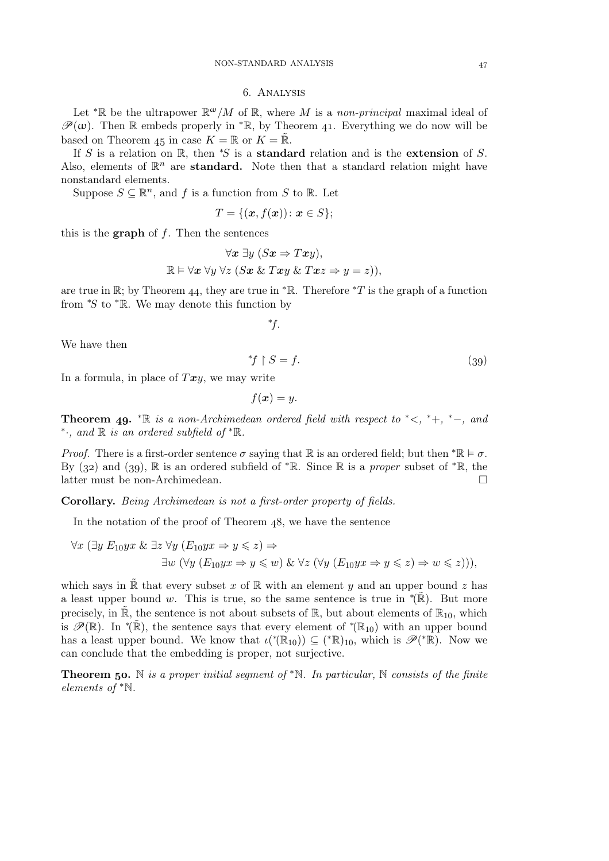#### . Analysis

Let <sup>\*</sup>R be the ultrapower  $\mathbb{R}^{\omega}/M$  of R, where M is a *non-principal* maximal ideal of  $\mathscr{P}(\omega)$ . Then R embeds properly in <sup>\*</sup>R, by Theorem 41. Everything we do now will be based on Theorem 45 in case  $K = \mathbb{R}$  or  $K = \tilde{\mathbb{R}}$ .

If S is a relation on R, then  $*S$  is a standard relation and is the extension of S. Also, elements of  $\mathbb{R}^n$  are **standard.** Note then that a standard relation might have nonstandard elements.

Suppose  $S \subseteq \mathbb{R}^n$ , and f is a function from S to R. Let

$$
T = \{(\boldsymbol{x}, f(\boldsymbol{x})) \colon \boldsymbol{x} \in S\};
$$

this is the **graph** of  $f$ . Then the sentences

$$
\forall x \exists y (Sx \Rightarrow Txy),
$$
  

$$
\mathbb{R} \models \forall x \forall y \forall z (Sx \& Txy \& Txz \Rightarrow y = z)),
$$

are true in R; by Theorem 44, they are true in  $*R$ . Therefore  $*T$  is the graph of a function from  $*S$  to  $*R$ . We may denote this function by

$$
^{\ast}\!f.
$$

We have then

$$
{}^*f \upharpoonright S = f. \tag{39}
$$

In a formula, in place of  $Txy$ , we may write

 $f(\boldsymbol{x}) = y$ .

**Theorem 49.**  $* \mathbb{R}$  *is a non-Archimedean ordered field with respect to*  $* <, * +, * -$ *, and* ∗ ·*, and* <sup>R</sup> *is an ordered subfield of* <sup>∗</sup>R*.*

*Proof.* There is a first-order sentence  $\sigma$  saying that R is an ordered field; but then  $^*\mathbb{R} \models \sigma$ . By (32) and (39),  $\mathbb R$  is an ordered subfield of  $* \mathbb R$ . Since  $\mathbb R$  is a *proper* subset of  $* \mathbb R$ , the latter must be non-Archimedean.  $\Box$ 

Corollary. *Being Archimedean is not a first-order property of fields.*

In the notation of the proof of Theorem  $48$ , we have the sentence

$$
\forall x (\exists y \ E_{10} y x \& \exists z \ \forall y \ (E_{10} y x \Rightarrow y \leq z) \Rightarrow
$$
  

$$
\exists w (\forall y \ (E_{10} y x \Rightarrow y \leq w) \& \ \forall z \ (\forall y \ (E_{10} y x \Rightarrow y \leq z) \Rightarrow w \leq z))),
$$

which says in R that every subset x of R with an element y and an upper bound z has a least upper bound w. This is true, so the same sentence is true in  $*(\tilde{\mathbb{R}})$ . But more precisely, in  $\mathbb{R}$ , the sentence is not about subsets of  $\mathbb{R}$ , but about elements of  $\mathbb{R}_{10}$ , which is  $\mathscr{P}(\mathbb{R})$ . In  $\check{P}(\tilde{\mathbb{R}})$ , the sentence says that every element of  $\check{P}(\mathbb{R}_{10})$  with an upper bound has a least upper bound. We know that  $\iota({}^{\ast}(\mathbb{R}_{10})) \subseteq ({}^{\ast}\mathbb{R})_{10}$ , which is  $\mathscr{P}({}^{\ast}\mathbb{R})$ . Now we can conclude that the embedding is proper, not surjective.

Theorem . N *is a proper initial segment of* <sup>∗</sup>N*. In particular,* N *consists of the finite elements of* <sup>∗</sup>N*.*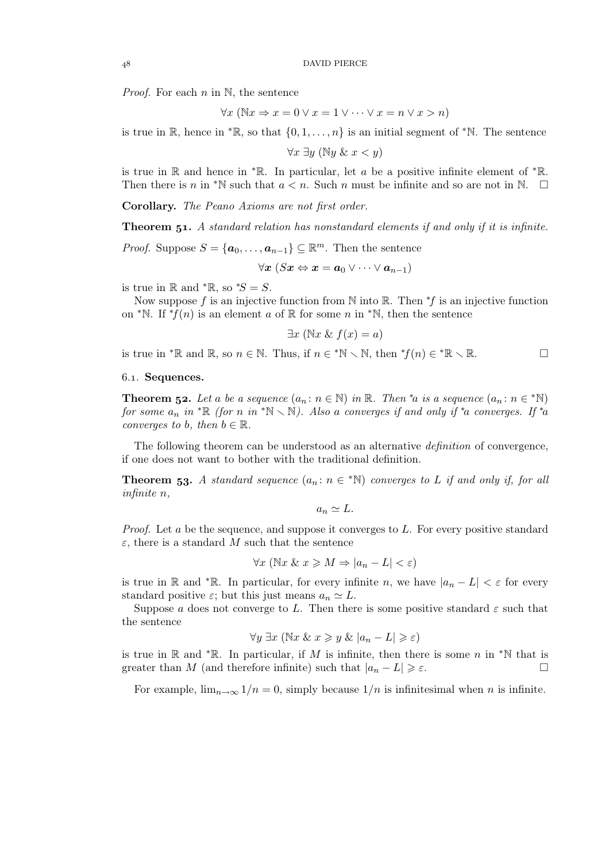*Proof.* For each *n* in N, the sentence

$$
\forall x \ (\mathbb{N}x \Rightarrow x = 0 \lor x = 1 \lor \dots \lor x = n \lor x > n)
$$

is true in R, hence in  $*$ R, so that  $\{0, 1, \ldots, n\}$  is an initial segment of  $*$ N. The sentence

 $\forall x \exists y$  ( $\mathbb{N}y$  &  $x < y$ )

is true in R and hence in \*R. In particular, let a be a positive infinite element of \*R. Then there is n in <sup>\*</sup>N such that  $a < n$ . Such n must be infinite and so are not in N.  $\Box$ 

Corollary. *The Peano Axioms are not first order.*

**Theorem 51.** A standard relation has nonstandard elements if and only if it is infinite.

*Proof.* Suppose  $S = {\mathbf{a}_0, ..., \mathbf{a}_{n-1}} \subseteq \mathbb{R}^m$ . Then the sentence

 $\forall x\ (Sx \Leftrightarrow x = a_0 \vee \cdots \vee a_{n-1})$ 

is true in R and  $*$ R, so  $*S = S$ .

Now suppose f is an injective function from N into R. Then  $*f$  is an injective function on <sup>\*</sup>N. If <sup>\*</sup> $f(n)$  is an element a of R for some n in <sup>\*</sup>N, then the sentence

$$
\exists x \ (\mathbb{N}x \ \& \ f(x) = a)
$$

is true in \*R and R, so  $n \in \mathbb{N}$ . Thus, if  $n \in \mathbb{N} \setminus \mathbb{N}$ , then  $\mathbb{N}(n) \in \mathbb{N} \setminus \mathbb{R}$ .

## 6.1. Sequences.

**Theorem 52.** Let a be a sequence  $(a_n : n \in \mathbb{N})$  in  $\mathbb{R}$ . Then <sup>\*</sup>a is a sequence  $(a_n : n \in \mathbb{N})$ *for some*  $a_n$  *in*  ${}^* \mathbb{R}$  *(for n in*  ${}^* \mathbb{N} \setminus \mathbb{N}$ ). Also a converges if and only if  ${}^* a$  converges. If  ${}^* a$ *converges to b, then*  $b \in \mathbb{R}$ *.* 

The following theorem can be understood as an alternative *definition* of convergence, if one does not want to bother with the traditional definition.

**Theorem 53.** A standard sequence  $(a_n : n \in \mathbb{N})$  converges to L if and only if, for all *infinite* n*,*

$$
a_n \simeq L.
$$

*Proof.* Let a be the sequence, and suppose it converges to L. For every positive standard  $\varepsilon$ , there is a standard M such that the sentence

$$
\forall x \ (\mathbb{N}x \ \& \ x \geq M \Rightarrow |a_n - L| < \varepsilon)
$$

is true in R and \*R. In particular, for every infinite n, we have  $|a_n - L| < \varepsilon$  for every standard positive  $\varepsilon$ ; but this just means  $a_n \simeq L$ .

Suppose a does not converge to L. Then there is some positive standard  $\varepsilon$  such that the sentence

$$
\forall y \; \exists x \; (\mathbb{N}x \; \& \; x \geq y \; \& \; |a_n - L| \geq \varepsilon)
$$

is true in R and \*R. In particular, if M is infinite, then there is some n in \*N that is greater than M (and therefore infinite) such that  $|a_n - L| \geq \varepsilon$ .

For example,  $\lim_{n\to\infty} 1/n = 0$ , simply because  $1/n$  is infinitesimal when n is infinite.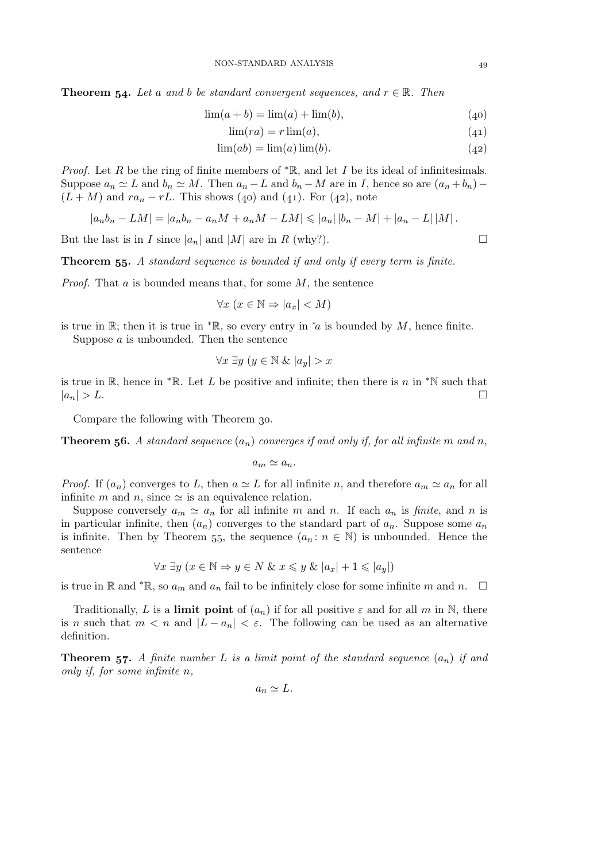**Theorem 54.** Let a and b be standard convergent sequences, and  $r \in \mathbb{R}$ . Then

$$
\lim(a + b) = \lim(a) + \lim(b),
$$
 (40)

$$
\lim(r a) = r \lim(a),\tag{41}
$$

$$
\lim(ab) = \lim(a)\lim(b). \tag{42}
$$

*Proof.* Let R be the ring of finite members of  $* \mathbb{R}$ , and let I be its ideal of infinitesimals. Suppose  $a_n \simeq L$  and  $b_n \simeq M$ . Then  $a_n - L$  and  $b_n - M$  are in I, hence so are  $(a_n + b_n) (L + M)$  and  $ra_n - rL$ . This shows (40) and (41). For (42), note

$$
|a_n b_n - LM| = |a_n b_n - a_n M + a_n M - LM| \leq |a_n| |b_n - M| + |a_n - L| |M|.
$$

But the last is in I since  $|a_n|$  and  $|M|$  are in R (why?).

Theorem 55. A standard sequence is bounded if and only if every term is finite.

*Proof.* That a is bounded means that, for some M, the sentence

$$
\forall x \ (x \in \mathbb{N} \Rightarrow |a_x| < M)
$$

is true in R; then it is true in  ${}^*R$ , so every entry in  ${}^*a$  is bounded by M, hence finite. Suppose a is unbounded. Then the sentence

$$
\forall x \; \exists y \; (y \in \mathbb{N} \; \& \; |a_y| > x
$$

is true in R, hence in \*R. Let L be positive and infinite; then there is n in \*N such that  $|a_n| > L.$ 

Compare the following with Theorem 30.

**Theorem 56.** A standard sequence  $(a_n)$  converges if and only if, for all infinite m and n,

$$
a_m \simeq a_n.
$$

*Proof.* If  $(a_n)$  converges to L, then  $a \simeq L$  for all infinite n, and therefore  $a_m \simeq a_n$  for all infinite m and n, since  $\simeq$  is an equivalence relation.

Suppose conversely  $a_m \simeq a_n$  for all infinite m and n. If each  $a_n$  is *finite*, and n is in particular infinite, then  $(a_n)$  converges to the standard part of  $a_n$ . Suppose some  $a_n$ is infinite. Then by Theorem 55, the sequence  $(a_n : n \in \mathbb{N})$  is unbounded. Hence the sentence

$$
\forall x \; \exists y \; (x \in \mathbb{N} \Rightarrow y \in N \; \& \; x \leq y \; \& \; |a_x| + 1 \leq |a_y|)
$$

is true in R and  $^*$ R, so  $a_m$  and  $a_n$  fail to be infinitely close for some infinite m and n.  $\Box$ 

Traditionally, L is a limit point of  $(a_n)$  if for all positive  $\varepsilon$  and for all m in N, there is n such that  $m < n$  and  $|L - a_n| < \varepsilon$ . The following can be used as an alternative definition.

**Theorem 57.** A finite number L is a limit point of the standard sequence  $(a_n)$  if and *only if, for some infinite* n*,*

$$
a_n \simeq L.
$$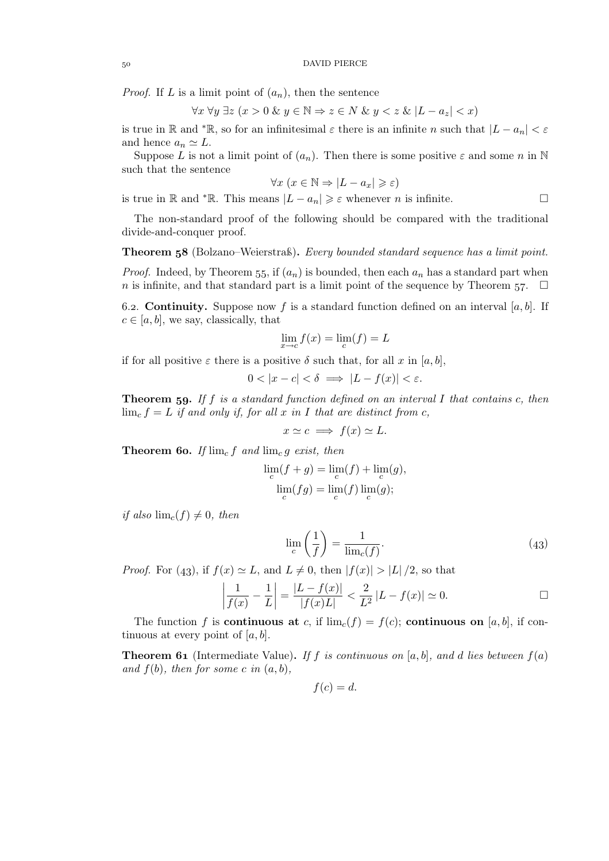*Proof.* If L is a limit point of  $(a_n)$ , then the sentence

$$
\forall x \,\forall y \,\exists z \,(x > 0 \,\& y \in \mathbb{N} \Rightarrow z \in N \,\& y < z \,\& |L - a_z| < x)
$$

is true in R and \*R, so for an infinitesimal  $\varepsilon$  there is an infinite n such that  $|L - a_n| < \varepsilon$ and hence  $a_n \simeq L$ .

Suppose L is not a limit point of  $(a_n)$ . Then there is some positive  $\varepsilon$  and some n in N such that the sentence

$$
\forall x \ (x \in \mathbb{N} \Rightarrow |L - a_x| \geqslant \varepsilon)
$$

is true in R and \*R. This means  $|L - a_n| \geq \varepsilon$  whenever *n* is infinite.

The non-standard proof of the following should be compared with the traditional divide-and-conquer proof.

Theorem (Bolzano–Weierstraß). *Every bounded standard sequence has a limit point.*

*Proof.* Indeed, by Theorem 55, if  $(a_n)$  is bounded, then each  $a_n$  has a standard part when n is infinite, and that standard part is a limit point of the sequence by Theorem 57.  $\Box$ 

6.2. **Continuity.** Suppose now f is a standard function defined on an interval [a, b]. If  $c \in [a, b]$ , we say, classically, that

$$
\lim_{x \to c} f(x) = \lim_{c} (f) = L
$$

if for all positive  $\varepsilon$  there is a positive  $\delta$  such that, for all x in [a, b],

$$
0 < |x - c| < \delta \implies |L - f(x)| < \varepsilon.
$$

Theorem . *If* f *is a standard function defined on an interval* I *that contains* c*, then*  $\lim_{c} f = L$  *if and only if, for all* x *in* I *that are distinct from c*,

$$
x \simeq c \implies f(x) \simeq L.
$$

**Theorem 60.** If  $\lim_{c} f$  and  $\lim_{c} g$  exist, then

$$
\lim_{c} (f+g) = \lim_{c} (f) + \lim_{c} (g),
$$

$$
\lim_{c} (fg) = \lim_{c} (f) \lim_{c} (g);
$$

*if also*  $\lim_{c}(f) \neq 0$ *, then* 

$$
\lim_{c} \left(\frac{1}{f}\right) = \frac{1}{\lim_{c}(f)}.\tag{43}
$$

*Proof.* For (43), if  $f(x) \simeq L$ , and  $L \neq 0$ , then  $|f(x)| > |L|/2$ , so that

$$
\left|\frac{1}{f(x)} - \frac{1}{L}\right| = \frac{|L - f(x)|}{|f(x)L|} < \frac{2}{L^2} |L - f(x)| \simeq 0. \qquad \Box
$$

The function f is **continuous at** c, if  $\lim_{c} (f) = f(c)$ ; **continuous on** [a, b], if continuous at every point of  $[a, b]$ .

**Theorem 61** (Intermediate Value). If f is continuous on [a, b], and d lies between  $f(a)$ *and*  $f(b)$ *, then for some* c *in*  $(a, b)$ *,* 

$$
f(c)=d.
$$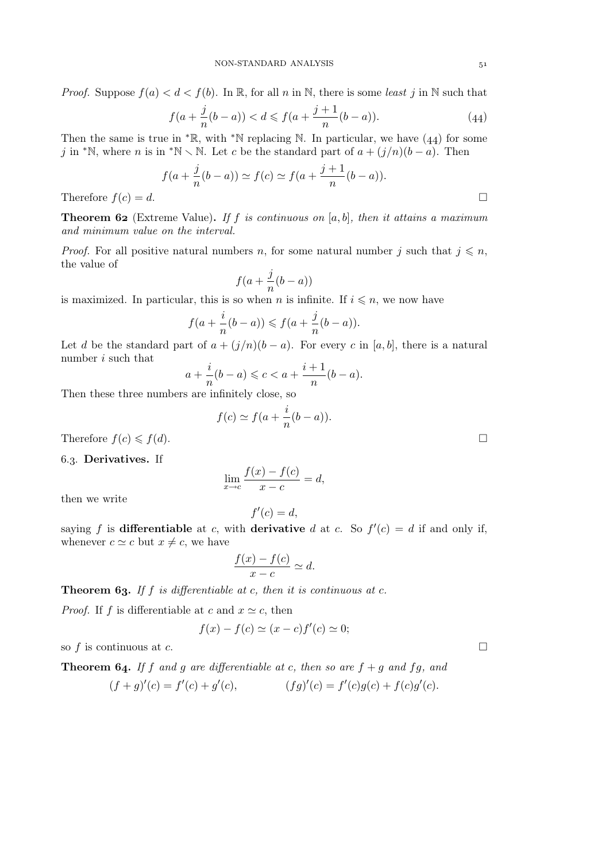*Proof.* Suppose  $f(a) < d < f(b)$ . In R, for all n in N, there is some *least* j in N such that

$$
f(a + \frac{j}{n}(b - a)) < d \leq f(a + \frac{j+1}{n}(b - a)).\tag{44}
$$

Then the same is true in  $* \mathbb{R}$ , with  $* \mathbb{N}$  replacing N. In particular, we have (44) for some j in \*N, where n is in \*N  $\setminus$  N. Let c be the standard part of  $a + (j/n)(b - a)$ . Then

$$
f(a + \frac{j}{n}(b - a)) \simeq f(c) \simeq f(a + \frac{j+1}{n}(b - a)).
$$

Therefore  $f(c) = d$ .

Theorem (Extreme Value). *If* f *is continuous on* [a, b]*, then it attains a maximum and minimum value on the interval.*

*Proof.* For all positive natural numbers n, for some natural number j such that  $j \leq n$ , the value of

$$
f(a+\frac{j}{n}(b-a))
$$

is maximized. In particular, this is so when n is infinite. If  $i \leq n$ , we now have

$$
f(a+\frac{i}{n}(b-a)) \leqslant f(a+\frac{j}{n}(b-a)).
$$

Let d be the standard part of  $a + (j/n)(b - a)$ . For every c in [a, b], there is a natural number i such that

$$
a + \frac{i}{n}(b - a) \leqslant c < a + \frac{i + 1}{n}(b - a).
$$

Then these three numbers are infinitely close, so

$$
f(c) \simeq f(a + \frac{i}{n}(b - a)).
$$

Therefore  $f(c) \leqslant f(d)$ .

6.3. Derivatives. If

$$
\lim_{x \to c} \frac{f(x) - f(c)}{x - c} = d,
$$

then we write

saying 
$$
f
$$
 is **differentiable** at  $c$ , with **derivative**  $d$  at  $c$ . So  $f'(c) = d$  if and only if, whenever  $c \simeq c$  but  $x \neq c$ , we have

 $f'(c) = d,$ 

$$
\frac{f(x) - f(c)}{x - c} \simeq d.
$$

**Theorem 63.** If f is differentiable at c, then it is continuous at c.

*Proof.* If f is differentiable at c and  $x \simeq c$ , then

$$
f(x) - f(c) \simeq (x - c)f'(c) \simeq 0;
$$

so f is continuous at c.  $\Box$ 

**Theorem 64.** If f and g are differentiable at c, then so are  $f + g$  and fg, and  $(f+g)'(c) = f'(c) + g'(c),$   $(fg)'(c) = f'(c)g(c) + f(c)g'(c).$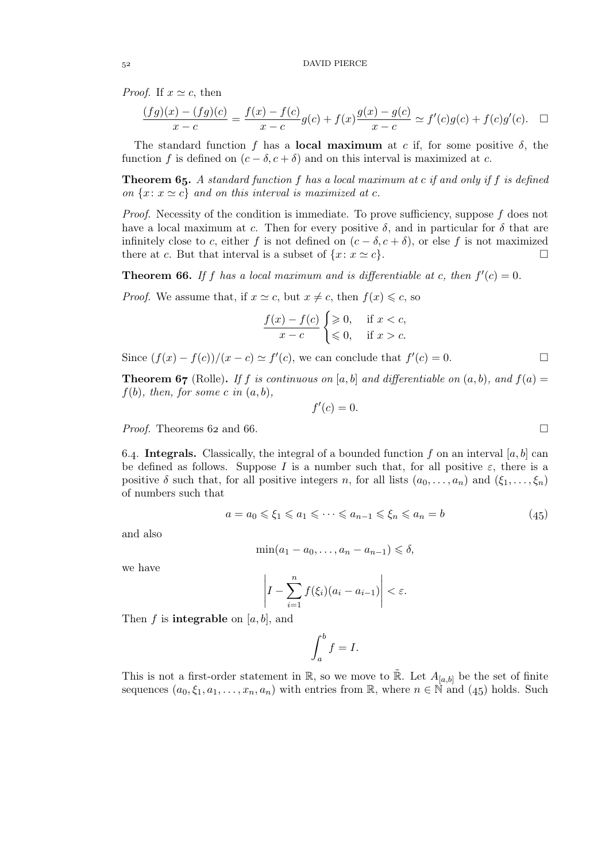*Proof.* If  $x \simeq c$ , then

$$
\frac{(fg)(x) - (fg)(c)}{x - c} = \frac{f(x) - f(c)}{x - c}g(c) + f(x)\frac{g(x) - g(c)}{x - c} \simeq f'(c)g(c) + f(c)g'(c). \quad \Box
$$

The standard function f has a **local maximum** at c if, for some positive  $\delta$ , the function f is defined on  $(c - \delta, c + \delta)$  and on this interval is maximized at c.

Theorem . *A standard function* f *has a local maximum at* c *if and only if* f *is defined on*  $\{x: x \simeq c\}$  *and on this interval is maximized at c.* 

*Proof.* Necessity of the condition is immediate. To prove sufficiency, suppose f does not have a local maximum at c. Then for every positive  $\delta$ , and in particular for  $\delta$  that are infinitely close to c, either f is not defined on  $(c - \delta, c + \delta)$ , or else f is not maximized there at c. But that interval is a subset of  $\{x : x \simeq c\}$ . there at c. But that interval is a subset of  $\{x: x \simeq c\}$ .

**Theorem 66.** If f has a local maximum and is differentiable at c, then  $f'(c) = 0$ .

*Proof.* We assume that, if  $x \simeq c$ , but  $x \neq c$ , then  $f(x) \leq c$ , so

$$
\frac{f(x) - f(c)}{x - c} \begin{cases} \ge 0, & \text{if } x < c, \\ \le 0, & \text{if } x > c. \end{cases}
$$

Since  $(f(x) - f(c))/(x - c) \simeq f'(c)$ , we can conclude that  $f'(c) = 0$ .

**Theorem 67** (Rolle). If f is continuous on [a, b] and differentiable on  $(a, b)$ , and  $f(a) =$  $f(b)$ *, then, for some c in*  $(a, b)$ *,* 

 $f'(c) = 0.$ 

$$
f_{\rm max} = 1.00
$$

*Proof.* Theorems 62 and 66.

6.4. Integrals. Classically, the integral of a bounded function f on an interval [a, b] can be defined as follows. Suppose I is a number such that, for all positive  $\varepsilon$ , there is a positive  $\delta$  such that, for all positive integers n, for all lists  $(a_0, \ldots, a_n)$  and  $(\xi_1, \ldots, \xi_n)$ of numbers such that

$$
a = a_0 \leq \xi_1 \leq a_1 \leq \dots \leq a_{n-1} \leq \xi_n \leq a_n = b \tag{45}
$$

and also

$$
\min(a_1 - a_0, \dots, a_n - a_{n-1}) \leq \delta,
$$

we have

$$
\left|I - \sum_{i=1}^n f(\xi_i)(a_i - a_{i-1})\right| < \varepsilon.
$$

Then f is **integrable** on [a, b], and

$$
\int_a^b f = I.
$$

This is not a first-order statement in  $\mathbb{R}$ , so we move to  $\mathbb{R}$ . Let  $A_{[a,b]}$  be the set of finite sequences  $(a_0, \xi_1, a_1, \ldots, a_n, a_n)$  with entries from R, where  $n \in \mathbb{N}$  and  $(45)$  holds. Such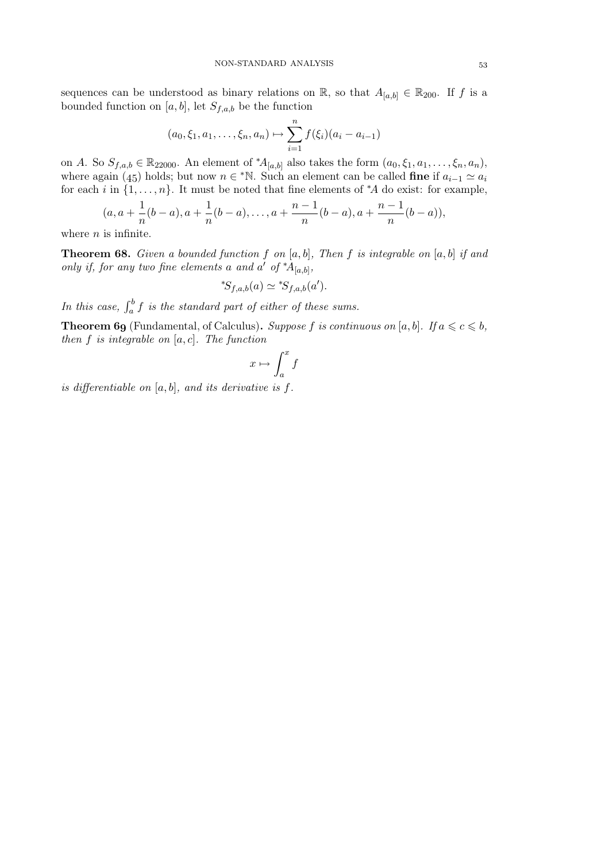sequences can be understood as binary relations on R, so that  $A_{[a,b]} \in \mathbb{R}_{200}$ . If f is a bounded function on [a, b], let  $S_{f,a,b}$  be the function

$$
(a_0, \xi_1, a_1, \dots, \xi_n, a_n) \mapsto \sum_{i=1}^n f(\xi_i)(a_i - a_{i-1})
$$

on A. So  $S_{f,a,b} \in \mathbb{R}_{22000}$ . An element of  $^*A_{[a,b]}$  also takes the form  $(a_0, \xi_1, a_1, \ldots, \xi_n, a_n)$ , where again (45) holds; but now  $n \in \mathbb{N}$ . Such an element can be called **fine** if  $a_{i-1} \simeq a_i$ for each i in  $\{1, \ldots, n\}$ . It must be noted that fine elements of  $*A$  do exist: for example,

$$
(a, a + \frac{1}{n}(b - a), a + \frac{1}{n}(b - a), \ldots, a + \frac{n-1}{n}(b - a), a + \frac{n-1}{n}(b - a)),
$$

where  $n$  is infinite.

**Theorem 68.** Given a bounded function f on  $[a, b]$ , Then f is integrable on  $[a, b]$  if and *only if, for any two fine elements* a and a' of  $^*A_{[a,b]}$ ,

$$
^*S_{f,a,b}(a) \simeq ^*S_{f,a,b}(a').
$$

In this case,  $\int_a^b f$  is the standard part of either of these sums.

**Theorem 69** (Fundamental, of Calculus). *Suppose* f is continuous on [a, b]. If  $a \leq c \leq b$ , *then* f *is integrable on* [a, c]*. The function*

$$
x\mapsto \int_a^x f
$$

*is differentiable on* [a, b]*, and its derivative is* f*.*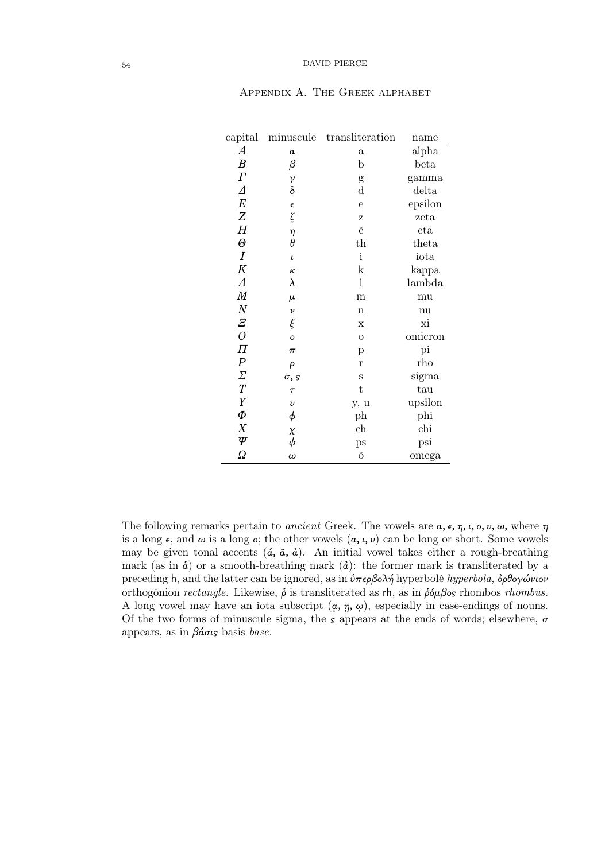| capital               | minuscule                                      | transliteration | name    |
|-----------------------|------------------------------------------------|-----------------|---------|
| $\boldsymbol{A}$      | $\alpha$                                       | $\mathbf{a}$    | alpha   |
| $\boldsymbol{B}$      | $\beta$                                        | $\mathbf b$     | beta    |
| $\Gamma$              |                                                | g               | gamma   |
| $\Delta$              | $\begin{matrix} \gamma \\ \delta \end{matrix}$ | $\rm d$         | delta   |
| $\cal E$              | $\epsilon$                                     | $\mathbf e$     | epsilon |
| Z                     | ζ                                              | Z               | zeta    |
| $H_{\rm}$             | η                                              | ê               | eta     |
| $\Theta$              | $\theta$                                       | $_{\rm th}$     | theta   |
| $\boldsymbol{I}$      | $\pmb{\iota}$                                  | $\mathbf{i}$    | iota    |
| K                     | к                                              | k               | kappa   |
| $\Lambda$             | λ                                              | $\mathbf{l}$    | lambda  |
| $\boldsymbol{M}$      | $\mu$                                          | m               | mu      |
| $\cal N$              | $\boldsymbol{\nu}$                             | $\mathbf n$     | nu      |
| $rac{E}{O}$           | ξ                                              | X               | хi      |
|                       | $\overline{O}$                                 | $\overline{O}$  | omicron |
| $\overline{\Pi}$      | $\pi$                                          | p               | pi      |
| $\overline{P}$        | ρ                                              | $\mathbf{r}$    | rho     |
| $\varSigma$           | $\sigma$ , s                                   | S               | sigma   |
| $\overline{T}$        | $\tau$                                         | t               | tau     |
| $\boldsymbol{\gamma}$ | $\upsilon$                                     | y, u            | upsilon |
| $\varPhi$             | $\phi$                                         | ph              | phi     |
| X                     | $\chi$                                         | ch              | chi     |
| Ψ                     | $\tilde{\psi}$                                 | ps              | psi     |
| Ω                     | $\omega$                                       | ô               | omega   |

# Appendix A. The Greek alphabet

The following remarks pertain to *ancient* Greek. The vowels are  $\alpha$ ,  $\epsilon$ ,  $\eta$ ,  $\iota$ ,  $\alpha$ ,  $\nu$ ,  $\omega$ , where  $\eta$ is a long  $\epsilon$ , and  $\omega$  is a long  $\epsilon$ ; the other vowels  $(a, \iota, \nu)$  can be long or short. Some vowels may be given tonal accents  $(\hat{a}, \hat{a}, \hat{a})$ . An initial vowel takes either a rough-breathing mark (as in  $\dot{a}$ ) or a smooth-breathing mark ( $\dot{a}$ ): the former mark is transliterated by a preceding h, and the latter can be ignored, as in  $\hat{\nu}\pi\epsilon\rho\beta o\lambda\hat{\eta}$  hyperbolê *hyperbola*,  $\hat{\rho}\theta o\gamma\hat{\omega}\nu o\nu$ orthogônion *rectangle*. Likewise,  $\hat{\rho}$  is transliterated as rh, as in  $\hat{\rho} \hat{\omega} \beta$ os rhombos *rhombus*. A long vowel may have an iota subscript  $(\alpha, \eta, \omega)$ , especially in case-endings of nouns. Of the two forms of minuscule sigma, the  $s$  appears at the ends of words; elsewhere,  $\sigma$ appears, as in βάσις basis *base.*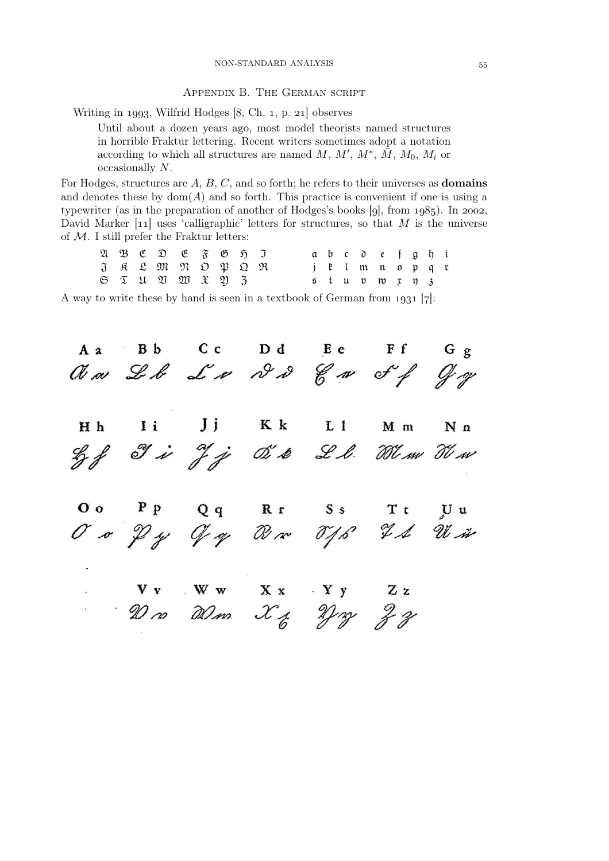# Appendix B. The German script

Writing in 1993, Wilfrid Hodges  $[8, Ch. 1, p. 21]$  observes

Until about a dozen years ago, most model theorists named structures in horrible Fraktur lettering. Recent writers sometimes adopt a notation according to which all structures are named  $M, M', M^*, \overline{M}, M_0, M_i$  or occasionally N.

For Hodges, structures are  $A, B, C$ , and so forth; he refers to their universes as **domains** and denotes these by  $dom(A)$  and so forth. This practice is convenient if one is using a typewriter (as in the preparation of another of Hodges's books  $[g]$ , from  $1985$ ). In 2002, David Marker  $[11]$  uses 'calligraphic' letters for structures, so that M is the universe of  $M$ . I still prefer the Fraktur letters:

|  |  | $\mathfrak{A} \mathfrak{B} \mathfrak{C} \mathfrak{D} \mathfrak{E} \mathfrak{F} \mathfrak{B} \mathfrak{H} \mathfrak{I}$ |  |  |  |  | abc defghi                      |  |  |  |
|--|--|------------------------------------------------------------------------------------------------------------------------|--|--|--|--|---------------------------------|--|--|--|
|  |  | $J$ $R$ $L$ $M$ $M$ $D$ $D$ $D$ $M$                                                                                    |  |  |  |  | j l'Imnopqu                     |  |  |  |
|  |  | $6 \tImes 11 \tImes 20 \tImes 31$                                                                                      |  |  |  |  | $5$ tup to $\mathfrak x$ to $3$ |  |  |  |

A way to write these by hand is seen in a textbook of German from  $1931$  [7]:

A a Bb Cc Dd Ee Ff Gg<br>Was Leb La 22 Car of Jag  $\mathbf{I}$  i  $Jj$   $Kk$   $L1$  $H h$ M m  $N<sub>n</sub>$ Left I is J j O's Ll. When The OO PP Qq Rr SS Tt UU<br>O O P y Y ay R x T f S H M x  $V_V$   $W_W$   $X_X$   $Y_Y$   $Z_Z$ <br> $W_{20}$   $W_{30}$   $X_Z$   $Y_{31}$   $Y_{22}$